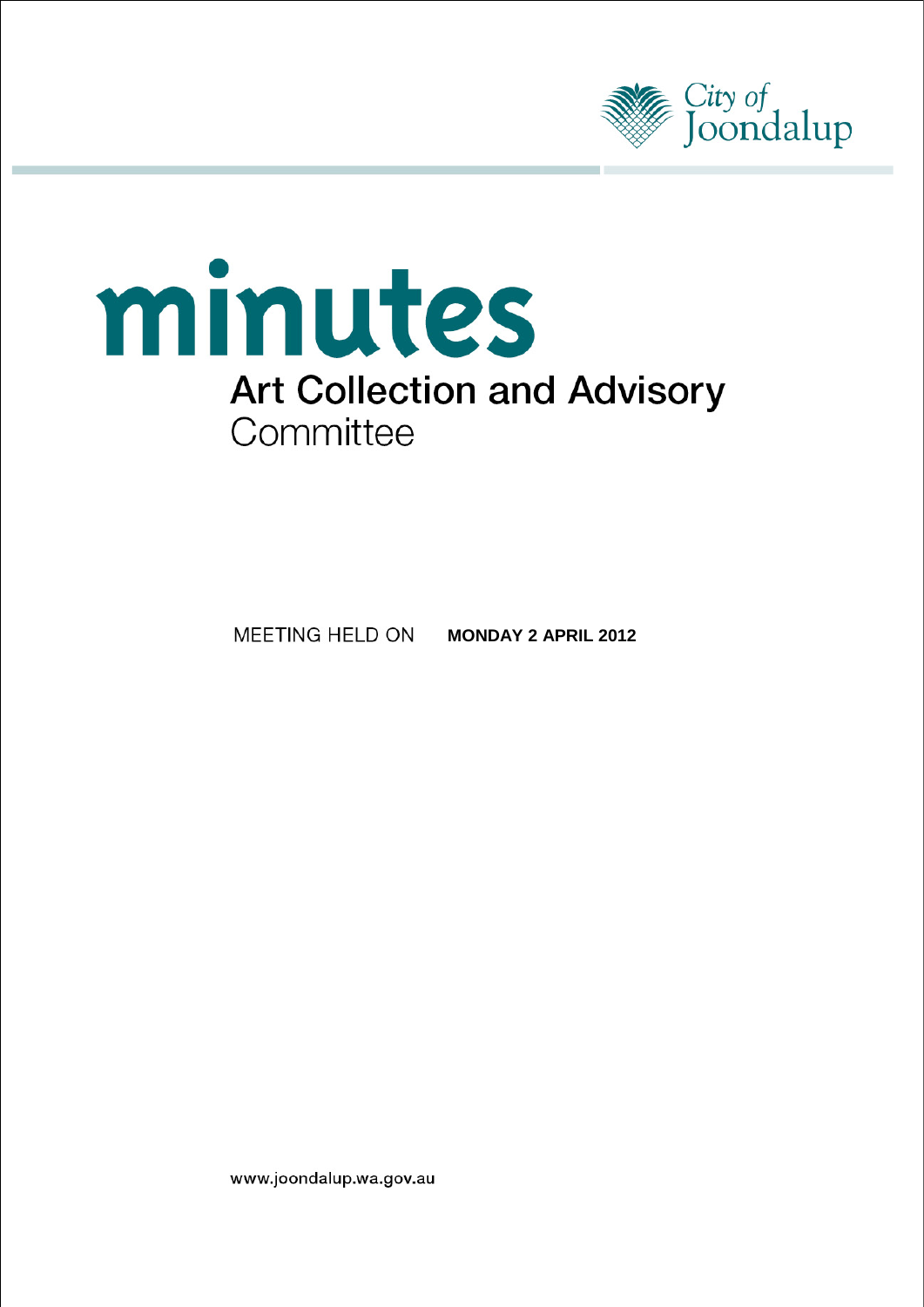



MEETING HELD ON **MONDAY 2 APRIL 2012** 

www.joondalup.wa.gov.au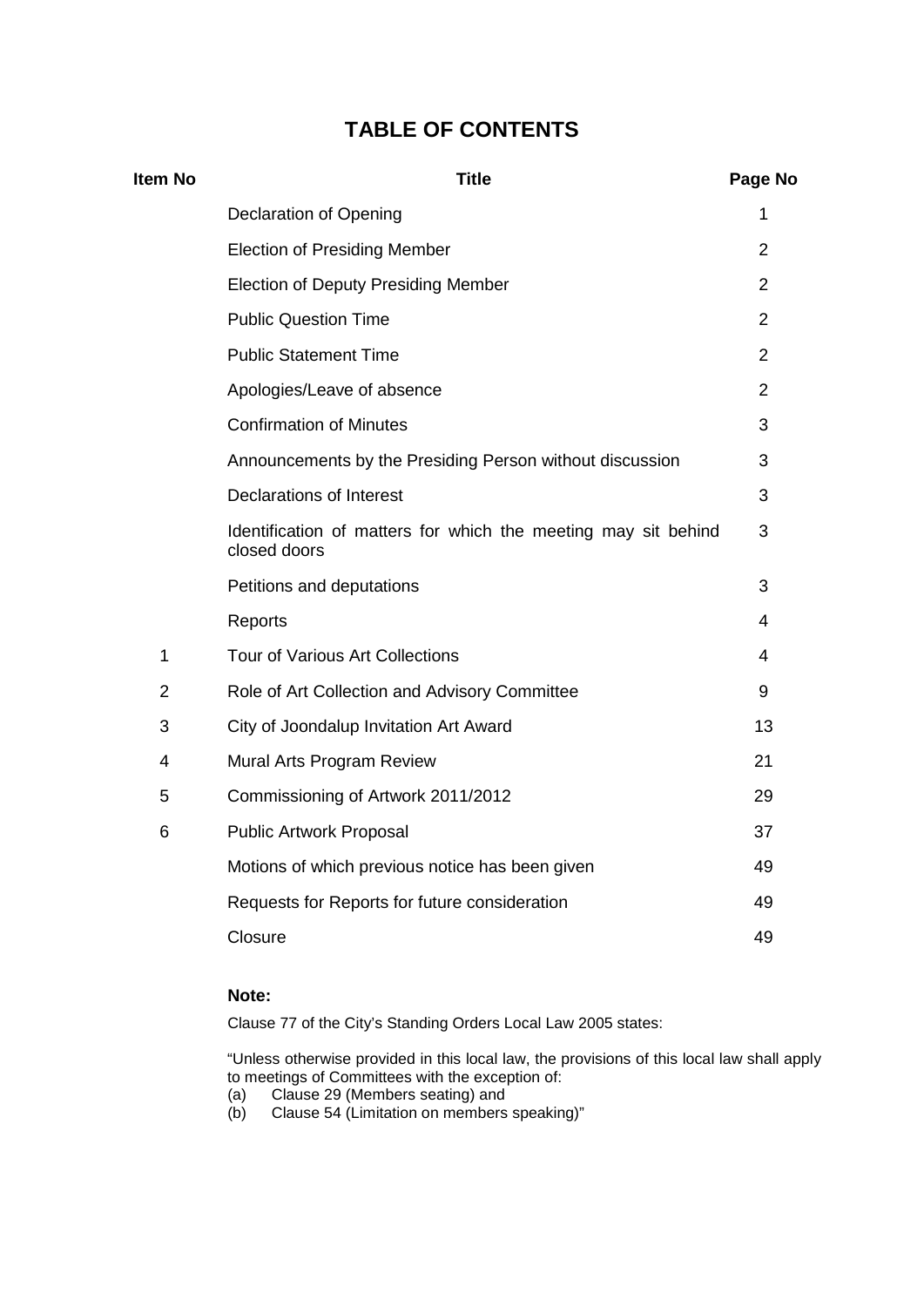# **TABLE OF CONTENTS**

| <b>Item No</b> | <b>Title</b>                                                                   | Page No        |
|----------------|--------------------------------------------------------------------------------|----------------|
|                | <b>Declaration of Opening</b>                                                  | 1              |
|                | <b>Election of Presiding Member</b>                                            | 2              |
|                | <b>Election of Deputy Presiding Member</b>                                     | $\overline{2}$ |
|                | <b>Public Question Time</b>                                                    | $\overline{2}$ |
|                | <b>Public Statement Time</b>                                                   | $\overline{2}$ |
|                | Apologies/Leave of absence                                                     | $\overline{2}$ |
|                | <b>Confirmation of Minutes</b>                                                 | 3              |
|                | Announcements by the Presiding Person without discussion                       | 3              |
|                | <b>Declarations of Interest</b>                                                | 3              |
|                | Identification of matters for which the meeting may sit behind<br>closed doors | 3              |
|                | Petitions and deputations                                                      | 3              |
|                | Reports                                                                        | 4              |
| 1              | <b>Tour of Various Art Collections</b>                                         | 4              |
| $\overline{2}$ | Role of Art Collection and Advisory Committee                                  | 9              |
| 3              | City of Joondalup Invitation Art Award                                         | 13             |
| 4              | Mural Arts Program Review                                                      | 21             |
| 5              | Commissioning of Artwork 2011/2012                                             | 29             |
| 6              | <b>Public Artwork Proposal</b>                                                 | 37             |
|                | Motions of which previous notice has been given                                | 49             |
|                | Requests for Reports for future consideration                                  | 49             |
|                | Closure                                                                        | 49             |

# **Note:**

Clause 77 of the City's Standing Orders Local Law 2005 states:

"Unless otherwise provided in this local law, the provisions of this local law shall apply to meetings of Committees with the exception of:

- (a) Clause 29 (Members seating) and
- (b) Clause 54 (Limitation on members speaking)"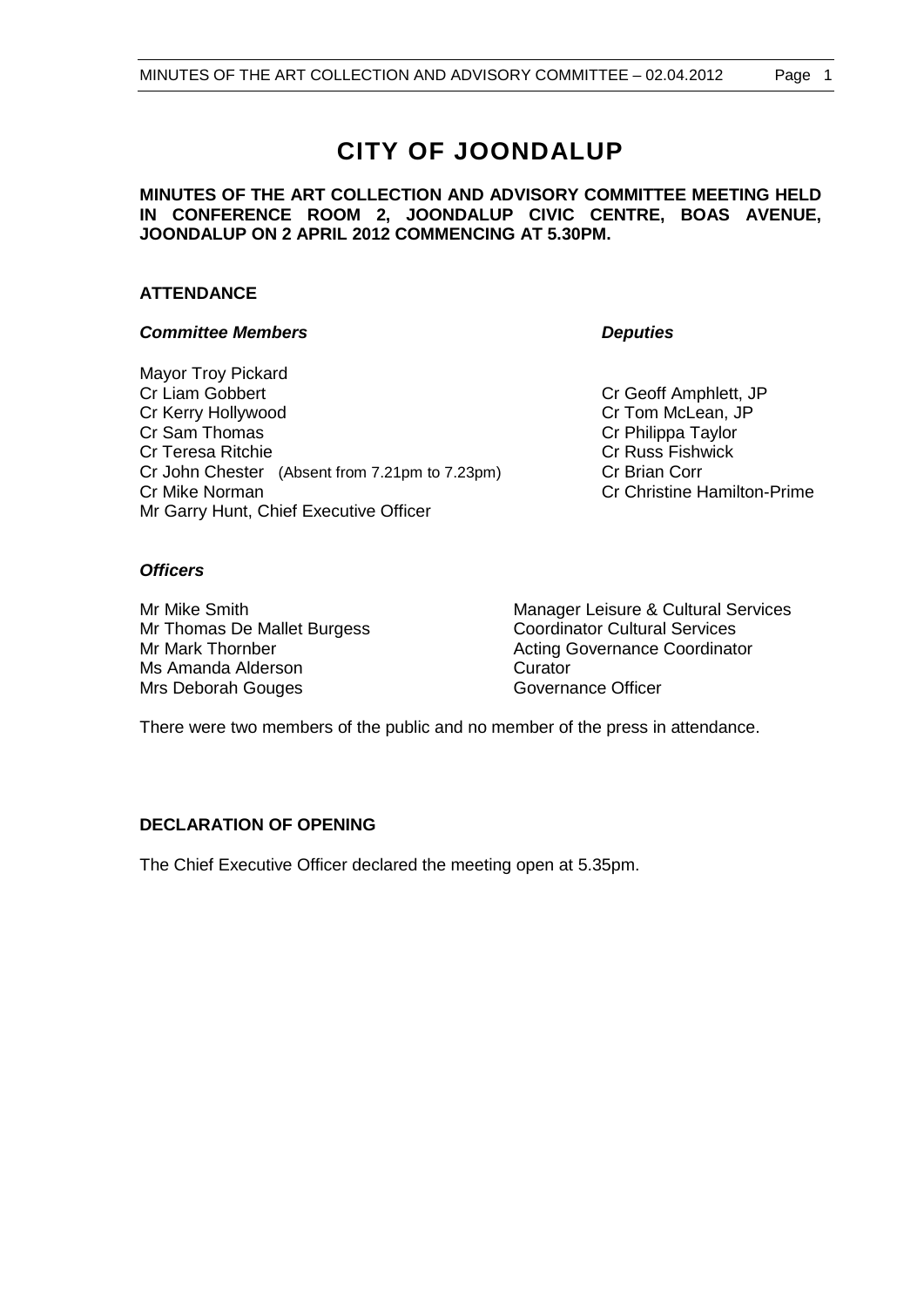# **CITY OF JOONDALUP**

## **MINUTES OF THE ART COLLECTION AND ADVISORY COMMITTEE MEETING HELD IN CONFERENCE ROOM 2, JOONDALUP CIVIC CENTRE, BOAS AVENUE, JOONDALUP ON 2 APRIL 2012 COMMENCING AT 5.30PM.**

# **ATTENDANCE**

# *Committee Members Deputies*

Mayor Troy Pickard<br>Cr Liam Gobbert Cr Kerry Hollywood Cr Kerry Hollywood<br>
Cr Sam Thomas Cr Sam Thomas Cr Sam Thomas Cr Teresa Ritchie Cr John Chester (Absent from 7.21pm to 7.23pm) Cr Brian Corr Cr Mike Norman Cr Christine Hamilton-Prime Mr Garry Hunt, Chief Executive Officer

Cr Geoff Amphlett, JP Cr Philippa Taylor<br>Cr Russ Fishwick

# *Officers*

Mr Thomas De Mallet Burgess<br>
Mr Mark Thornber<br>
Mr Mark Thornber<br>
Coordinator Coordinator Coordinator Ms Amanda Alderson<br>
Mrs Deborah Gouges<br>
Mrs Deborah Gouges Mrs Deborah Gouges

Mr Mike Smith Manager Leisure & Cultural Services Acting Governance Coordinator

There were two members of the public and no member of the press in attendance.

# **DECLARATION OF OPENING**

The Chief Executive Officer declared the meeting open at 5.35pm.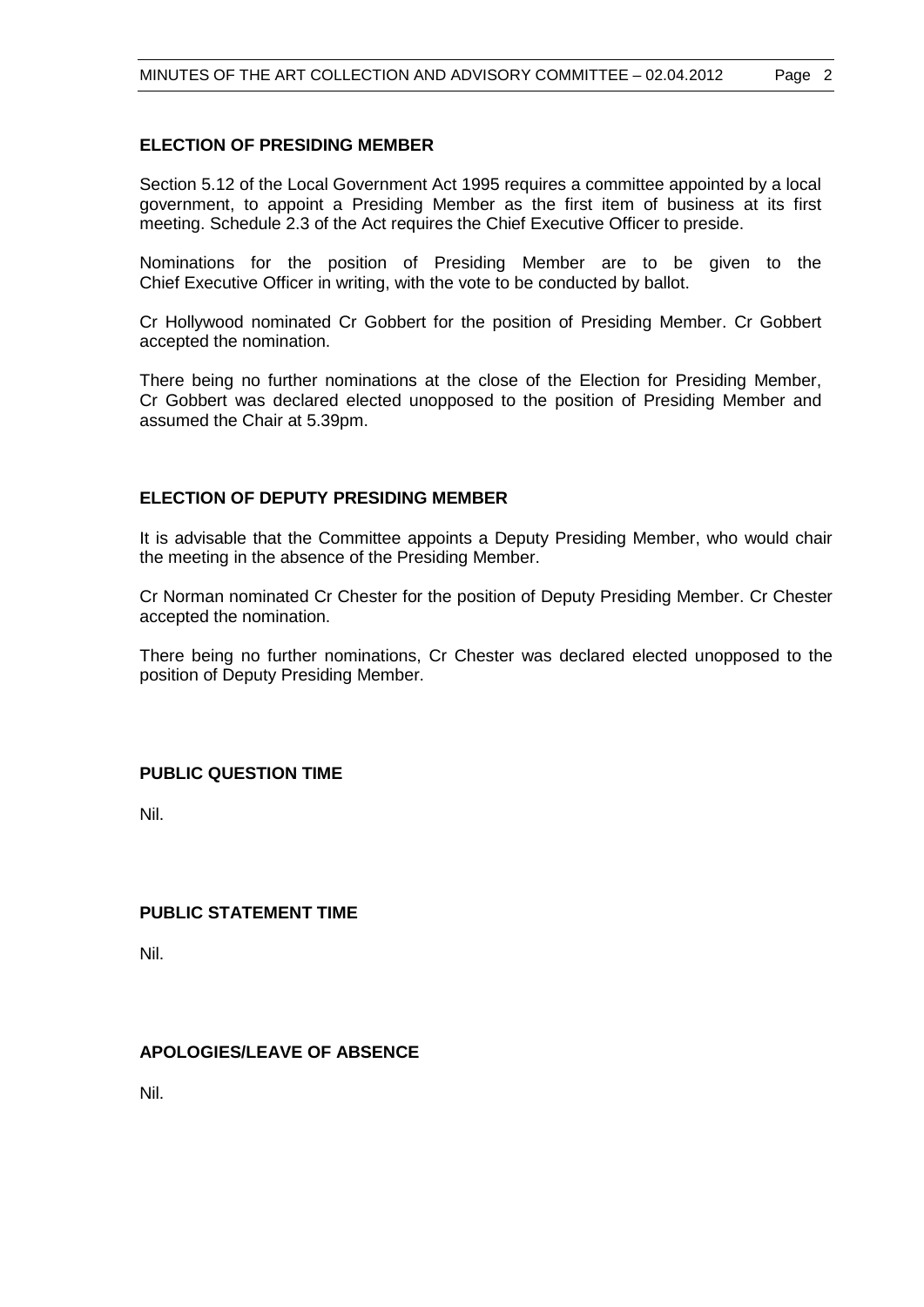# **ELECTION OF PRESIDING MEMBER**

Section 5.12 of the Local Government Act 1995 requires a committee appointed by a local government, to appoint a Presiding Member as the first item of business at its first meeting. Schedule 2.3 of the Act requires the Chief Executive Officer to preside.

Nominations for the position of Presiding Member are to be given to the Chief Executive Officer in writing, with the vote to be conducted by ballot.

Cr Hollywood nominated Cr Gobbert for the position of Presiding Member. Cr Gobbert accepted the nomination.

There being no further nominations at the close of the Election for Presiding Member, Cr Gobbert was declared elected unopposed to the position of Presiding Member and assumed the Chair at 5.39pm.

# **ELECTION OF DEPUTY PRESIDING MEMBER**

It is advisable that the Committee appoints a Deputy Presiding Member, who would chair the meeting in the absence of the Presiding Member.

Cr Norman nominated Cr Chester for the position of Deputy Presiding Member. Cr Chester accepted the nomination.

There being no further nominations, Cr Chester was declared elected unopposed to the position of Deputy Presiding Member.

## **PUBLIC QUESTION TIME**

Nil.

# **PUBLIC STATEMENT TIME**

Nil.

# **APOLOGIES/LEAVE OF ABSENCE**

Nil.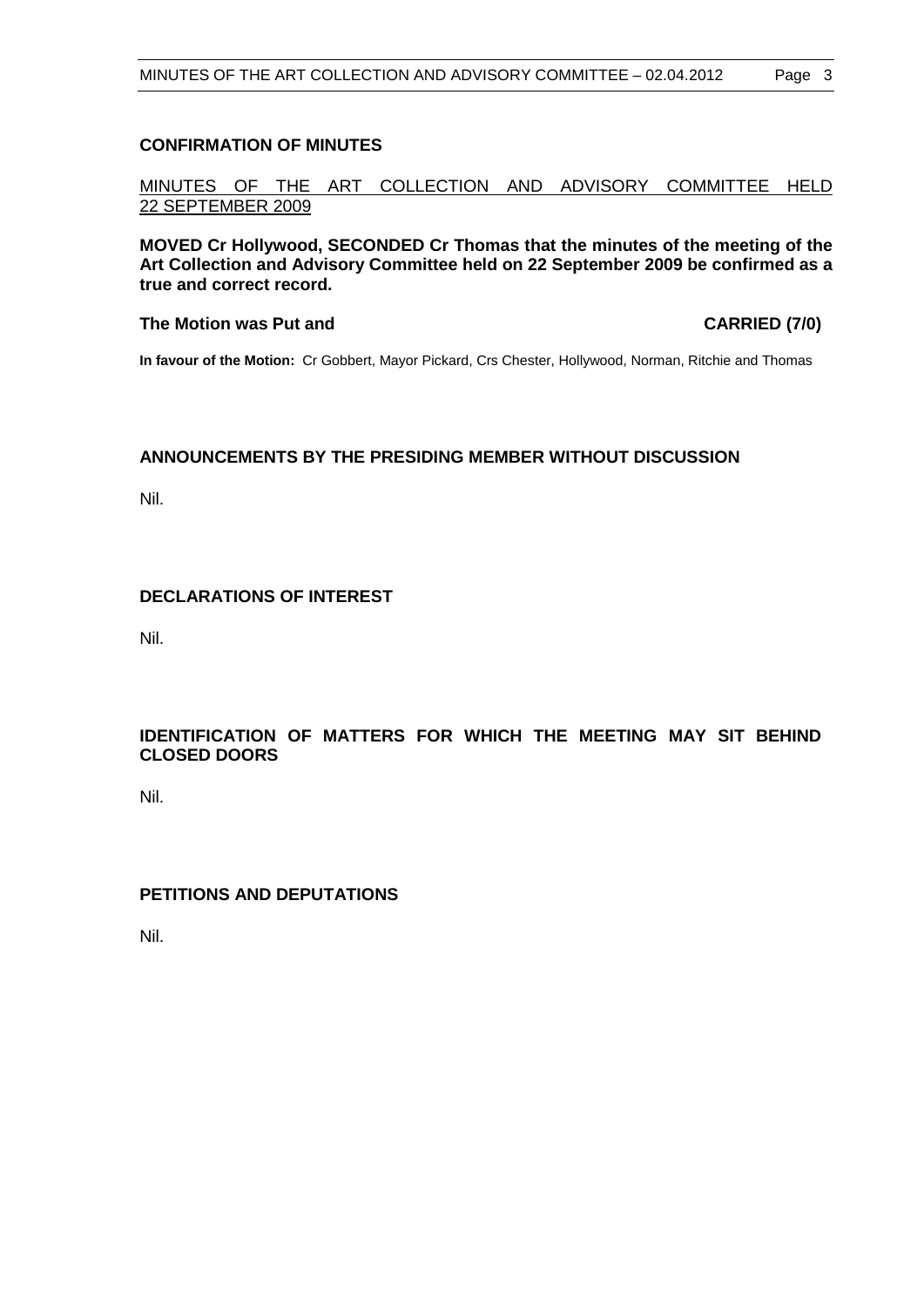# **CONFIRMATION OF MINUTES**

MINUTES OF THE ART COLLECTION AND ADVISORY COMMITTEE HELD 22 SEPTEMBER 2009

**MOVED Cr Hollywood, SECONDED Cr Thomas that the minutes of the meeting of the Art Collection and Advisory Committee held on 22 September 2009 be confirmed as a true and correct record.**

#### **The Motion was Put and CARRIED (7/0)**

**In favour of the Motion:** Cr Gobbert, Mayor Pickard, Crs Chester, Hollywood, Norman, Ritchie and Thomas

#### **ANNOUNCEMENTS BY THE PRESIDING MEMBER WITHOUT DISCUSSION**

Nil.

# **DECLARATIONS OF INTEREST**

Nil.

# **IDENTIFICATION OF MATTERS FOR WHICH THE MEETING MAY SIT BEHIND CLOSED DOORS**

Nil.

# **PETITIONS AND DEPUTATIONS**

Nil.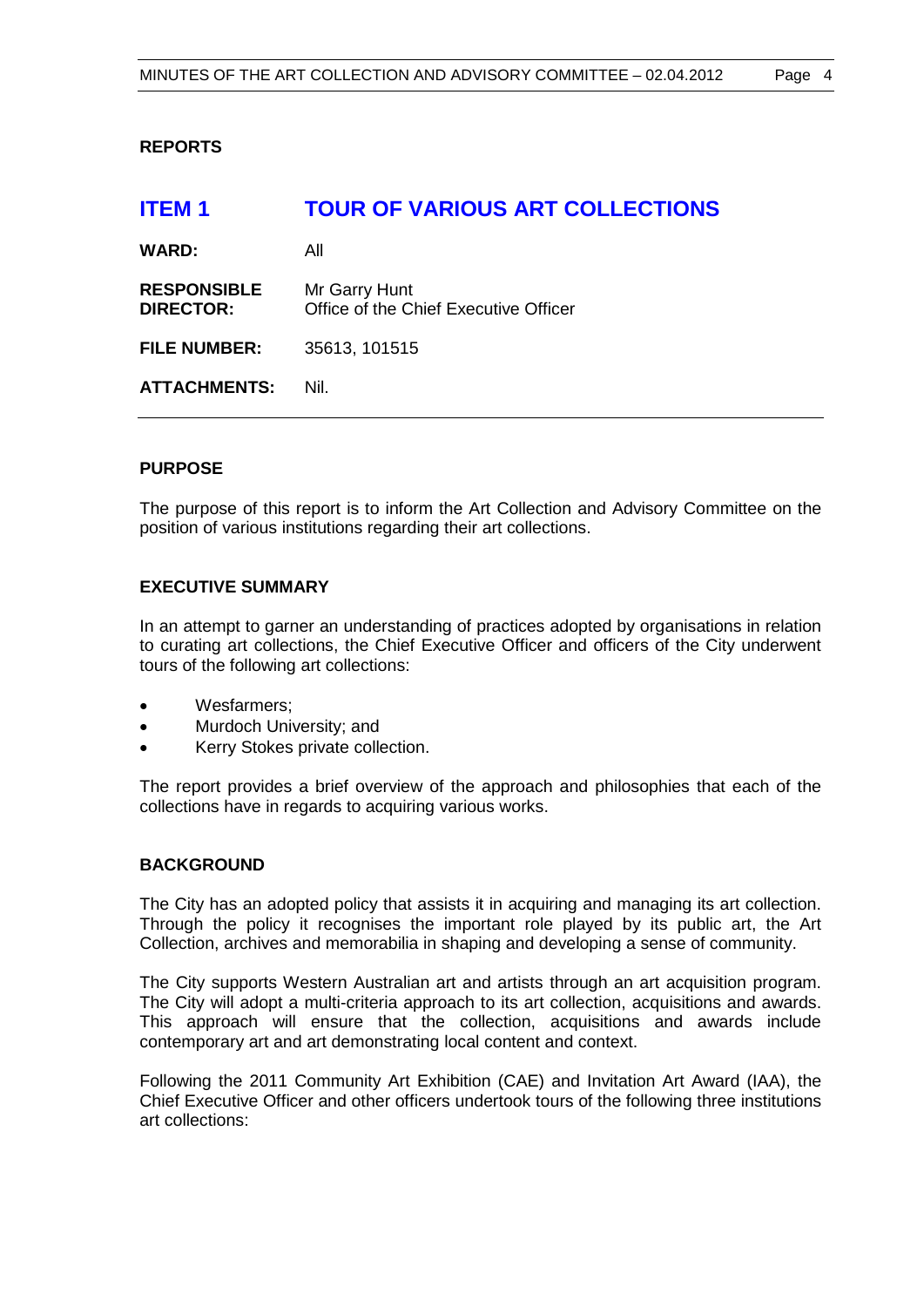# **REPORTS**

# **ITEM 1 TOUR OF VARIOUS ART COLLECTIONS WARD:** All **RESPONSIBLE** Mr Garry Hunt **DIRECTOR:** Office of the Chief Executive Officer **FILE NUMBER:** 35613, 101515 **ATTACHMENTS:** Nil.

# **PURPOSE**

The purpose of this report is to inform the Art Collection and Advisory Committee on the position of various institutions regarding their art collections.

# **EXECUTIVE SUMMARY**

In an attempt to garner an understanding of practices adopted by organisations in relation to curating art collections, the Chief Executive Officer and officers of the City underwent tours of the following art collections:

- Wesfarmers:
- Murdoch University; and
- Kerry Stokes private collection.

The report provides a brief overview of the approach and philosophies that each of the collections have in regards to acquiring various works.

#### **BACKGROUND**

The City has an adopted policy that assists it in acquiring and managing its art collection. Through the policy it recognises the important role played by its public art, the Art Collection, archives and memorabilia in shaping and developing a sense of community.

The City supports Western Australian art and artists through an art acquisition program. The City will adopt a multi-criteria approach to its art collection, acquisitions and awards. This approach will ensure that the collection, acquisitions and awards include contemporary art and art demonstrating local content and context.

Following the 2011 Community Art Exhibition (CAE) and Invitation Art Award (IAA), the Chief Executive Officer and other officers undertook tours of the following three institutions art collections: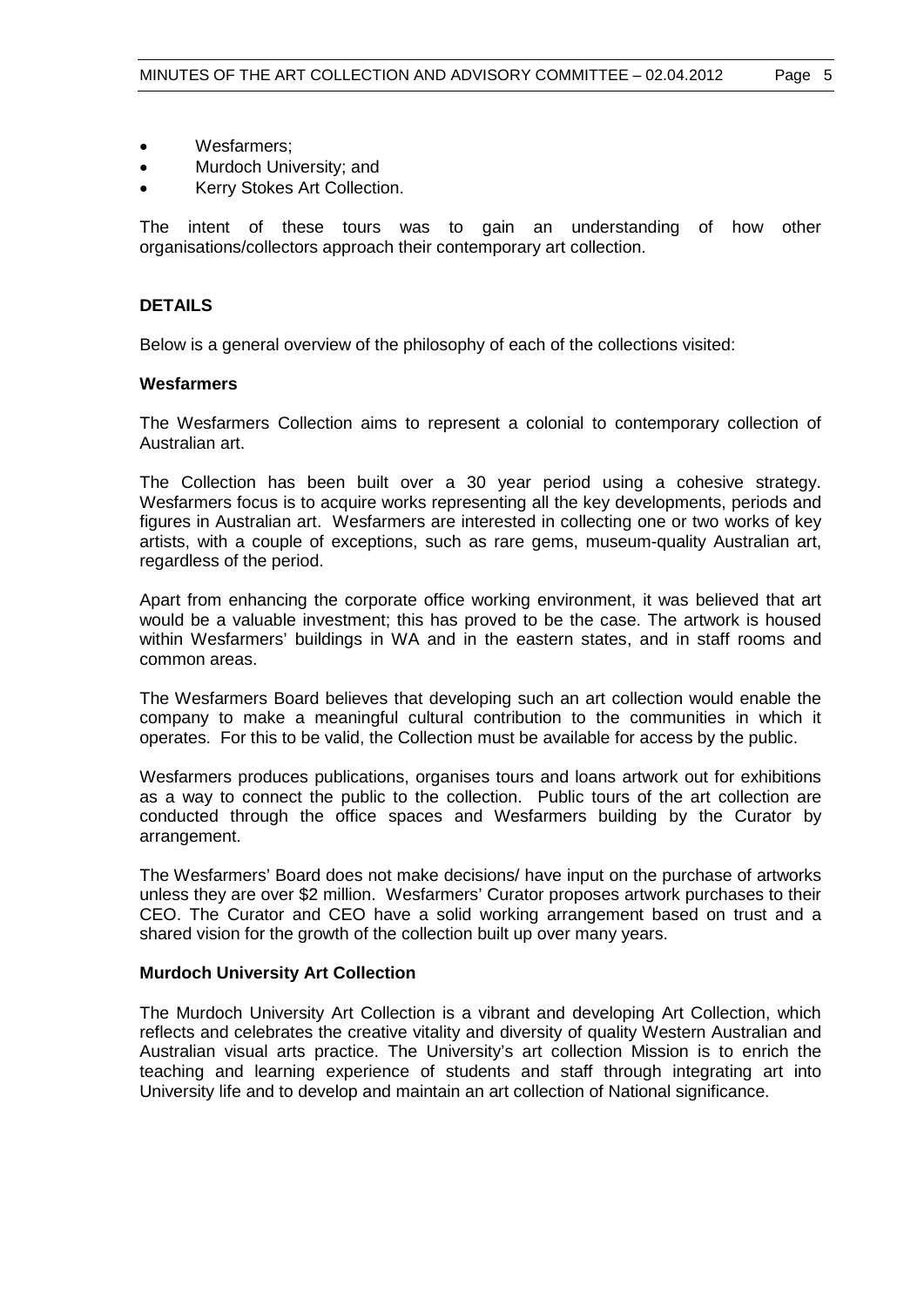- Wesfarmers;
- Murdoch University; and
- Kerry Stokes Art Collection.

The intent of these tours was to gain an understanding of how other organisations/collectors approach their contemporary art collection.

## **DETAILS**

Below is a general overview of the philosophy of each of the collections visited:

#### **Wesfarmers**

The Wesfarmers Collection aims to represent a colonial to contemporary collection of Australian art.

The Collection has been built over a 30 year period using a cohesive strategy. Wesfarmers focus is to acquire works representing all the key developments, periods and figures in Australian art. Wesfarmers are interested in collecting one or two works of key artists, with a couple of exceptions, such as rare gems, museum-quality Australian art, regardless of the period.

Apart from enhancing the corporate office working environment, it was believed that art would be a valuable investment; this has proved to be the case. The artwork is housed within Wesfarmers' buildings in WA and in the eastern states, and in staff rooms and common areas.

The Wesfarmers Board believes that developing such an art collection would enable the company to make a meaningful cultural contribution to the communities in which it operates. For this to be valid, the Collection must be available for access by the public.

Wesfarmers produces publications, organises tours and loans artwork out for exhibitions as a way to connect the public to the collection. Public tours of the art collection are conducted through the office spaces and Wesfarmers building by the Curator by arrangement.

The Wesfarmers' Board does not make decisions/ have input on the purchase of artworks unless they are over \$2 million. Wesfarmers' Curator proposes artwork purchases to their CEO. The Curator and CEO have a solid working arrangement based on trust and a shared vision for the growth of the collection built up over many years.

#### **Murdoch University Art Collection**

The Murdoch University Art Collection is a vibrant and developing Art Collection, which reflects and celebrates the creative vitality and diversity of quality Western Australian and Australian visual arts practice. The University's art collection Mission is to enrich the teaching and learning experience of students and staff through integrating art into University life and to develop and maintain an art collection of National significance.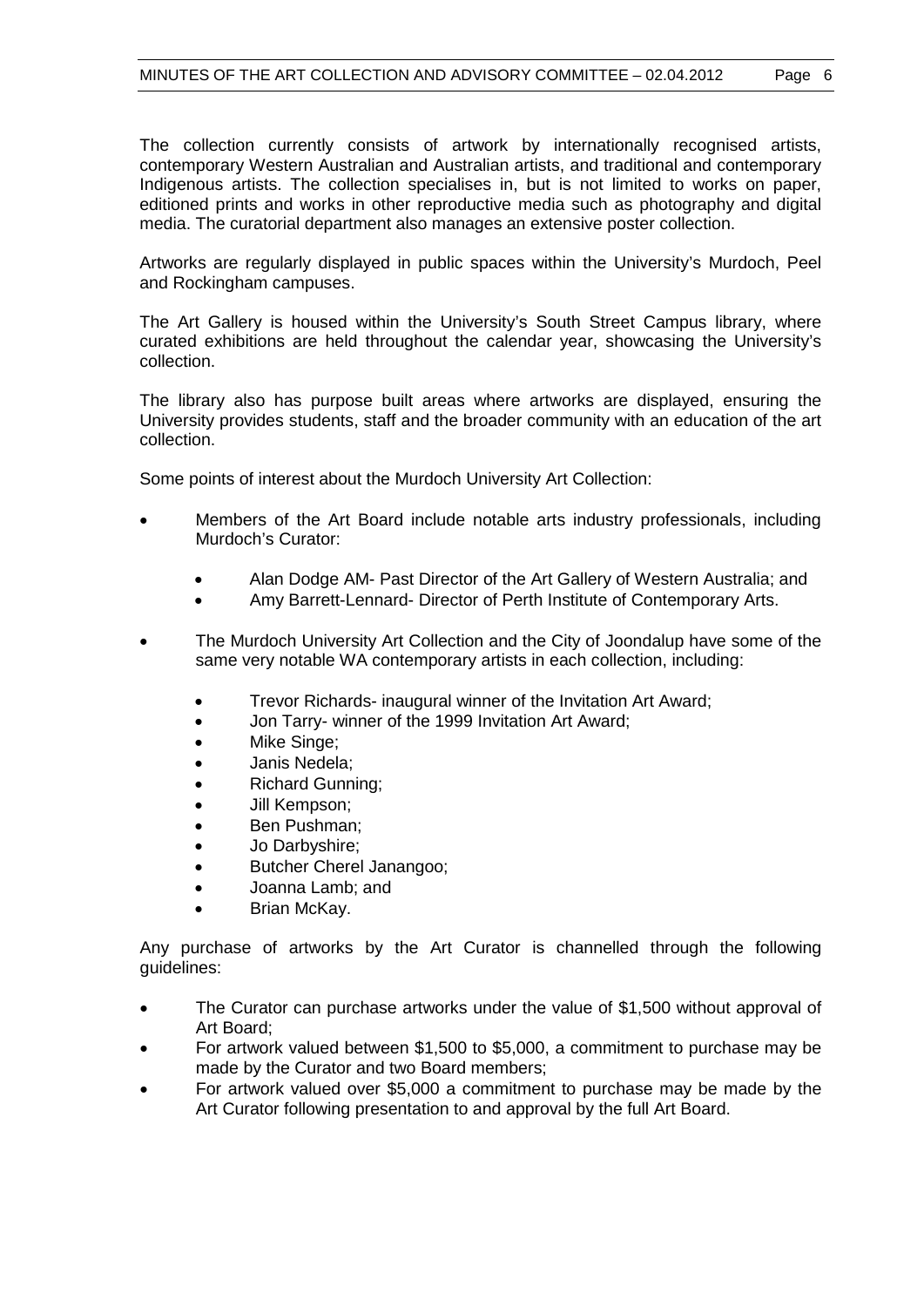The collection currently consists of artwork by internationally recognised artists, contemporary Western Australian and Australian artists, and traditional and contemporary Indigenous artists. The collection specialises in, but is not limited to works on paper, editioned prints and works in other reproductive media such as photography and digital media. The curatorial department also manages an extensive poster collection.

Artworks are regularly displayed in public spaces within the University's Murdoch, Peel and Rockingham campuses.

The Art Gallery is housed within the University's South Street Campus library, where curated exhibitions are held throughout the calendar year, showcasing the University's collection.

The library also has purpose built areas where artworks are displayed, ensuring the University provides students, staff and the broader community with an education of the art collection.

Some points of interest about the Murdoch University Art Collection:

- Members of the Art Board include notable arts industry professionals, including Murdoch's Curator:
	- Alan Dodge AM- Past Director of the Art Gallery of Western Australia; and
	- Amy Barrett-Lennard- Director of Perth Institute of Contemporary Arts.
- The Murdoch University Art Collection and the City of Joondalup have some of the same very notable WA contemporary artists in each collection, including:
	- Trevor Richards- inaugural winner of the Invitation Art Award;
	- Jon Tarry- winner of the 1999 Invitation Art Award;
	- Mike Singe;
	- Janis Nedela;
	- Richard Gunning;
	- Jill Kempson;
	- Ben Pushman;
	- Jo Darbyshire;
	- Butcher Cherel Janangoo;
	- Joanna Lamb; and
	- Brian McKay.

Any purchase of artworks by the Art Curator is channelled through the following guidelines:

- The Curator can purchase artworks under the value of \$1,500 without approval of Art Board;
- For artwork valued between \$1,500 to \$5,000, a commitment to purchase may be made by the Curator and two Board members;
- For artwork valued over \$5,000 a commitment to purchase may be made by the Art Curator following presentation to and approval by the full Art Board.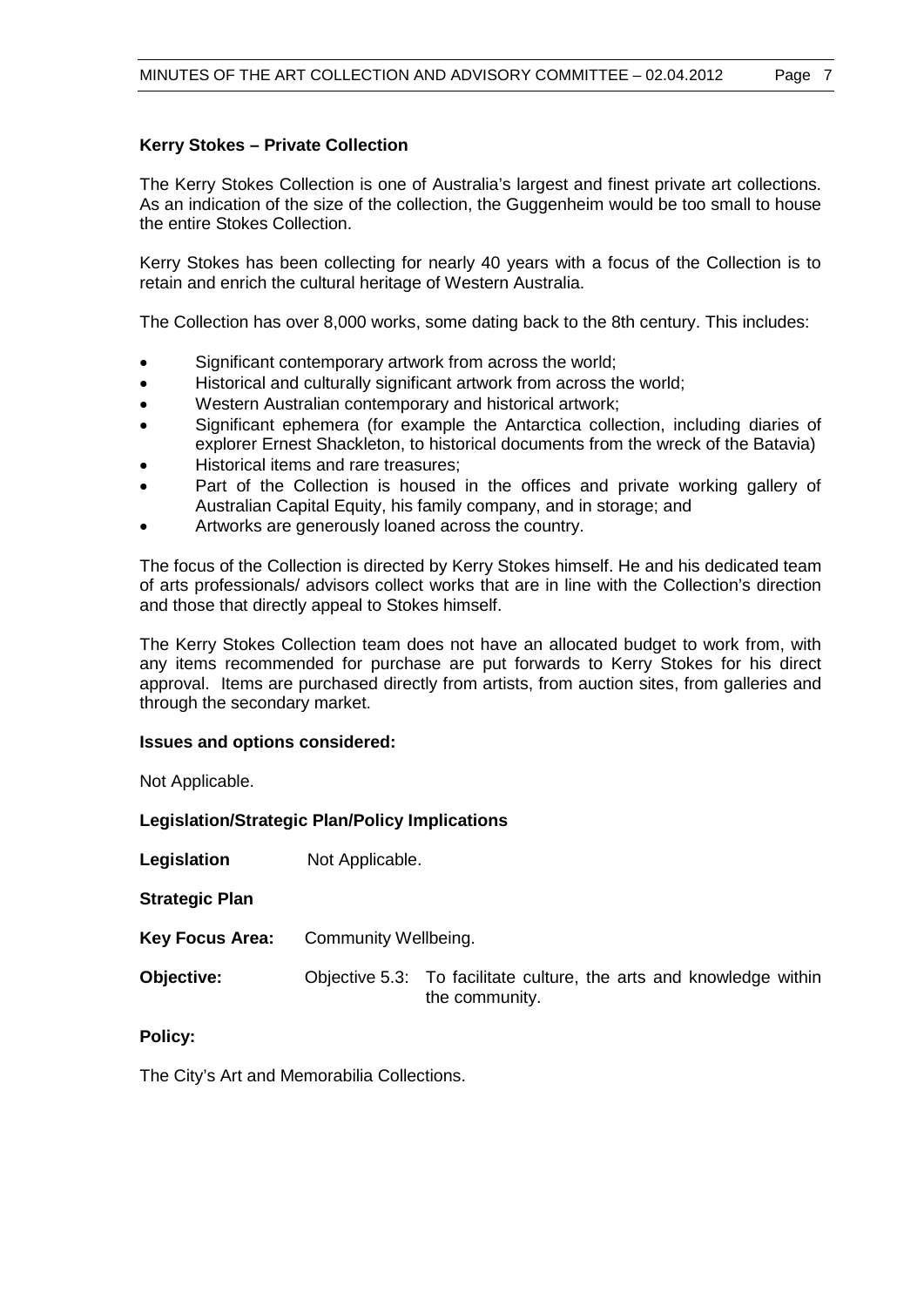# **Kerry Stokes – Private Collection**

The Kerry Stokes Collection is one of Australia's largest and finest private art collections. As an indication of the size of the collection, the Guggenheim would be too small to house the entire Stokes Collection.

Kerry Stokes has been collecting for nearly 40 years with a focus of the Collection is to retain and enrich the cultural heritage of Western Australia.

The Collection has over 8,000 works, some dating back to the 8th century. This includes:

- Significant contemporary artwork from across the world;
- Historical and culturally significant artwork from across the world;
- Western Australian contemporary and historical artwork;
- Significant ephemera (for example the Antarctica collection, including diaries of explorer Ernest Shackleton, to historical documents from the wreck of the Batavia)
- Historical items and rare treasures;
- Part of the Collection is housed in the offices and private working gallery of Australian Capital Equity, his family company, and in storage; and
- Artworks are generously loaned across the country.

The focus of the Collection is directed by Kerry Stokes himself. He and his dedicated team of arts professionals/ advisors collect works that are in line with the Collection's direction and those that directly appeal to Stokes himself.

The Kerry Stokes Collection team does not have an allocated budget to work from, with any items recommended for purchase are put forwards to Kerry Stokes for his direct approval. Items are purchased directly from artists, from auction sites, from galleries and through the secondary market.

#### **Issues and options considered:**

Not Applicable.

#### **Legislation/Strategic Plan/Policy Implications**

**Legislation** Not Applicable.

**Strategic Plan**

**Key Focus Area:** Community Wellbeing.

**Objective:** Objective 5.3: To facilitate culture, the arts and knowledge within the community.

**Policy:**

The City's Art and Memorabilia Collections.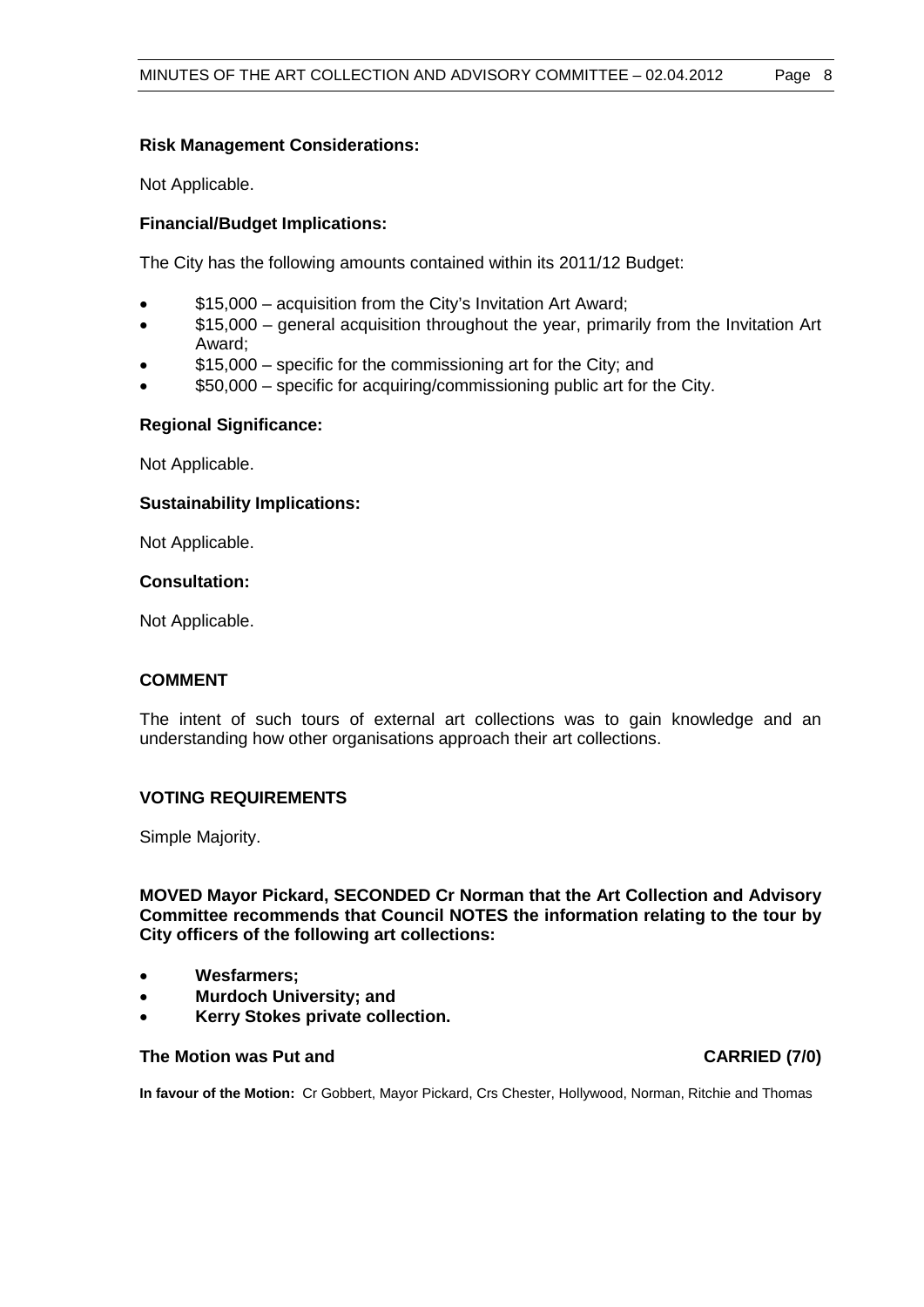## **Risk Management Considerations:**

Not Applicable.

## **Financial/Budget Implications:**

The City has the following amounts contained within its 2011/12 Budget:

- \$15,000 acquisition from the City's Invitation Art Award;
- \$15,000 general acquisition throughout the year, primarily from the Invitation Art Award;
- \$15,000 specific for the commissioning art for the City; and
- \$50,000 specific for acquiring/commissioning public art for the City.

# **Regional Significance:**

Not Applicable.

# **Sustainability Implications:**

Not Applicable.

#### **Consultation:**

Not Applicable.

#### **COMMENT**

The intent of such tours of external art collections was to gain knowledge and an understanding how other organisations approach their art collections.

#### **VOTING REQUIREMENTS**

Simple Majority.

**MOVED Mayor Pickard, SECONDED Cr Norman that the Art Collection and Advisory Committee recommends that Council NOTES the information relating to the tour by City officers of the following art collections:** 

- **Wesfarmers;**
- **Murdoch University; and**
- **Kerry Stokes private collection.**

#### **The Motion was Put and CARRIED (7/0)**

**In favour of the Motion:** Cr Gobbert, Mayor Pickard, Crs Chester, Hollywood, Norman, Ritchie and Thomas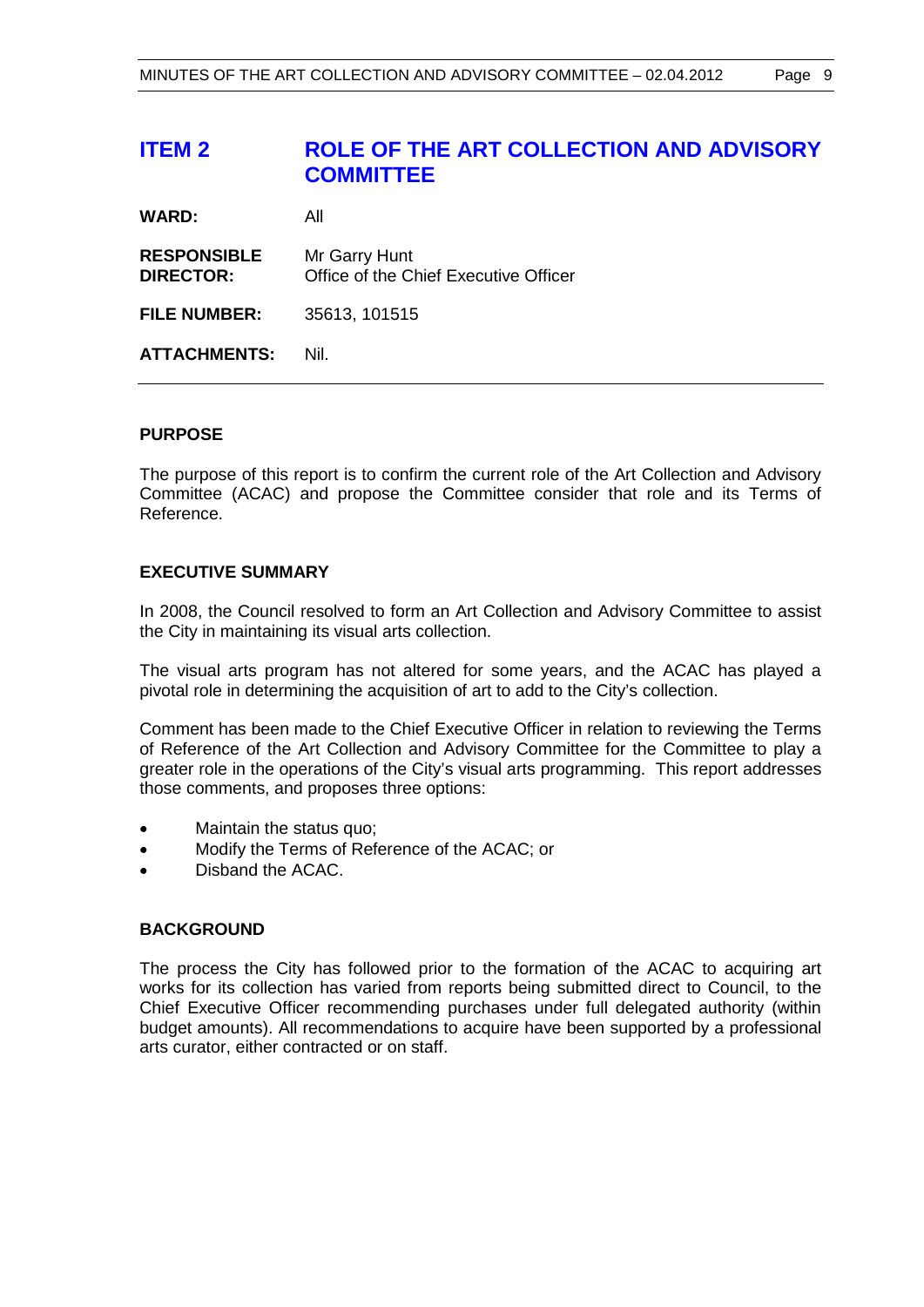# **ITEM 2 ROLE OF THE ART COLLECTION AND ADVISORY COMMITTEE**

| All                                                    |
|--------------------------------------------------------|
| Mr Garry Hunt<br>Office of the Chief Executive Officer |
| 35613, 101515                                          |
| Nil.                                                   |
|                                                        |

### **PURPOSE**

The purpose of this report is to confirm the current role of the Art Collection and Advisory Committee (ACAC) and propose the Committee consider that role and its Terms of Reference.

#### **EXECUTIVE SUMMARY**

In 2008, the Council resolved to form an Art Collection and Advisory Committee to assist the City in maintaining its visual arts collection.

The visual arts program has not altered for some years, and the ACAC has played a pivotal role in determining the acquisition of art to add to the City's collection.

Comment has been made to the Chief Executive Officer in relation to reviewing the Terms of Reference of the Art Collection and Advisory Committee for the Committee to play a greater role in the operations of the City's visual arts programming. This report addresses those comments, and proposes three options:

- Maintain the status quo;
- Modify the Terms of Reference of the ACAC; or
- Disband the ACAC.

#### **BACKGROUND**

The process the City has followed prior to the formation of the ACAC to acquiring art works for its collection has varied from reports being submitted direct to Council, to the Chief Executive Officer recommending purchases under full delegated authority (within budget amounts). All recommendations to acquire have been supported by a professional arts curator, either contracted or on staff.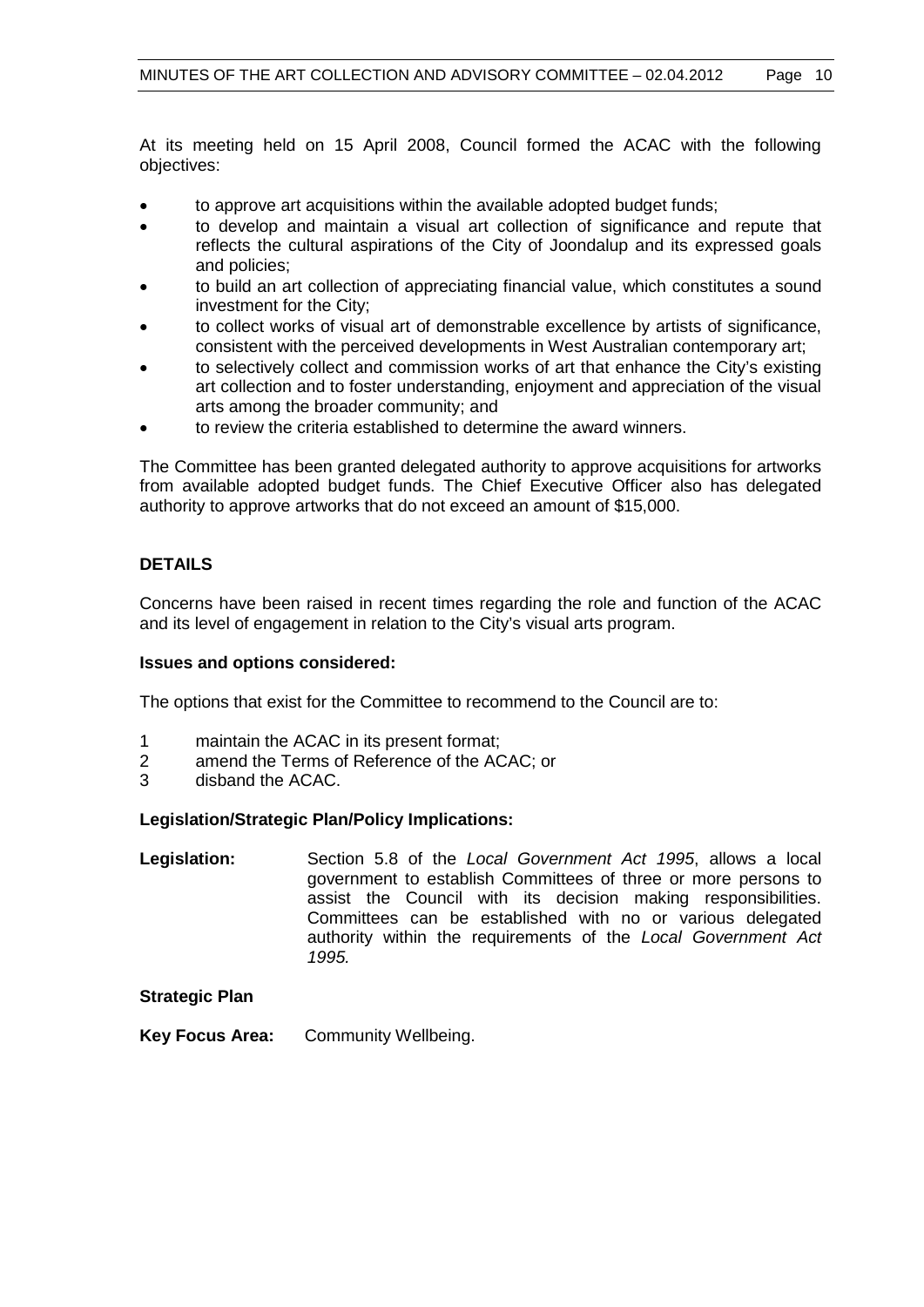At its meeting held on 15 April 2008, Council formed the ACAC with the following objectives:

- to approve art acquisitions within the available adopted budget funds;
- to develop and maintain a visual art collection of significance and repute that reflects the cultural aspirations of the City of Joondalup and its expressed goals and policies;
- to build an art collection of appreciating financial value, which constitutes a sound investment for the City;
- to collect works of visual art of demonstrable excellence by artists of significance, consistent with the perceived developments in West Australian contemporary art;
- to selectively collect and commission works of art that enhance the City's existing art collection and to foster understanding, enjoyment and appreciation of the visual arts among the broader community; and
- to review the criteria established to determine the award winners.

The Committee has been granted delegated authority to approve acquisitions for artworks from available adopted budget funds. The Chief Executive Officer also has delegated authority to approve artworks that do not exceed an amount of \$15,000.

# **DETAILS**

Concerns have been raised in recent times regarding the role and function of the ACAC and its level of engagement in relation to the City's visual arts program.

## **Issues and options considered:**

The options that exist for the Committee to recommend to the Council are to:

- 1 maintain the ACAC in its present format;<br>2 amend the Terms of Reference of the AC
- amend the Terms of Reference of the ACAC; or
- 3 disband the ACAC.

#### **Legislation/Strategic Plan/Policy Implications:**

**Legislation:** Section 5.8 of the *Local Government Act 1995*, allows a local government to establish Committees of three or more persons to assist the Council with its decision making responsibilities. Committees can be established with no or various delegated authority within the requirements of the *Local Government Act 1995.*

# **Strategic Plan**

**Key Focus Area:** Community Wellbeing.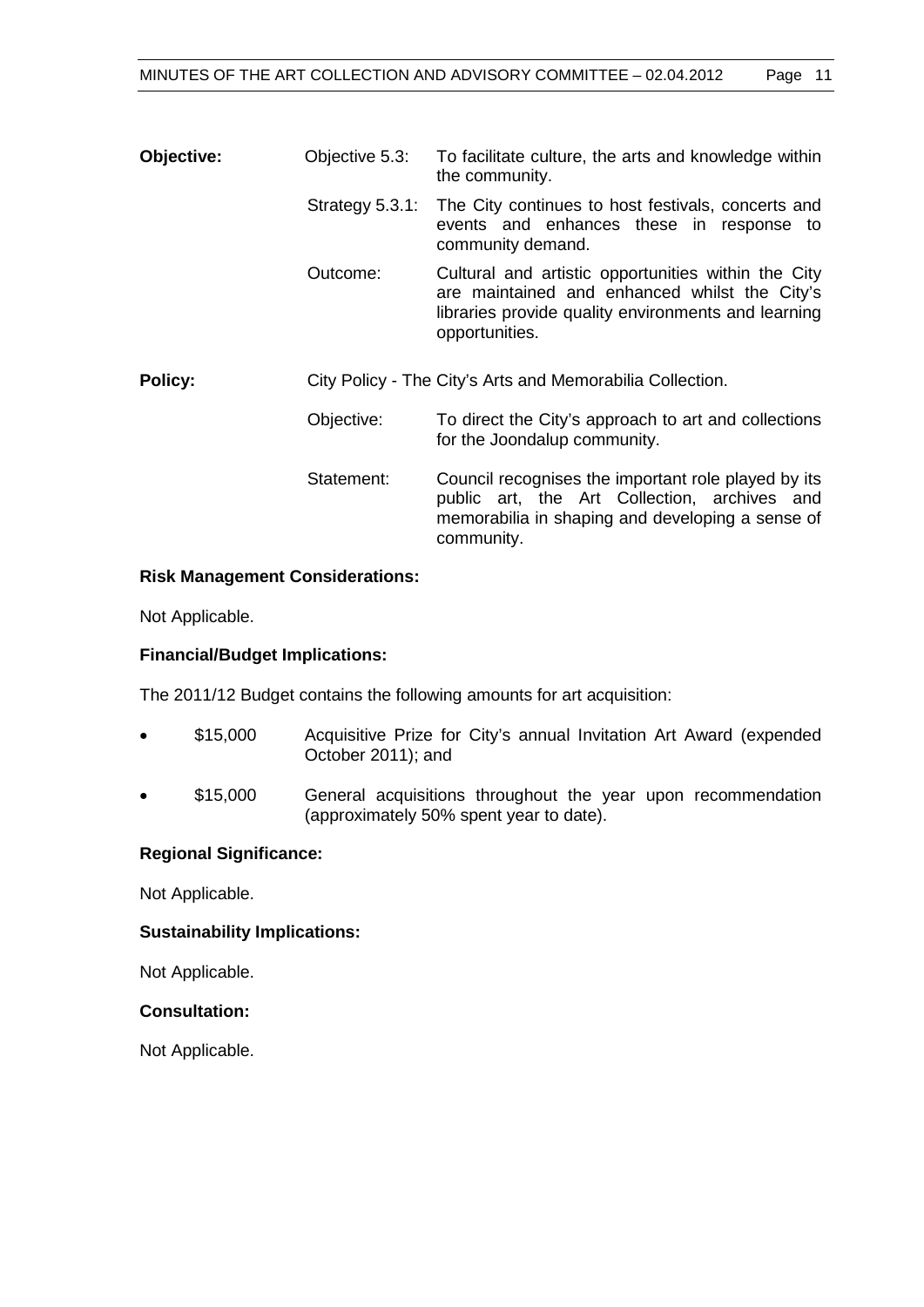| Objective:     | Objective 5.3:     | To facilitate culture, the arts and knowledge within<br>the community.                                                                                                        |
|----------------|--------------------|-------------------------------------------------------------------------------------------------------------------------------------------------------------------------------|
|                | Strategy $5.3.1$ : | The City continues to host festivals, concerts and<br>events and enhances these in response to<br>community demand.                                                           |
|                | Outcome:           | Cultural and artistic opportunities within the City<br>are maintained and enhanced whilst the City's<br>libraries provide quality environments and learning<br>opportunities. |
| <b>Policy:</b> |                    | City Policy - The City's Arts and Memorabilia Collection.                                                                                                                     |
|                | Objective:         | To direct the City's approach to art and collections<br>for the Joondalup community.                                                                                          |
|                | Statement:         | Council recognises the important role played by its<br>public art, the Art Collection, archives and<br>memorabilia in shaping and developing a sense of<br>community.         |

#### **Risk Management Considerations:**

Not Applicable.

# **Financial/Budget Implications:**

The 2011/12 Budget contains the following amounts for art acquisition:

- \$15,000 Acquisitive Prize for City's annual Invitation Art Award (expended October 2011); and
- \$15,000 General acquisitions throughout the year upon recommendation (approximately 50% spent year to date).

#### **Regional Significance:**

Not Applicable.

#### **Sustainability Implications:**

Not Applicable.

# **Consultation:**

Not Applicable.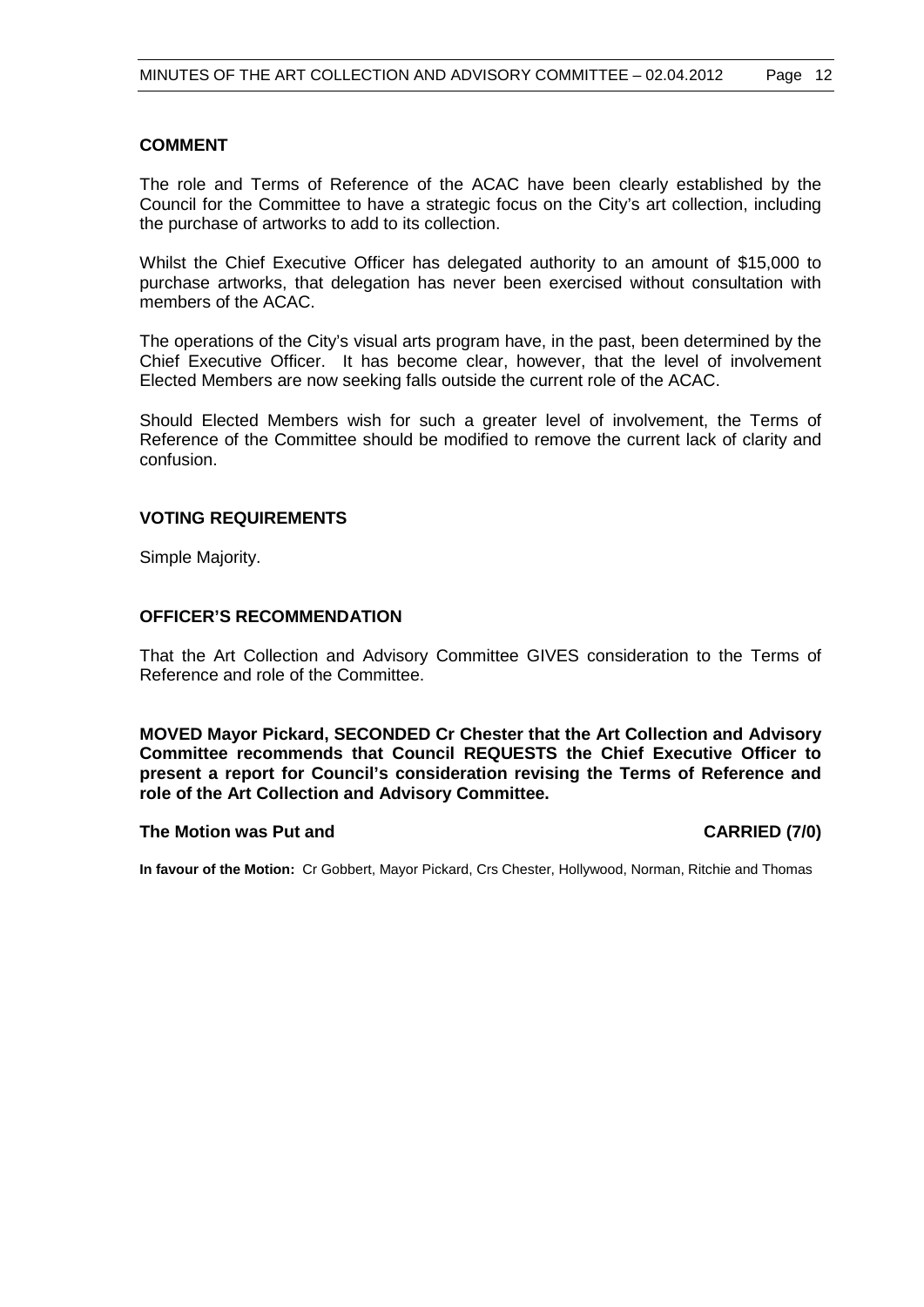# **COMMENT**

The role and Terms of Reference of the ACAC have been clearly established by the Council for the Committee to have a strategic focus on the City's art collection, including the purchase of artworks to add to its collection.

Whilst the Chief Executive Officer has delegated authority to an amount of \$15,000 to purchase artworks, that delegation has never been exercised without consultation with members of the ACAC.

The operations of the City's visual arts program have, in the past, been determined by the Chief Executive Officer. It has become clear, however, that the level of involvement Elected Members are now seeking falls outside the current role of the ACAC.

Should Elected Members wish for such a greater level of involvement, the Terms of Reference of the Committee should be modified to remove the current lack of clarity and confusion.

# **VOTING REQUIREMENTS**

Simple Majority.

#### **OFFICER'S RECOMMENDATION**

That the Art Collection and Advisory Committee GIVES consideration to the Terms of Reference and role of the Committee.

**MOVED Mayor Pickard, SECONDED Cr Chester that the Art Collection and Advisory Committee recommends that Council REQUESTS the Chief Executive Officer to present a report for Council's consideration revising the Terms of Reference and role of the Art Collection and Advisory Committee.**

#### **The Motion was Put and CARRIED (7/0)**

**In favour of the Motion:** Cr Gobbert, Mayor Pickard, Crs Chester, Hollywood, Norman, Ritchie and Thomas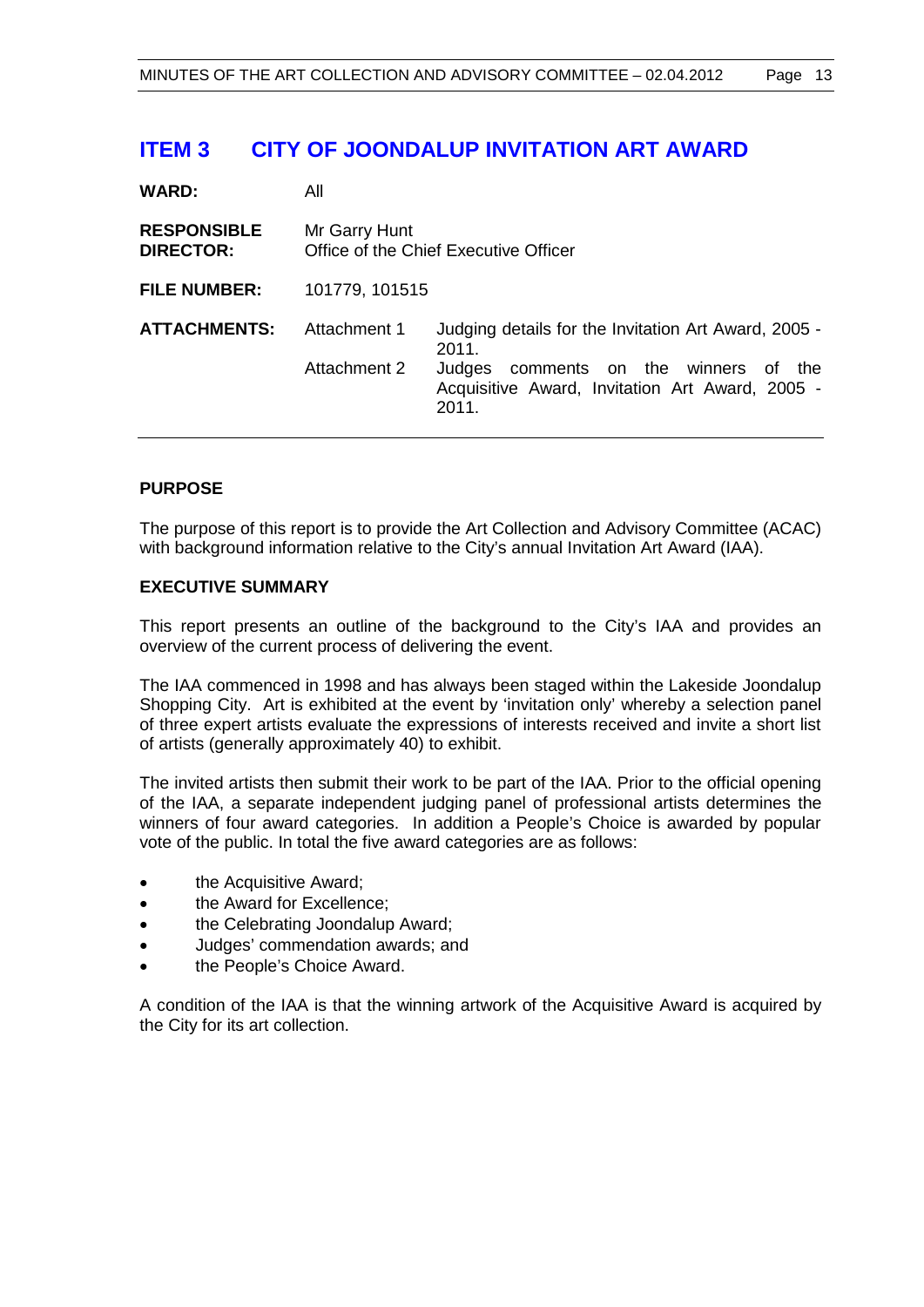# **ITEM 3 CITY OF JOONDALUP INVITATION ART AWARD**

| <b>WARD:</b>                           | All                                                    |                                                                                                                                                                       |  |
|----------------------------------------|--------------------------------------------------------|-----------------------------------------------------------------------------------------------------------------------------------------------------------------------|--|
| <b>RESPONSIBLE</b><br><b>DIRECTOR:</b> | Mr Garry Hunt<br>Office of the Chief Executive Officer |                                                                                                                                                                       |  |
| <b>FILE NUMBER:</b>                    | 101779, 101515                                         |                                                                                                                                                                       |  |
| <b>ATTACHMENTS:</b>                    | Attachment 1<br>Attachment 2                           | Judging details for the Invitation Art Award, 2005 -<br>2011.<br>comments on the winners of the<br>Judges<br>Acquisitive Award, Invitation Art Award, 2005 -<br>2011. |  |

# **PURPOSE**

The purpose of this report is to provide the Art Collection and Advisory Committee (ACAC) with background information relative to the City's annual Invitation Art Award (IAA).

#### **EXECUTIVE SUMMARY**

This report presents an outline of the background to the City's IAA and provides an overview of the current process of delivering the event.

The IAA commenced in 1998 and has always been staged within the Lakeside Joondalup Shopping City. Art is exhibited at the event by 'invitation only' whereby a selection panel of three expert artists evaluate the expressions of interests received and invite a short list of artists (generally approximately 40) to exhibit.

The invited artists then submit their work to be part of the IAA. Prior to the official opening of the IAA, a separate independent judging panel of professional artists determines the winners of four award categories. In addition a People's Choice is awarded by popular vote of the public. In total the five award categories are as follows:

- the Acquisitive Award;
- the Award for Excellence;
- the Celebrating Joondalup Award;
- Judges' commendation awards; and
- the People's Choice Award.

A condition of the IAA is that the winning artwork of the Acquisitive Award is acquired by the City for its art collection.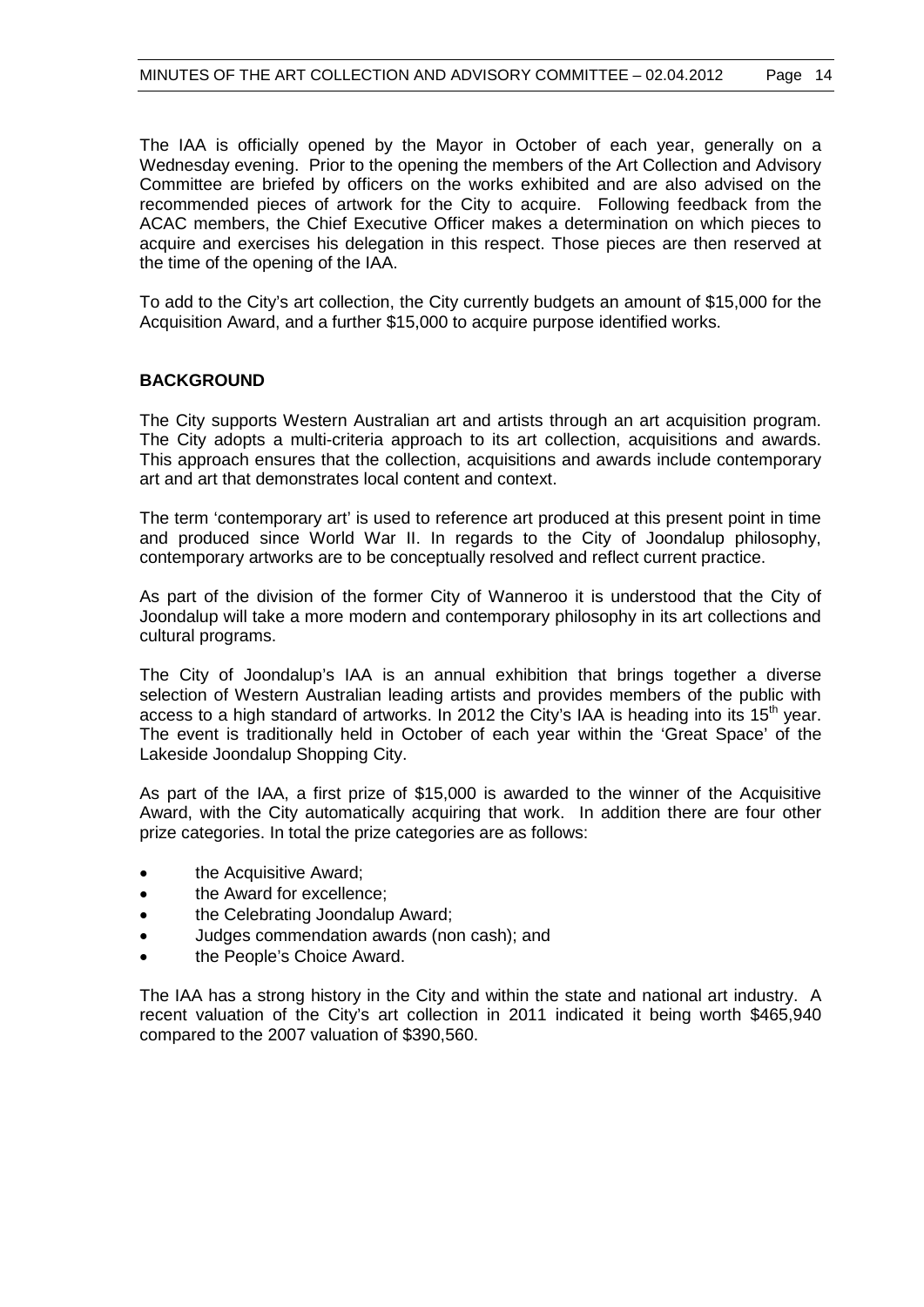The IAA is officially opened by the Mayor in October of each year, generally on a Wednesday evening. Prior to the opening the members of the Art Collection and Advisory Committee are briefed by officers on the works exhibited and are also advised on the recommended pieces of artwork for the City to acquire. Following feedback from the ACAC members, the Chief Executive Officer makes a determination on which pieces to acquire and exercises his delegation in this respect. Those pieces are then reserved at the time of the opening of the IAA.

To add to the City's art collection, the City currently budgets an amount of \$15,000 for the Acquisition Award, and a further \$15,000 to acquire purpose identified works.

# **BACKGROUND**

The City supports Western Australian art and artists through an art acquisition program. The City adopts a multi-criteria approach to its art collection, acquisitions and awards. This approach ensures that the collection, acquisitions and awards include contemporary art and art that demonstrates local content and context.

The term 'contemporary art' is used to reference art produced at this present point in time and produced since World War II. In regards to the City of Joondalup philosophy, contemporary artworks are to be conceptually resolved and reflect current practice.

As part of the division of the former City of Wanneroo it is understood that the City of Joondalup will take a more modern and contemporary philosophy in its art collections and cultural programs.

The City of Joondalup's IAA is an annual exhibition that brings together a diverse selection of Western Australian leading artists and provides members of the public with access to a high standard of artworks. In 2012 the City's IAA is heading into its  $15<sup>th</sup>$  year. The event is traditionally held in October of each year within the 'Great Space' of the Lakeside Joondalup Shopping City.

As part of the IAA, a first prize of \$15,000 is awarded to the winner of the Acquisitive Award, with the City automatically acquiring that work. In addition there are four other prize categories. In total the prize categories are as follows:

- the Acquisitive Award;
- the Award for excellence:
- the Celebrating Joondalup Award;
- Judges commendation awards (non cash); and
- the People's Choice Award.

The IAA has a strong history in the City and within the state and national art industry. A recent valuation of the City's art collection in 2011 indicated it being worth \$465,940 compared to the 2007 valuation of \$390,560.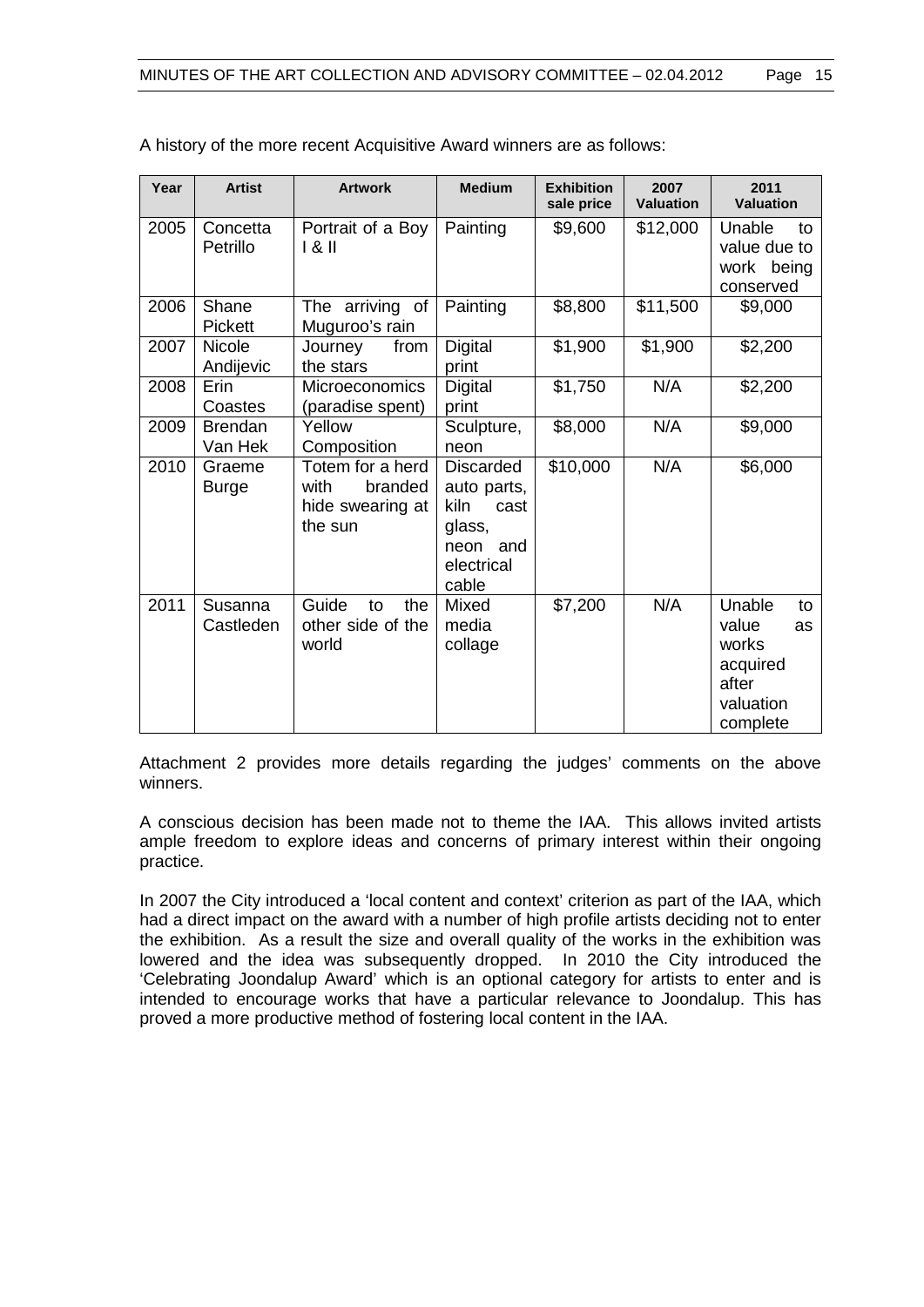| Year | <b>Artist</b>              | <b>Artwork</b>                                                     | <b>Medium</b>                                                                                | <b>Exhibition</b><br>sale price | 2007<br><b>Valuation</b> | 2011<br><b>Valuation</b>                                                           |
|------|----------------------------|--------------------------------------------------------------------|----------------------------------------------------------------------------------------------|---------------------------------|--------------------------|------------------------------------------------------------------------------------|
| 2005 | Concetta<br>Petrillo       | Portrait of a Boy<br>181                                           | Painting                                                                                     | \$9,600                         | \$12,000                 | Unable<br>to<br>value due to<br>work being<br>conserved                            |
| 2006 | Shane<br><b>Pickett</b>    | The arriving of<br>Muguroo's rain                                  | Painting                                                                                     | \$8,800                         | \$11,500                 | \$9,000                                                                            |
| 2007 | <b>Nicole</b><br>Andijevic | Journey<br>from<br>the stars                                       | <b>Digital</b><br>print                                                                      | \$1,900                         | \$1,900                  | \$2,200                                                                            |
| 2008 | Erin<br>Coastes            | <b>Microeconomics</b><br>(paradise spent)                          | <b>Digital</b><br>print                                                                      | \$1,750                         | N/A                      | \$2,200                                                                            |
| 2009 | <b>Brendan</b><br>Van Hek  | Yellow<br>Composition                                              | Sculpture,<br>neon                                                                           | \$8,000                         | N/A                      | \$9,000                                                                            |
| 2010 | Graeme<br><b>Burge</b>     | Totem for a herd<br>branded<br>with<br>hide swearing at<br>the sun | <b>Discarded</b><br>auto parts,<br>kiln<br>cast<br>glass,<br>neon and<br>electrical<br>cable | \$10,000                        | N/A                      | \$6,000                                                                            |
| 2011 | Susanna<br>Castleden       | Guide<br>the<br>to<br>other side of the<br>world                   | Mixed<br>media<br>collage                                                                    | \$7,200                         | N/A                      | Unable<br>to<br>value<br>as<br>works<br>acquired<br>after<br>valuation<br>complete |

A history of the more recent Acquisitive Award winners are as follows:

Attachment 2 provides more details regarding the judges' comments on the above winners.

A conscious decision has been made not to theme the IAA. This allows invited artists ample freedom to explore ideas and concerns of primary interest within their ongoing practice.

In 2007 the City introduced a 'local content and context' criterion as part of the IAA, which had a direct impact on the award with a number of high profile artists deciding not to enter the exhibition. As a result the size and overall quality of the works in the exhibition was lowered and the idea was subsequently dropped. In 2010 the City introduced the 'Celebrating Joondalup Award' which is an optional category for artists to enter and is intended to encourage works that have a particular relevance to Joondalup. This has proved a more productive method of fostering local content in the IAA.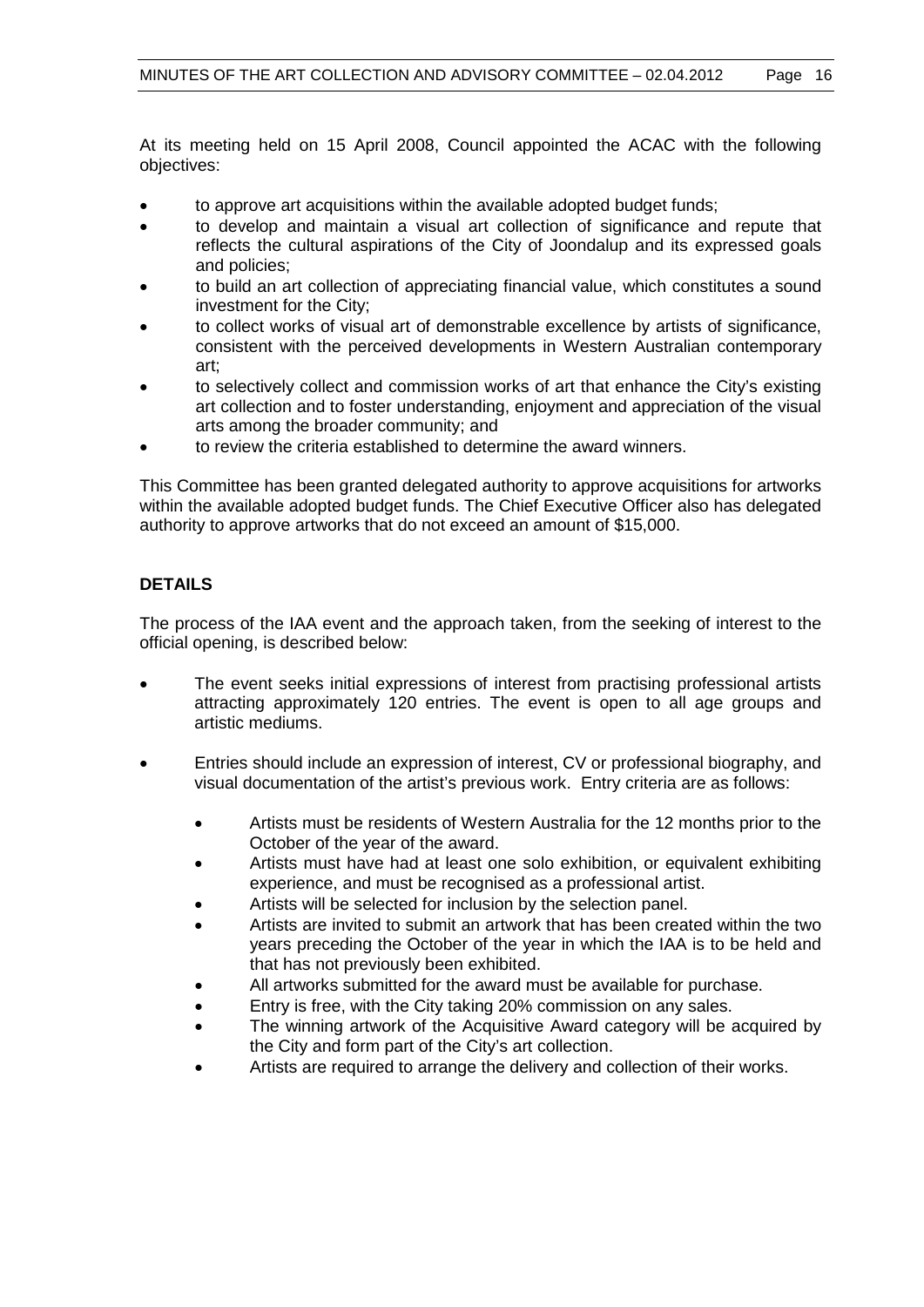At its meeting held on 15 April 2008, Council appointed the ACAC with the following objectives:

- to approve art acquisitions within the available adopted budget funds;
- to develop and maintain a visual art collection of significance and repute that reflects the cultural aspirations of the City of Joondalup and its expressed goals and policies;
- to build an art collection of appreciating financial value, which constitutes a sound investment for the City;
- to collect works of visual art of demonstrable excellence by artists of significance, consistent with the perceived developments in Western Australian contemporary art;
- to selectively collect and commission works of art that enhance the City's existing art collection and to foster understanding, enjoyment and appreciation of the visual arts among the broader community; and
- to review the criteria established to determine the award winners.

This Committee has been granted delegated authority to approve acquisitions for artworks within the available adopted budget funds. The Chief Executive Officer also has delegated authority to approve artworks that do not exceed an amount of \$15,000.

# **DETAILS**

The process of the IAA event and the approach taken, from the seeking of interest to the official opening, is described below:

- The event seeks initial expressions of interest from practising professional artists attracting approximately 120 entries. The event is open to all age groups and artistic mediums.
- Entries should include an expression of interest, CV or professional biography, and visual documentation of the artist's previous work. Entry criteria are as follows:
	- Artists must be residents of Western Australia for the 12 months prior to the October of the year of the award.
	- Artists must have had at least one solo exhibition, or equivalent exhibiting experience, and must be recognised as a professional artist.
	- Artists will be selected for inclusion by the selection panel.
	- Artists are invited to submit an artwork that has been created within the two years preceding the October of the year in which the IAA is to be held and that has not previously been exhibited.
	- All artworks submitted for the award must be available for purchase.
	- Entry is free, with the City taking 20% commission on any sales.
	- The winning artwork of the Acquisitive Award category will be acquired by the City and form part of the City's art collection.
	- Artists are required to arrange the delivery and collection of their works.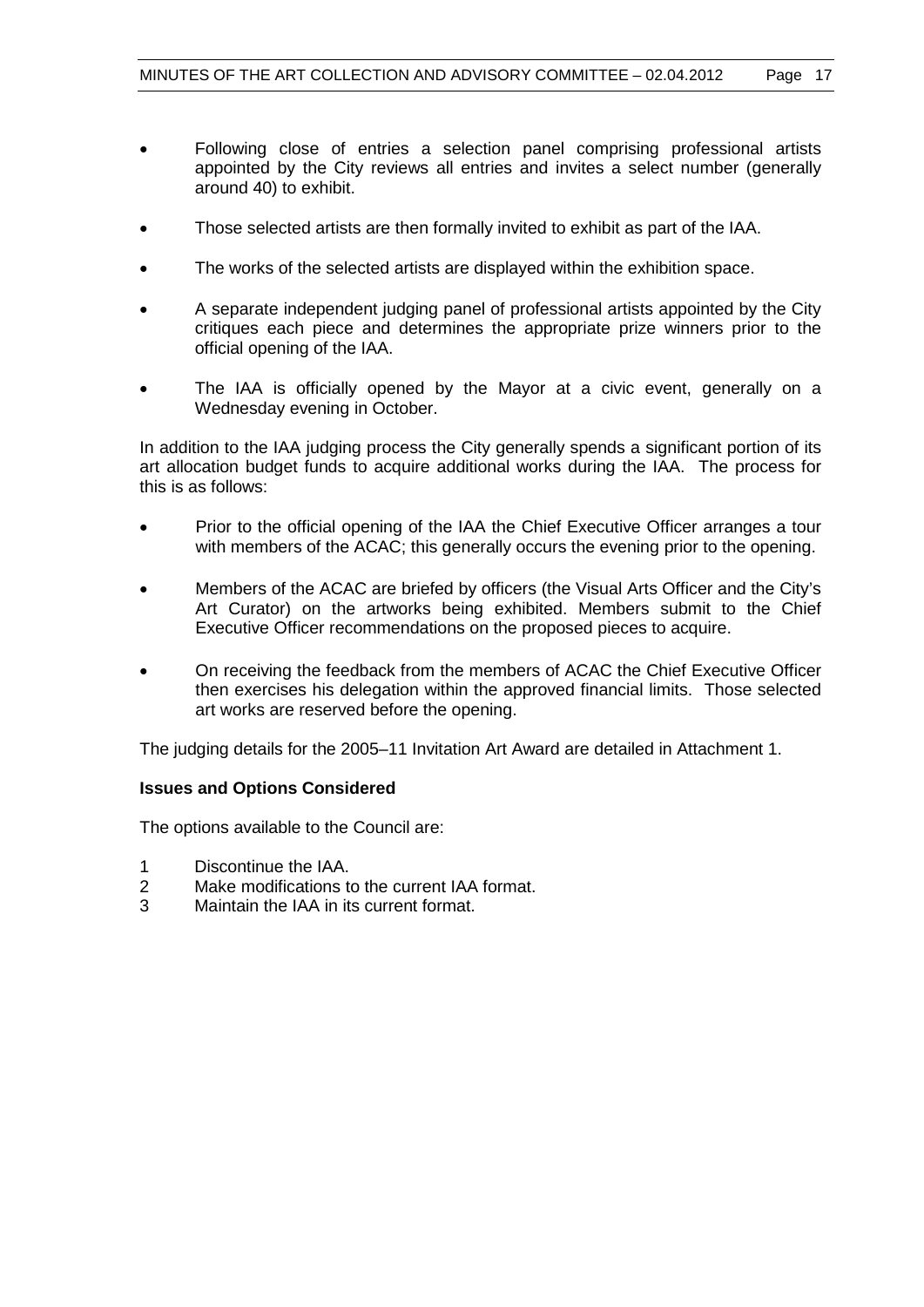- Following close of entries a selection panel comprising professional artists appointed by the City reviews all entries and invites a select number (generally around 40) to exhibit.
- Those selected artists are then formally invited to exhibit as part of the IAA.
- The works of the selected artists are displayed within the exhibition space.
- A separate independent judging panel of professional artists appointed by the City critiques each piece and determines the appropriate prize winners prior to the official opening of the IAA.
- The IAA is officially opened by the Mayor at a civic event, generally on a Wednesday evening in October.

In addition to the IAA judging process the City generally spends a significant portion of its art allocation budget funds to acquire additional works during the IAA. The process for this is as follows:

- Prior to the official opening of the IAA the Chief Executive Officer arranges a tour with members of the ACAC; this generally occurs the evening prior to the opening.
- Members of the ACAC are briefed by officers (the Visual Arts Officer and the City's Art Curator) on the artworks being exhibited. Members submit to the Chief Executive Officer recommendations on the proposed pieces to acquire.
- On receiving the feedback from the members of ACAC the Chief Executive Officer then exercises his delegation within the approved financial limits. Those selected art works are reserved before the opening.

The judging details for the 2005–11 Invitation Art Award are detailed in Attachment 1.

#### **Issues and Options Considered**

The options available to the Council are:

- 1 Discontinue the IAA.
- 2 Make modifications to the current IAA format.
- 3 Maintain the IAA in its current format.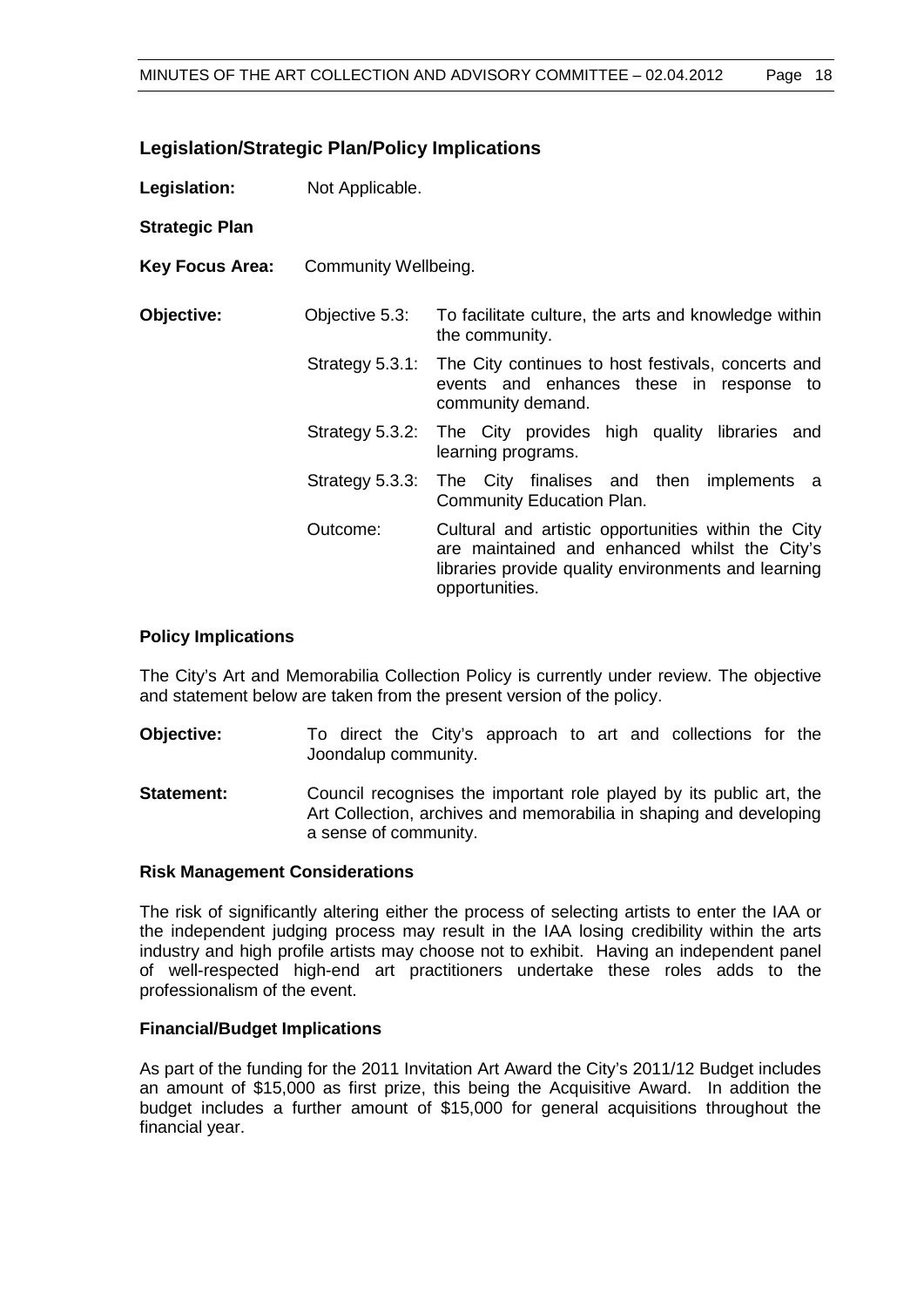| <b>Legislation/Strategic Plan/Policy Implications</b> |  |  |
|-------------------------------------------------------|--|--|
|-------------------------------------------------------|--|--|

| Legislation:           | Not Applicable.      |                                                                                                                                                                               |
|------------------------|----------------------|-------------------------------------------------------------------------------------------------------------------------------------------------------------------------------|
| <b>Strategic Plan</b>  |                      |                                                                                                                                                                               |
| <b>Key Focus Area:</b> | Community Wellbeing. |                                                                                                                                                                               |
| Objective:             | Objective 5.3:       | To facilitate culture, the arts and knowledge within<br>the community.                                                                                                        |
|                        |                      | Strategy 5.3.1: The City continues to host festivals, concerts and<br>events and enhances these in response to<br>community demand.                                           |
|                        | Strategy 5.3.2:      | The City provides high quality libraries and<br>learning programs.                                                                                                            |
|                        | Strategy 5.3.3:      | The City finalises and then implements a<br>Community Education Plan.                                                                                                         |
|                        | Outcome:             | Cultural and artistic opportunities within the City<br>are maintained and enhanced whilst the City's<br>libraries provide quality environments and learning<br>opportunities. |

#### **Policy Implications**

The City's Art and Memorabilia Collection Policy is currently under review. The objective and statement below are taken from the present version of the policy.

- **Objective:** To direct the City's approach to art and collections for the Joondalup community.
- **Statement:** Council recognises the important role played by its public art, the Art Collection, archives and memorabilia in shaping and developing a sense of community.

#### **Risk Management Considerations**

The risk of significantly altering either the process of selecting artists to enter the IAA or the independent judging process may result in the IAA losing credibility within the arts industry and high profile artists may choose not to exhibit. Having an independent panel of well-respected high-end art practitioners undertake these roles adds to the professionalism of the event.

### **Financial/Budget Implications**

As part of the funding for the 2011 Invitation Art Award the City's 2011/12 Budget includes an amount of \$15,000 as first prize, this being the Acquisitive Award. In addition the budget includes a further amount of \$15,000 for general acquisitions throughout the financial year.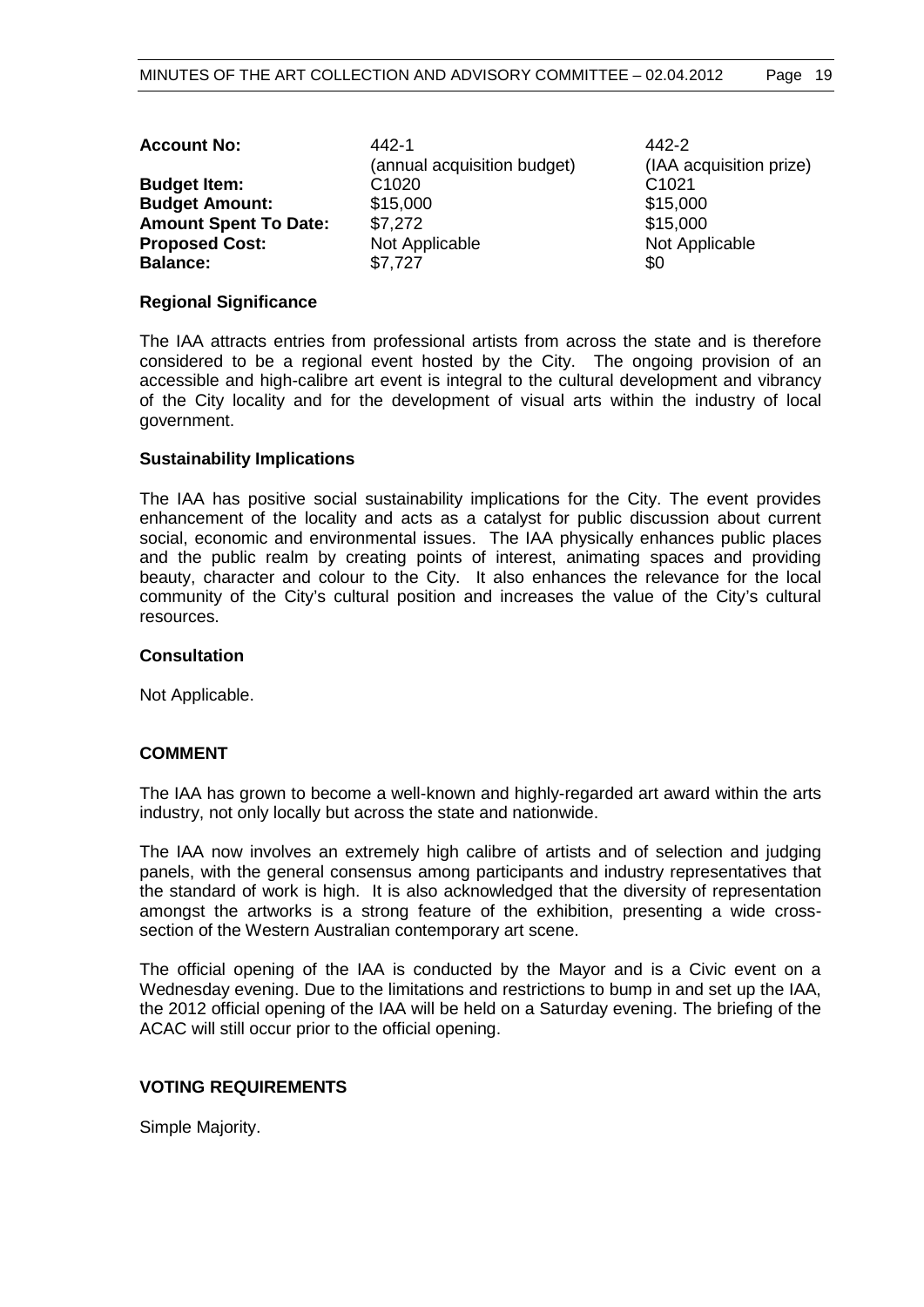| <b>Account No:</b>           | 442-1                       | 442-2                   |
|------------------------------|-----------------------------|-------------------------|
|                              | (annual acquisition budget) | (IAA acquisition prize) |
| <b>Budget Item:</b>          | C <sub>1020</sub>           | C <sub>1021</sub>       |
| <b>Budget Amount:</b>        | \$15,000                    | \$15,000                |
| <b>Amount Spent To Date:</b> | \$7,272                     | \$15,000                |
| <b>Proposed Cost:</b>        | Not Applicable              | Not Applicable          |
| <b>Balance:</b>              | \$7,727                     | \$0                     |

#### **Regional Significance**

The IAA attracts entries from professional artists from across the state and is therefore considered to be a regional event hosted by the City. The ongoing provision of an accessible and high-calibre art event is integral to the cultural development and vibrancy of the City locality and for the development of visual arts within the industry of local government.

#### **Sustainability Implications**

The IAA has positive social sustainability implications for the City. The event provides enhancement of the locality and acts as a catalyst for public discussion about current social, economic and environmental issues. The IAA physically enhances public places and the public realm by creating points of interest, animating spaces and providing beauty, character and colour to the City. It also enhances the relevance for the local community of the City's cultural position and increases the value of the City's cultural resources.

#### **Consultation**

Not Applicable.

#### **COMMENT**

The IAA has grown to become a well-known and highly-regarded art award within the arts industry, not only locally but across the state and nationwide.

The IAA now involves an extremely high calibre of artists and of selection and judging panels, with the general consensus among participants and industry representatives that the standard of work is high. It is also acknowledged that the diversity of representation amongst the artworks is a strong feature of the exhibition, presenting a wide crosssection of the Western Australian contemporary art scene.

The official opening of the IAA is conducted by the Mayor and is a Civic event on a Wednesday evening. Due to the limitations and restrictions to bump in and set up the IAA, the 2012 official opening of the IAA will be held on a Saturday evening. The briefing of the ACAC will still occur prior to the official opening.

#### **VOTING REQUIREMENTS**

Simple Majority.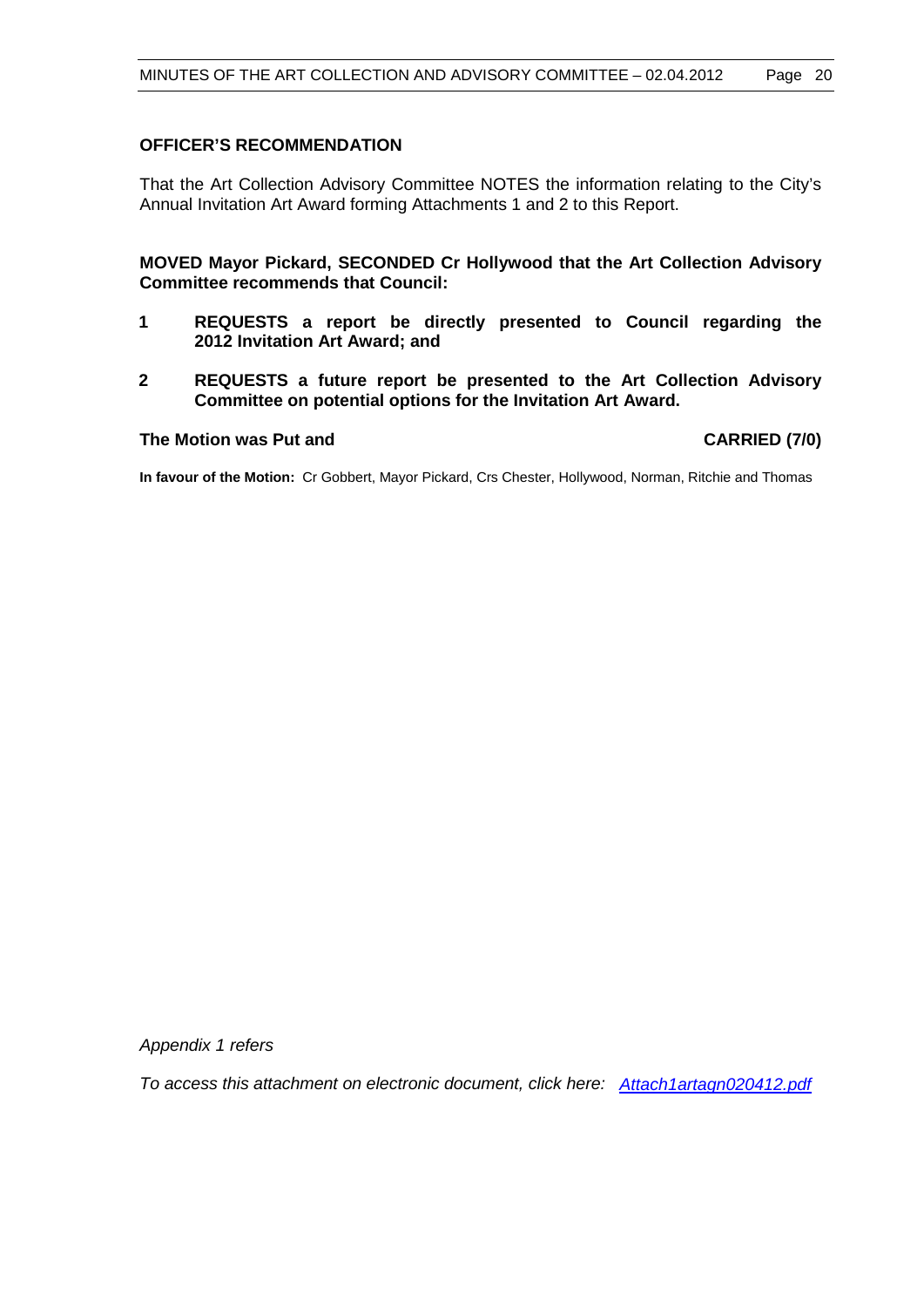# **OFFICER'S RECOMMENDATION**

That the Art Collection Advisory Committee NOTES the information relating to the City's Annual Invitation Art Award forming Attachments 1 and 2 to this Report.

**MOVED Mayor Pickard, SECONDED Cr Hollywood that the Art Collection Advisory Committee recommends that Council:**

- **1 REQUESTS a report be directly presented to Council regarding the 2012 Invitation Art Award; and**
- **2 REQUESTS a future report be presented to the Art Collection Advisory Committee on potential options for the Invitation Art Award.**

#### **The Motion was Put and CARRIED (7/0)**

**In favour of the Motion:** Cr Gobbert, Mayor Pickard, Crs Chester, Hollywood, Norman, Ritchie and Thomas

*Appendix 1 refers*

*To access this attachment on electronic document, click here: <Attach1artagn020412.pdf>*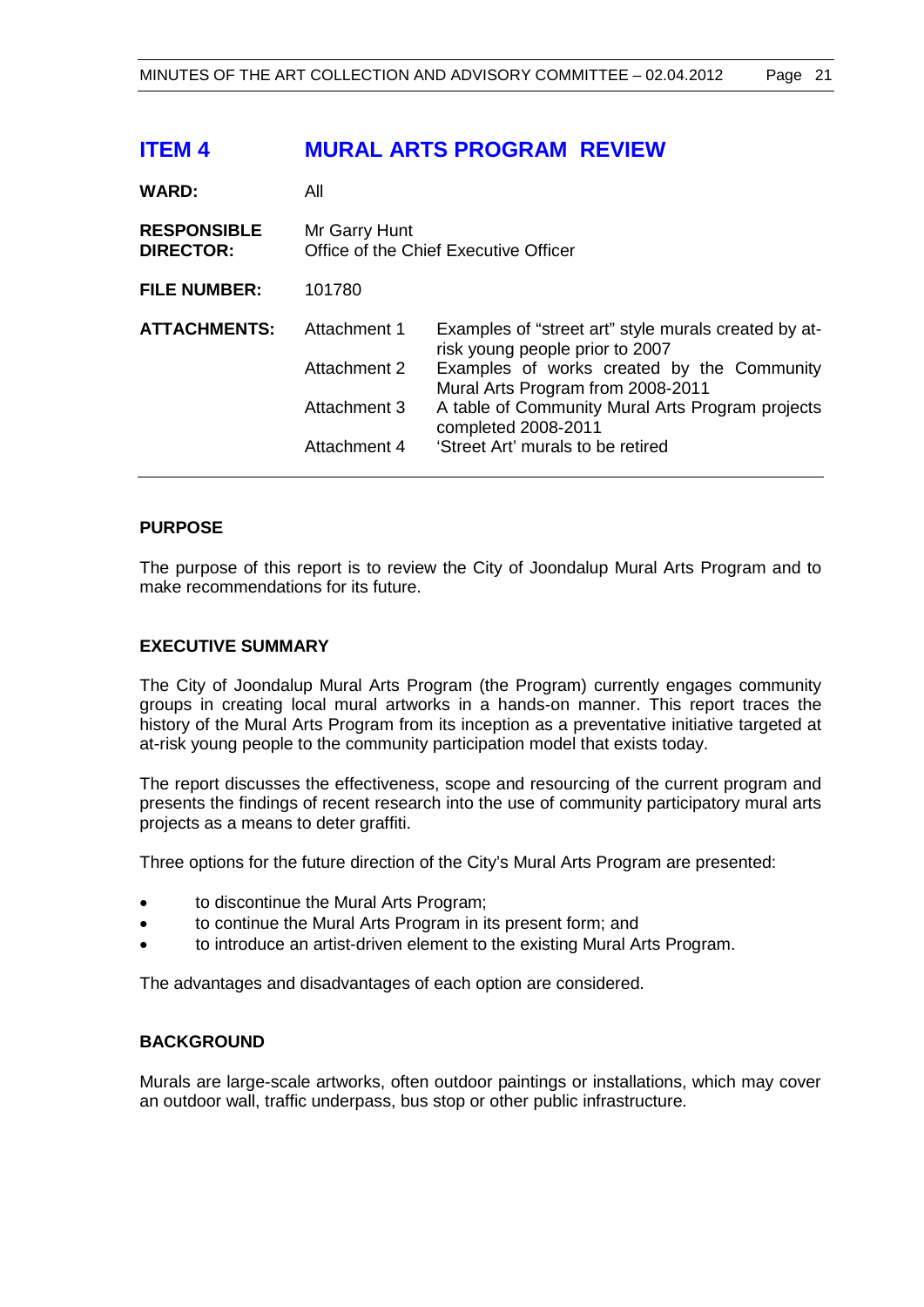# **ITEM 4 MURAL ARTS PROGRAM REVIEW**

| <b>WARD:</b>                           | All                                                    |                                                                                         |  |
|----------------------------------------|--------------------------------------------------------|-----------------------------------------------------------------------------------------|--|
| <b>RESPONSIBLE</b><br><b>DIRECTOR:</b> | Mr Garry Hunt<br>Office of the Chief Executive Officer |                                                                                         |  |
| <b>FILE NUMBER:</b>                    | 101780                                                 |                                                                                         |  |
| <b>ATTACHMENTS:</b>                    | Attachment 1                                           | Examples of "street art" style murals created by at-<br>risk young people prior to 2007 |  |
|                                        | Attachment 2                                           | Examples of works created by the Community<br>Mural Arts Program from 2008-2011         |  |
|                                        | Attachment 3                                           | A table of Community Mural Arts Program projects<br>completed 2008-2011                 |  |
|                                        | Attachment 4                                           | 'Street Art' murals to be retired                                                       |  |

# **PURPOSE**

The purpose of this report is to review the City of Joondalup Mural Arts Program and to make recommendations for its future.

# **EXECUTIVE SUMMARY**

The City of Joondalup Mural Arts Program (the Program) currently engages community groups in creating local mural artworks in a hands-on manner. This report traces the history of the Mural Arts Program from its inception as a preventative initiative targeted at at-risk young people to the community participation model that exists today.

The report discusses the effectiveness, scope and resourcing of the current program and presents the findings of recent research into the use of community participatory mural arts projects as a means to deter graffiti.

Three options for the future direction of the City's Mural Arts Program are presented:

- to discontinue the Mural Arts Program;
- to continue the Mural Arts Program in its present form; and
- to introduce an artist-driven element to the existing Mural Arts Program.

The advantages and disadvantages of each option are considered.

#### **BACKGROUND**

Murals are large-scale artworks, often outdoor paintings or installations, which may cover an outdoor wall, traffic underpass, bus stop or other public infrastructure.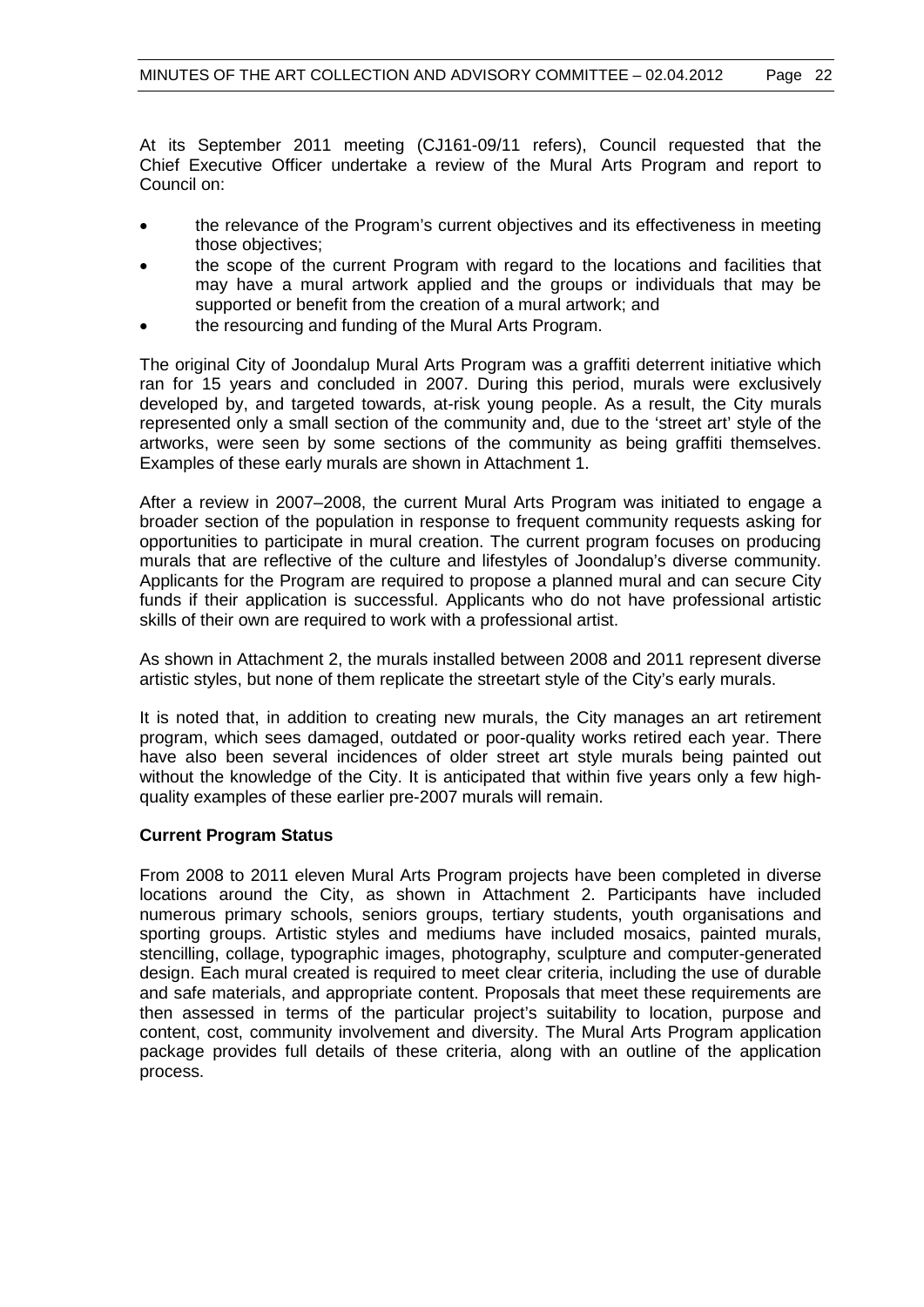At its September 2011 meeting (CJ161-09/11 refers), Council requested that the Chief Executive Officer undertake a review of the Mural Arts Program and report to Council on:

- the relevance of the Program's current objectives and its effectiveness in meeting those objectives;
- the scope of the current Program with regard to the locations and facilities that may have a mural artwork applied and the groups or individuals that may be supported or benefit from the creation of a mural artwork; and
- the resourcing and funding of the Mural Arts Program.

The original City of Joondalup Mural Arts Program was a graffiti deterrent initiative which ran for 15 years and concluded in 2007. During this period, murals were exclusively developed by, and targeted towards, at-risk young people. As a result, the City murals represented only a small section of the community and, due to the 'street art' style of the artworks, were seen by some sections of the community as being graffiti themselves. Examples of these early murals are shown in Attachment 1.

After a review in 2007–2008, the current Mural Arts Program was initiated to engage a broader section of the population in response to frequent community requests asking for opportunities to participate in mural creation. The current program focuses on producing murals that are reflective of the culture and lifestyles of Joondalup's diverse community. Applicants for the Program are required to propose a planned mural and can secure City funds if their application is successful. Applicants who do not have professional artistic skills of their own are required to work with a professional artist.

As shown in Attachment 2, the murals installed between 2008 and 2011 represent diverse artistic styles, but none of them replicate the streetart style of the City's early murals.

It is noted that, in addition to creating new murals, the City manages an art retirement program, which sees damaged, outdated or poor-quality works retired each year. There have also been several incidences of older street art style murals being painted out without the knowledge of the City. It is anticipated that within five years only a few highquality examples of these earlier pre-2007 murals will remain.

#### **Current Program Status**

From 2008 to 2011 eleven Mural Arts Program projects have been completed in diverse locations around the City, as shown in Attachment 2. Participants have included numerous primary schools, seniors groups, tertiary students, youth organisations and sporting groups. Artistic styles and mediums have included mosaics, painted murals, stencilling, collage, typographic images, photography, sculpture and computer-generated design. Each mural created is required to meet clear criteria, including the use of durable and safe materials, and appropriate content. Proposals that meet these requirements are then assessed in terms of the particular project's suitability to location, purpose and content, cost, community involvement and diversity. The Mural Arts Program application package provides full details of these criteria, along with an outline of the application process.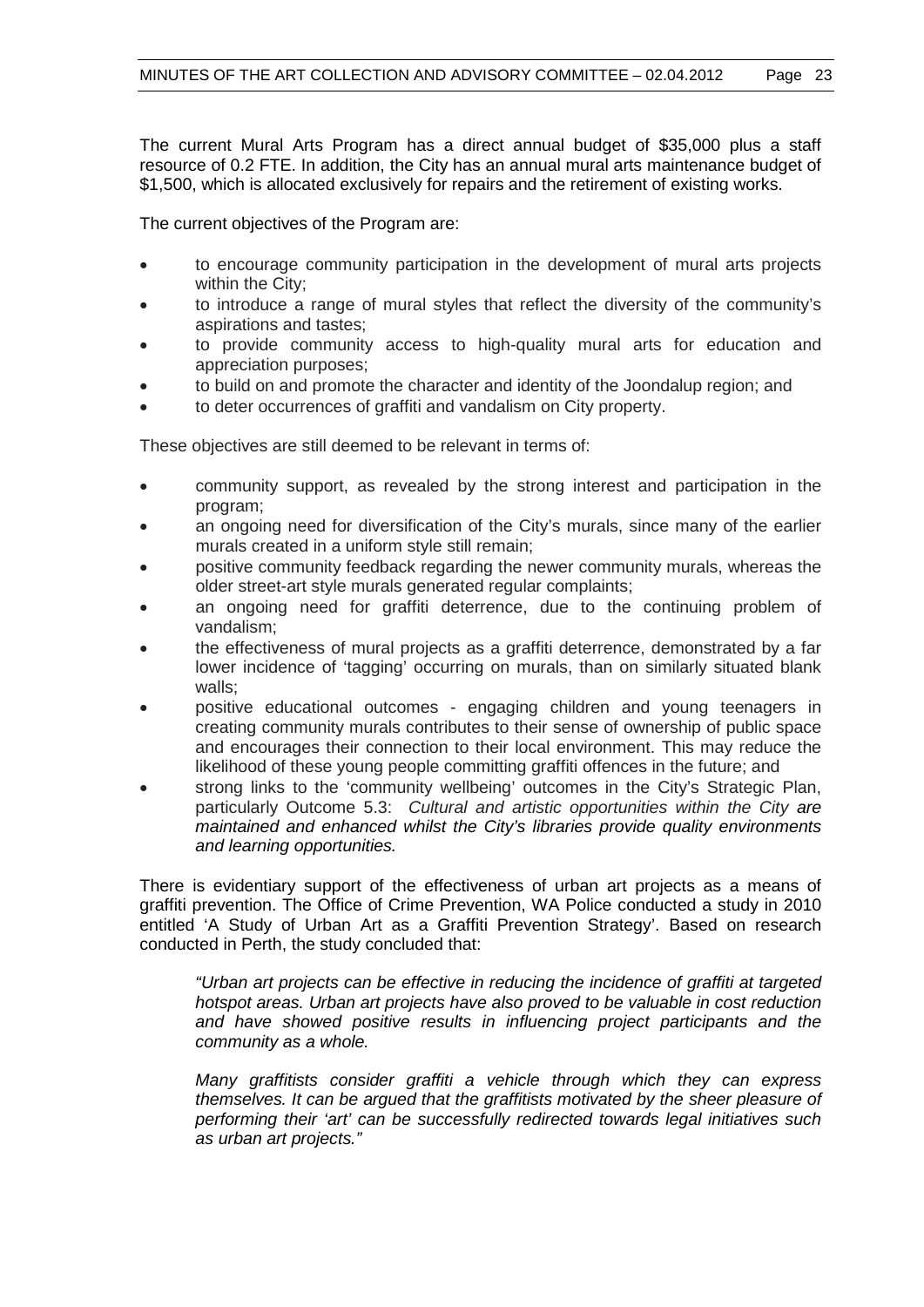The current Mural Arts Program has a direct annual budget of \$35,000 plus a staff resource of 0.2 FTE. In addition, the City has an annual mural arts maintenance budget of \$1,500, which is allocated exclusively for repairs and the retirement of existing works.

The current objectives of the Program are:

- to encourage community participation in the development of mural arts projects within the City;
- to introduce a range of mural styles that reflect the diversity of the community's aspirations and tastes;
- to provide community access to high-quality mural arts for education and appreciation purposes;
- to build on and promote the character and identity of the Joondalup region; and
- to deter occurrences of graffiti and vandalism on City property.

These objectives are still deemed to be relevant in terms of:

- community support, as revealed by the strong interest and participation in the program;
- an ongoing need for diversification of the City's murals, since many of the earlier murals created in a uniform style still remain;
- positive community feedback regarding the newer community murals, whereas the older street-art style murals generated regular complaints;
- an ongoing need for graffiti deterrence, due to the continuing problem of vandalism;
- the effectiveness of mural projects as a graffiti deterrence, demonstrated by a far lower incidence of 'tagging' occurring on murals, than on similarly situated blank walls;
- positive educational outcomes engaging children and young teenagers in creating community murals contributes to their sense of ownership of public space and encourages their connection to their local environment. This may reduce the likelihood of these young people committing graffiti offences in the future; and
- strong links to the 'community wellbeing' outcomes in the City's Strategic Plan, particularly Outcome 5.3: *Cultural and artistic opportunities within the City are maintained and enhanced whilst the City's libraries provide quality environments and learning opportunities.*

There is evidentiary support of the effectiveness of urban art projects as a means of graffiti prevention. The Office of Crime Prevention, WA Police conducted a study in 2010 entitled 'A Study of Urban Art as a Graffiti Prevention Strategy'. Based on research conducted in Perth, the study concluded that:

*"Urban art projects can be effective in reducing the incidence of graffiti at targeted hotspot areas. Urban art projects have also proved to be valuable in cost reduction and have showed positive results in influencing project participants and the community as a whole.*

*Many graffitists consider graffiti a vehicle through which they can express themselves. It can be argued that the graffitists motivated by the sheer pleasure of performing their 'art' can be successfully redirected towards legal initiatives such as urban art projects."*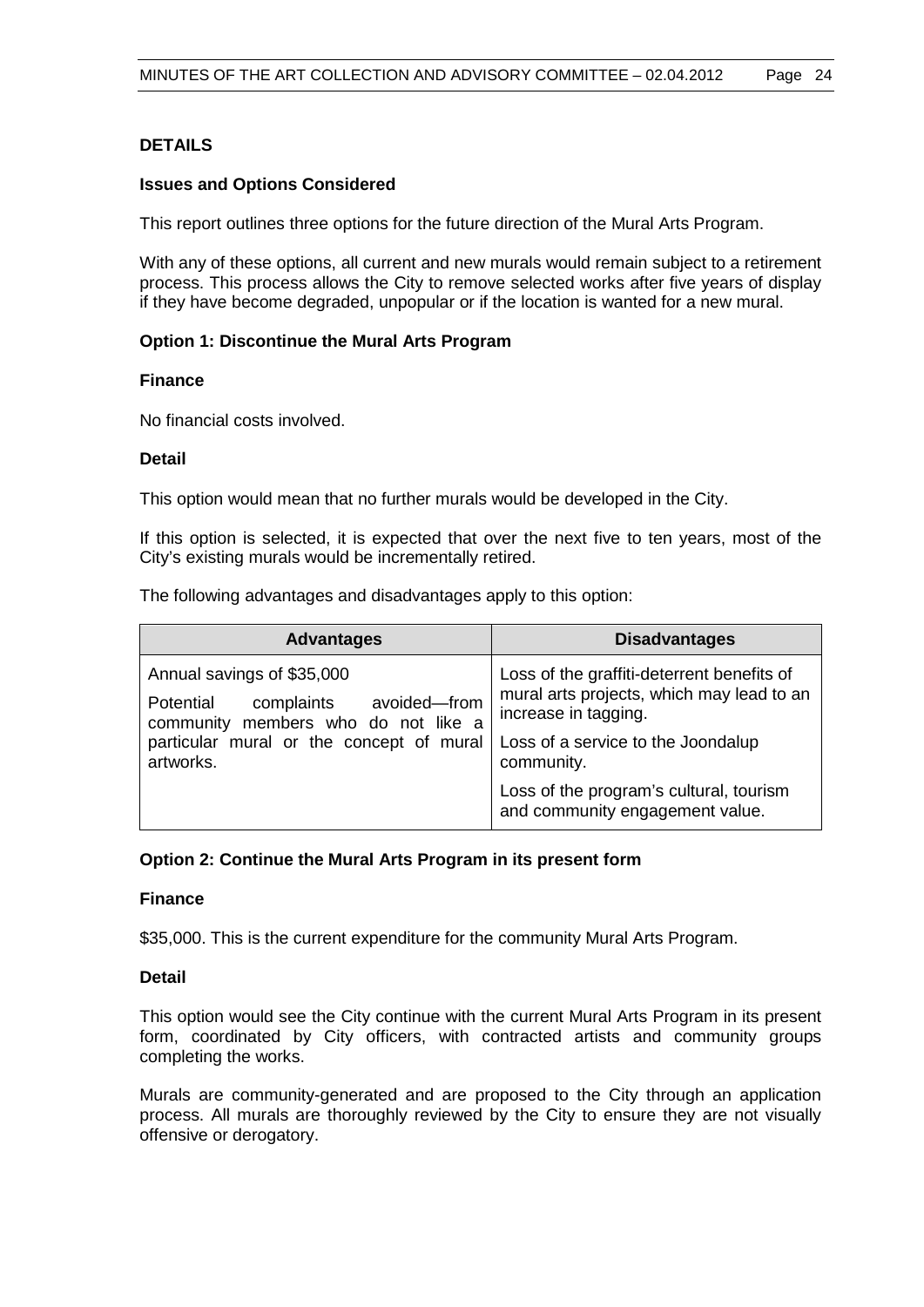# **DETAILS**

#### **Issues and Options Considered**

This report outlines three options for the future direction of the Mural Arts Program.

With any of these options, all current and new murals would remain subject to a retirement process. This process allows the City to remove selected works after five years of display if they have become degraded, unpopular or if the location is wanted for a new mural.

#### **Option 1: Discontinue the Mural Arts Program**

#### **Finance**

No financial costs involved.

#### **Detail**

This option would mean that no further murals would be developed in the City.

If this option is selected, it is expected that over the next five to ten years, most of the City's existing murals would be incrementally retired.

The following advantages and disadvantages apply to this option:

| <b>Advantages</b>                                                                                                                                                     | <b>Disadvantages</b>                                                                                                                                                |
|-----------------------------------------------------------------------------------------------------------------------------------------------------------------------|---------------------------------------------------------------------------------------------------------------------------------------------------------------------|
| Annual savings of \$35,000<br>avoided-from<br>Potential<br>complaints<br>community members who do not like a<br>particular mural or the concept of mural<br>artworks. | Loss of the graffiti-deterrent benefits of<br>mural arts projects, which may lead to an<br>increase in tagging.<br>Loss of a service to the Joondalup<br>community. |
|                                                                                                                                                                       | Loss of the program's cultural, tourism<br>and community engagement value.                                                                                          |

#### **Option 2: Continue the Mural Arts Program in its present form**

#### **Finance**

\$35,000. This is the current expenditure for the community Mural Arts Program.

# **Detail**

This option would see the City continue with the current Mural Arts Program in its present form, coordinated by City officers, with contracted artists and community groups completing the works.

Murals are community-generated and are proposed to the City through an application process. All murals are thoroughly reviewed by the City to ensure they are not visually offensive or derogatory.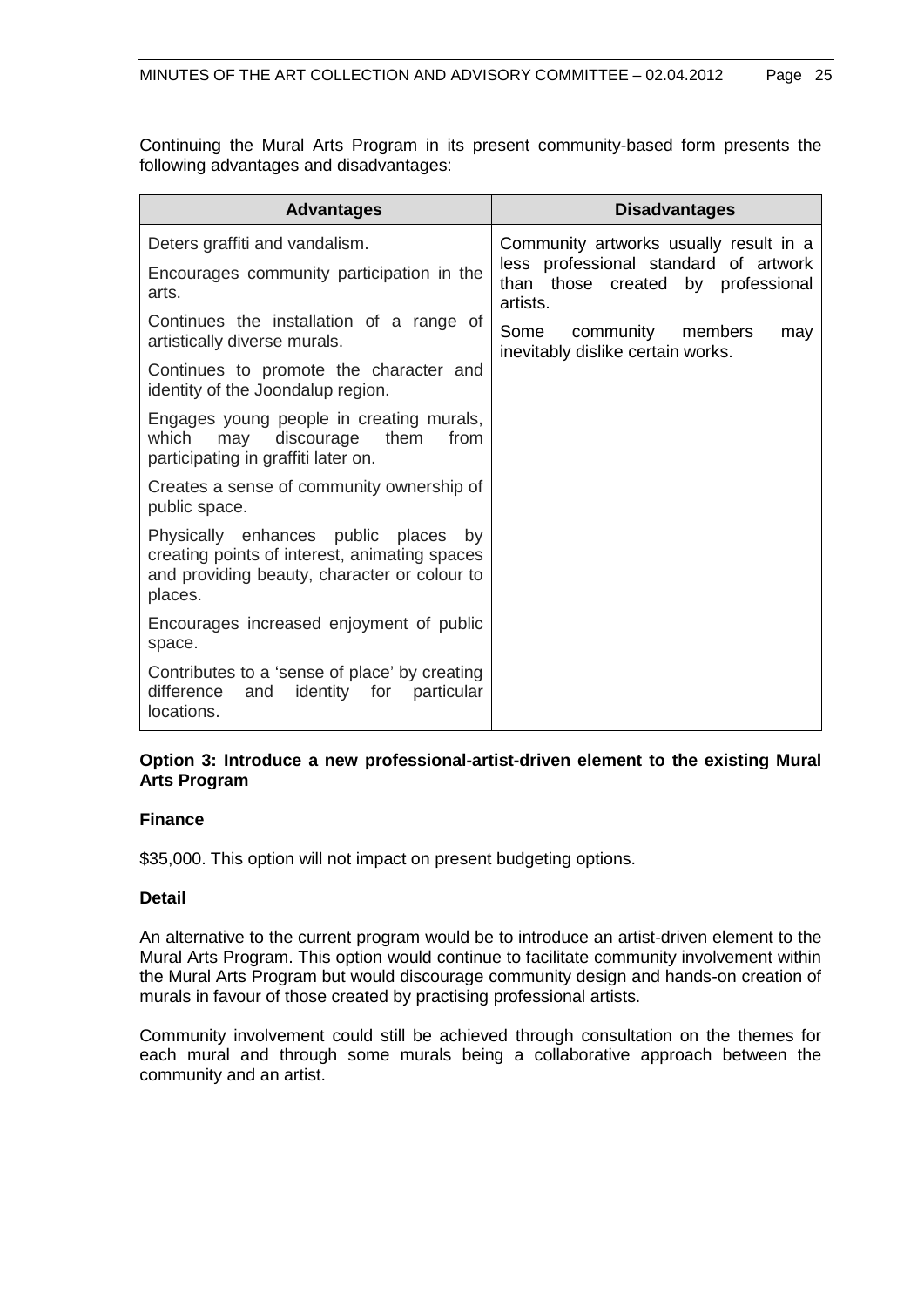Continuing the Mural Arts Program in its present community-based form presents the following advantages and disadvantages:

| <b>Advantages</b>                                                                                                                                | <b>Disadvantages</b>                                                                    |
|--------------------------------------------------------------------------------------------------------------------------------------------------|-----------------------------------------------------------------------------------------|
| Deters graffiti and vandalism.                                                                                                                   | Community artworks usually result in a                                                  |
| Encourages community participation in the<br>arts.                                                                                               | less professional standard of artwork<br>than those created by professional<br>artists. |
| Continues the installation of a range of<br>artistically diverse murals.                                                                         | community members<br>Some<br>may<br>inevitably dislike certain works.                   |
| Continues to promote the character and<br>identity of the Joondalup region.                                                                      |                                                                                         |
| Engages young people in creating murals,<br>which<br>discourage<br>them<br>may<br>from<br>participating in graffiti later on.                    |                                                                                         |
| Creates a sense of community ownership of<br>public space.                                                                                       |                                                                                         |
| Physically enhances public places by<br>creating points of interest, animating spaces<br>and providing beauty, character or colour to<br>places. |                                                                                         |
| Encourages increased enjoyment of public<br>space.                                                                                               |                                                                                         |
| Contributes to a 'sense of place' by creating<br>difference<br>identity for<br>particular<br>and<br>locations.                                   |                                                                                         |

# **Option 3: Introduce a new professional-artist-driven element to the existing Mural Arts Program**

#### **Finance**

\$35,000. This option will not impact on present budgeting options.

#### **Detail**

An alternative to the current program would be to introduce an artist-driven element to the Mural Arts Program. This option would continue to facilitate community involvement within the Mural Arts Program but would discourage community design and hands-on creation of murals in favour of those created by practising professional artists.

Community involvement could still be achieved through consultation on the themes for each mural and through some murals being a collaborative approach between the community and an artist.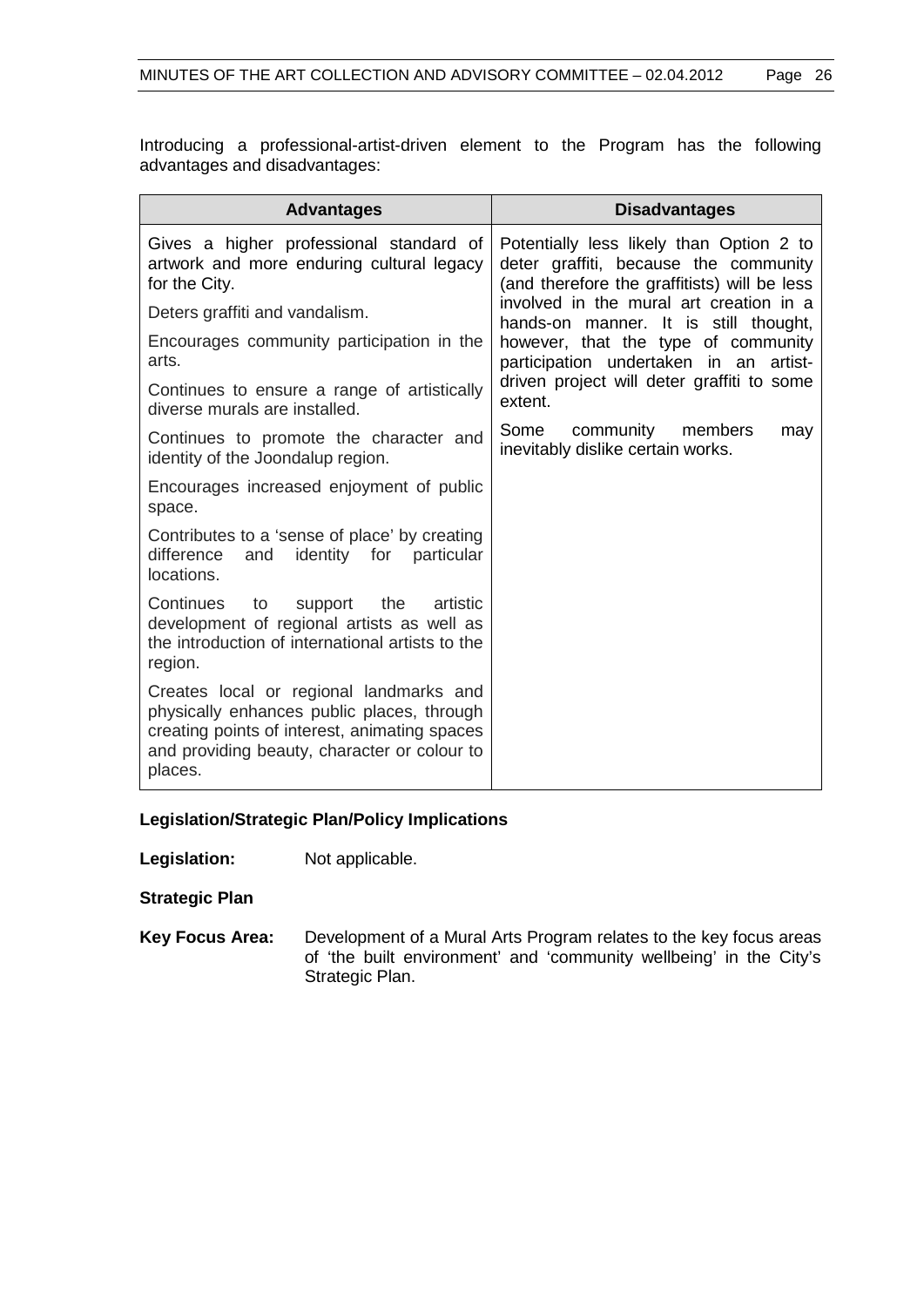Introducing a professional-artist-driven element to the Program has the following advantages and disadvantages:

| <b>Advantages</b>                                                                                                                                                                                 | <b>Disadvantages</b>                                                                                                                                                                                                       |  |
|---------------------------------------------------------------------------------------------------------------------------------------------------------------------------------------------------|----------------------------------------------------------------------------------------------------------------------------------------------------------------------------------------------------------------------------|--|
| Gives a higher professional standard of<br>artwork and more enduring cultural legacy<br>for the City.                                                                                             | Potentially less likely than Option 2 to<br>deter graffiti, because the community<br>(and therefore the graffitists) will be less                                                                                          |  |
| Deters graffiti and vandalism.                                                                                                                                                                    | involved in the mural art creation in a<br>hands-on manner. It is still thought,<br>however, that the type of community<br>participation undertaken in an artist-<br>driven project will deter graffiti to some<br>extent. |  |
| Encourages community participation in the<br>arts.                                                                                                                                                |                                                                                                                                                                                                                            |  |
| Continues to ensure a range of artistically<br>diverse murals are installed.                                                                                                                      |                                                                                                                                                                                                                            |  |
| Continues to promote the character and<br>identity of the Joondalup region.                                                                                                                       | Some<br>community members<br>may<br>inevitably dislike certain works.                                                                                                                                                      |  |
| Encourages increased enjoyment of public<br>space.                                                                                                                                                |                                                                                                                                                                                                                            |  |
| Contributes to a 'sense of place' by creating<br>difference<br>identity for<br>and<br>particular<br>locations.                                                                                    |                                                                                                                                                                                                                            |  |
| Continues<br>the<br>to<br>support<br>artistic<br>development of regional artists as well as<br>the introduction of international artists to the<br>region.                                        |                                                                                                                                                                                                                            |  |
| Creates local or regional landmarks and<br>physically enhances public places, through<br>creating points of interest, animating spaces<br>and providing beauty, character or colour to<br>places. |                                                                                                                                                                                                                            |  |

#### **Legislation/Strategic Plan/Policy Implications**

**Legislation:** Not applicable.

**Strategic Plan**

**Key Focus Area:** Development of a Mural Arts Program relates to the key focus areas of 'the built environment' and 'community wellbeing' in the City's Strategic Plan.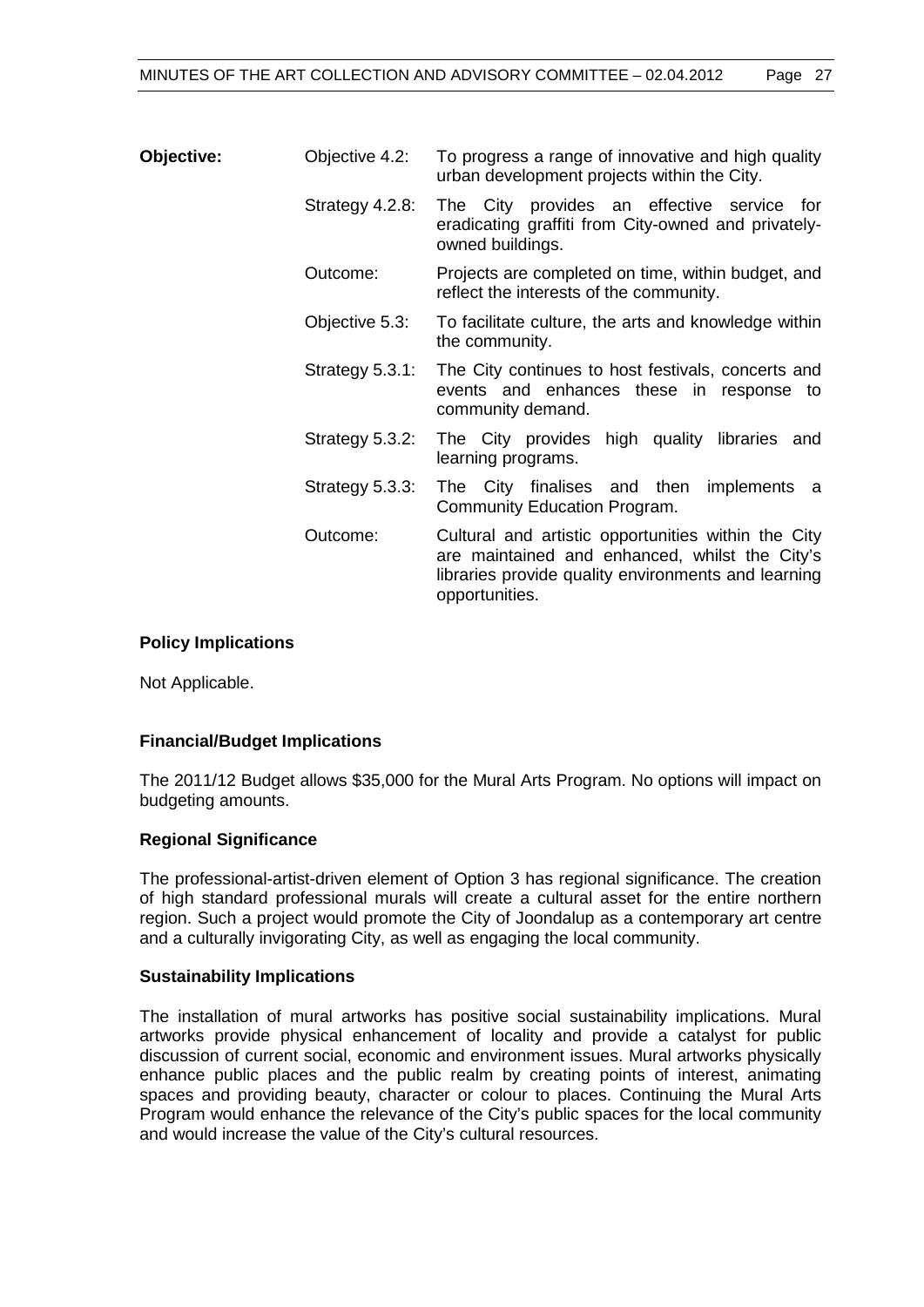| <b>Objective:</b> | Objective 4.2:  | To progress a range of innovative and high quality<br>urban development projects within the City.                                                                              |
|-------------------|-----------------|--------------------------------------------------------------------------------------------------------------------------------------------------------------------------------|
|                   | Strategy 4.2.8: | The City provides an effective service for<br>eradicating graffiti from City-owned and privately-<br>owned buildings.                                                          |
|                   | Outcome:        | Projects are completed on time, within budget, and<br>reflect the interests of the community.                                                                                  |
|                   | Objective 5.3:  | To facilitate culture, the arts and knowledge within<br>the community.                                                                                                         |
|                   | Strategy 5.3.1: | The City continues to host festivals, concerts and<br>events and enhances these in response to<br>community demand.                                                            |
|                   | Strategy 5.3.2: | The City provides high quality libraries and<br>learning programs.                                                                                                             |
|                   | Strategy 5.3.3: | The City finalises and then implements a<br>Community Education Program.                                                                                                       |
|                   | Outcome:        | Cultural and artistic opportunities within the City<br>are maintained and enhanced, whilst the City's<br>libraries provide quality environments and learning<br>opportunities. |

#### **Policy Implications**

Not Applicable.

#### **Financial/Budget Implications**

The 2011/12 Budget allows \$35,000 for the Mural Arts Program. No options will impact on budgeting amounts.

#### **Regional Significance**

The professional-artist-driven element of Option 3 has regional significance. The creation of high standard professional murals will create a cultural asset for the entire northern region. Such a project would promote the City of Joondalup as a contemporary art centre and a culturally invigorating City, as well as engaging the local community.

#### **Sustainability Implications**

The installation of mural artworks has positive social sustainability implications. Mural artworks provide physical enhancement of locality and provide a catalyst for public discussion of current social, economic and environment issues. Mural artworks physically enhance public places and the public realm by creating points of interest, animating spaces and providing beauty, character or colour to places. Continuing the Mural Arts Program would enhance the relevance of the City's public spaces for the local community and would increase the value of the City's cultural resources.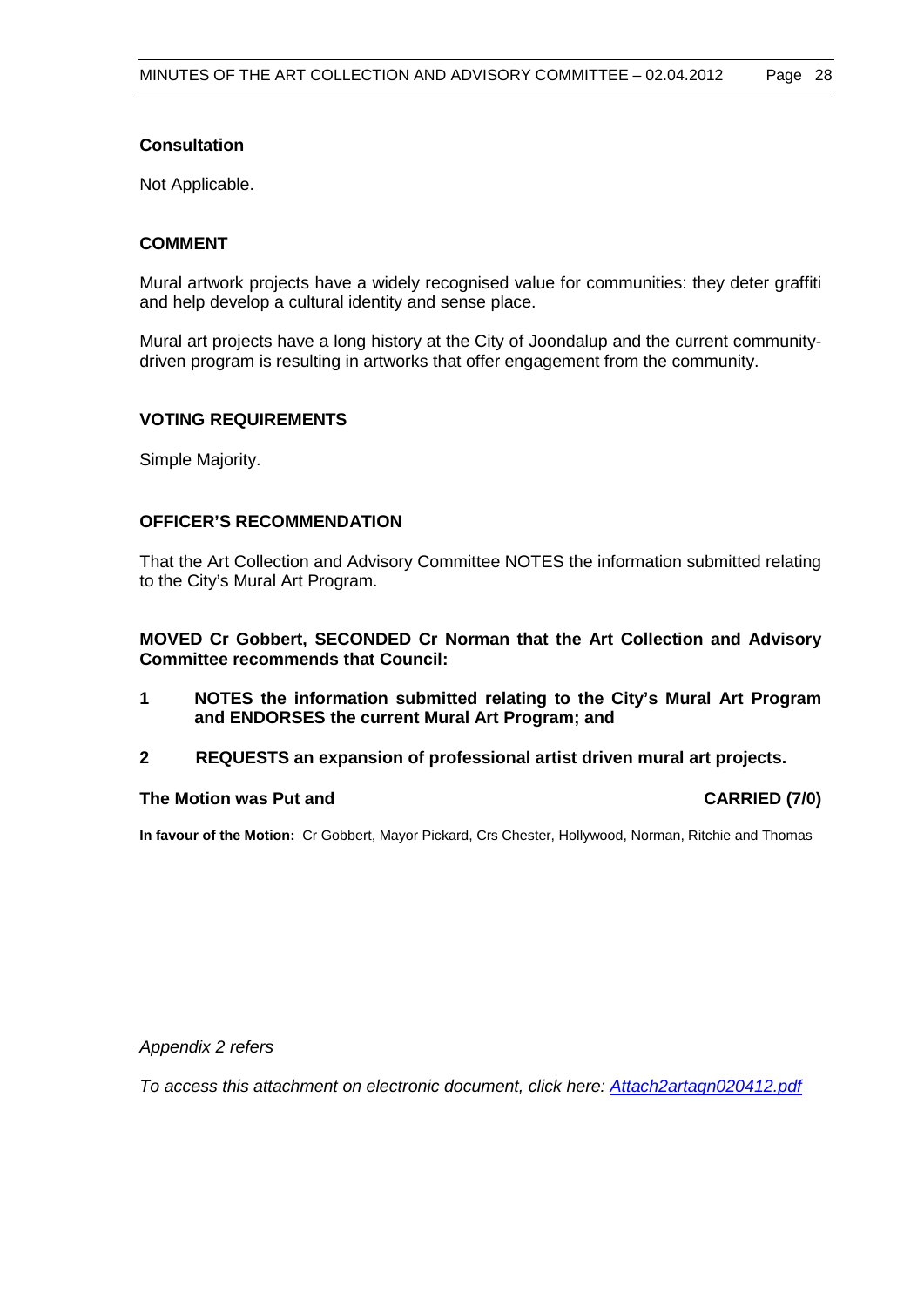# **Consultation**

Not Applicable.

# **COMMENT**

Mural artwork projects have a widely recognised value for communities: they deter graffiti and help develop a cultural identity and sense place.

Mural art projects have a long history at the City of Joondalup and the current communitydriven program is resulting in artworks that offer engagement from the community.

# **VOTING REQUIREMENTS**

Simple Majority.

# **OFFICER'S RECOMMENDATION**

That the Art Collection and Advisory Committee NOTES the information submitted relating to the City's Mural Art Program.

**MOVED Cr Gobbert, SECONDED Cr Norman that the Art Collection and Advisory Committee recommends that Council:**

- **1 NOTES the information submitted relating to the City's Mural Art Program and ENDORSES the current Mural Art Program; and**
- **2 REQUESTS an expansion of professional artist driven mural art projects.**

#### **The Motion was Put and CARRIED (7/0)**

**In favour of the Motion:** Cr Gobbert, Mayor Pickard, Crs Chester, Hollywood, Norman, Ritchie and Thomas

*Appendix 2 refers*

*To access this attachment on electronic document, click here[: Attach2artagn020412.pdf](Attach2artagn020412.pdf)*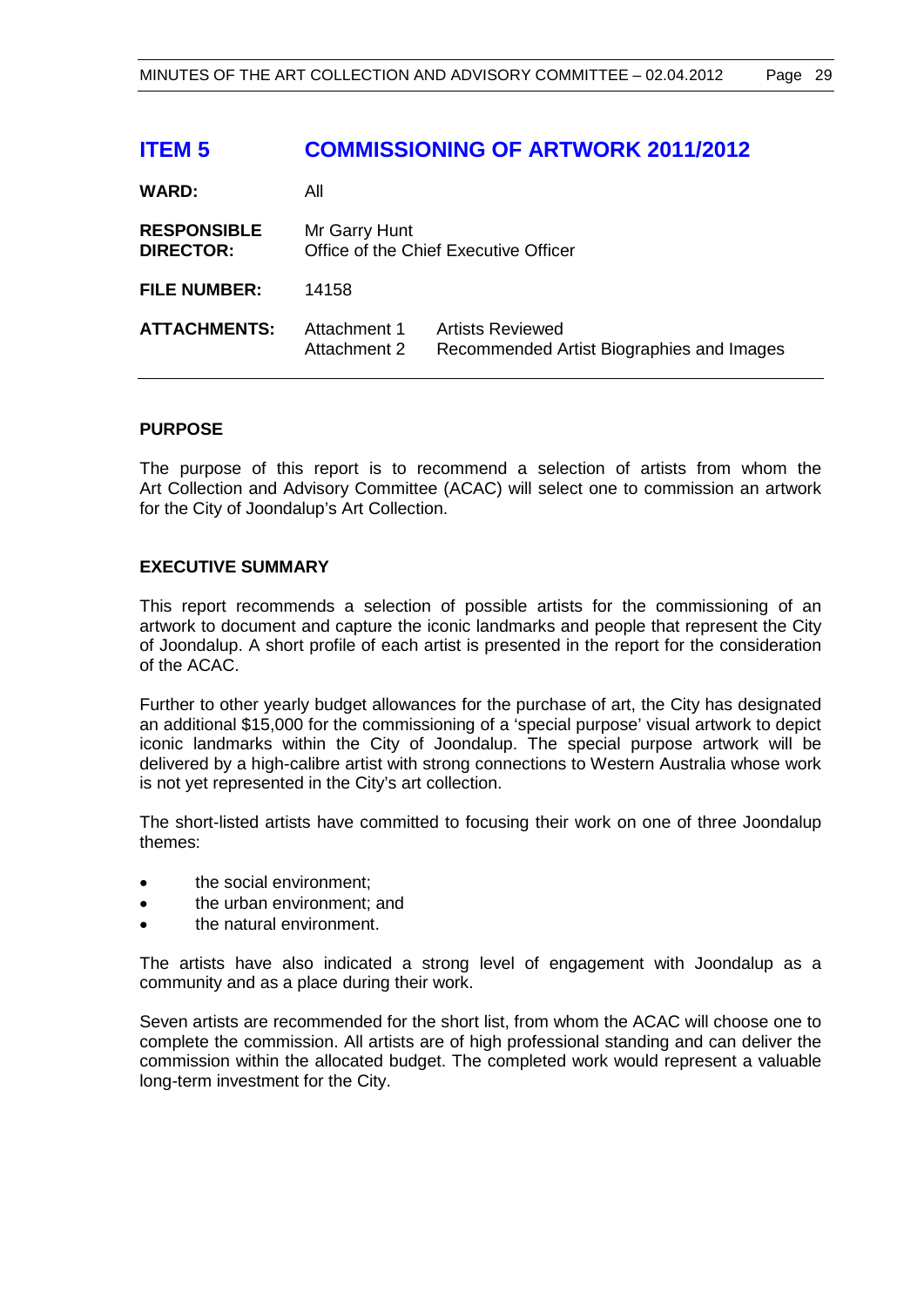# **ITEM 5 COMMISSIONING OF ARTWORK 2011/2012**

| <b>WARD:</b>                           | All                          |                                                                      |
|----------------------------------------|------------------------------|----------------------------------------------------------------------|
| <b>RESPONSIBLE</b><br><b>DIRECTOR:</b> | Mr Garry Hunt                | Office of the Chief Executive Officer                                |
| <b>FILE NUMBER:</b>                    | 14158                        |                                                                      |
| <b>ATTACHMENTS:</b>                    | Attachment 1<br>Attachment 2 | <b>Artists Reviewed</b><br>Recommended Artist Biographies and Images |

# **PURPOSE**

The purpose of this report is to recommend a selection of artists from whom the Art Collection and Advisory Committee (ACAC) will select one to commission an artwork for the City of Joondalup's Art Collection.

# **EXECUTIVE SUMMARY**

This report recommends a selection of possible artists for the commissioning of an artwork to document and capture the iconic landmarks and people that represent the City of Joondalup. A short profile of each artist is presented in the report for the consideration of the ACAC.

Further to other yearly budget allowances for the purchase of art, the City has designated an additional \$15,000 for the commissioning of a 'special purpose' visual artwork to depict iconic landmarks within the City of Joondalup. The special purpose artwork will be delivered by a high-calibre artist with strong connections to Western Australia whose work is not yet represented in the City's art collection.

The short-listed artists have committed to focusing their work on one of three Joondalup themes:

- the social environment:
- the urban environment; and
- the natural environment.

The artists have also indicated a strong level of engagement with Joondalup as a community and as a place during their work.

Seven artists are recommended for the short list, from whom the ACAC will choose one to complete the commission. All artists are of high professional standing and can deliver the commission within the allocated budget. The completed work would represent a valuable long-term investment for the City.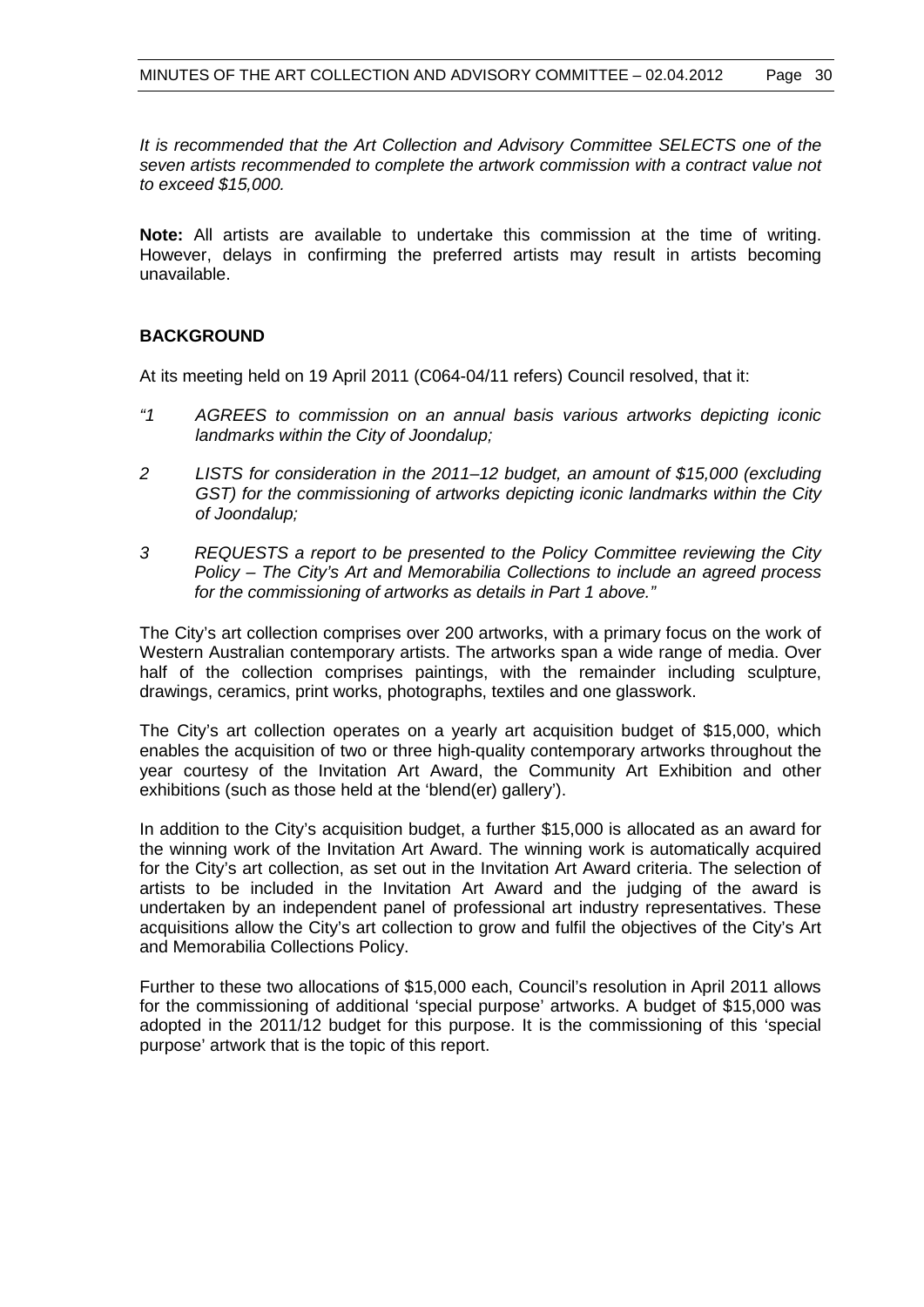*It is recommended that the Art Collection and Advisory Committee SELECTS one of the seven artists recommended to complete the artwork commission with a contract value not to exceed \$15,000.*

**Note:** All artists are available to undertake this commission at the time of writing. However, delays in confirming the preferred artists may result in artists becoming unavailable.

# **BACKGROUND**

At its meeting held on 19 April 2011 (C064-04/11 refers) Council resolved, that it:

- *"1 AGREES to commission on an annual basis various artworks depicting iconic landmarks within the City of Joondalup;*
- *2 LISTS for consideration in the 2011–12 budget, an amount of \$15,000 (excluding GST) for the commissioning of artworks depicting iconic landmarks within the City of Joondalup;*
- *3 REQUESTS a report to be presented to the Policy Committee reviewing the City Policy – The City's Art and Memorabilia Collections to include an agreed process for the commissioning of artworks as details in Part 1 above."*

The City's art collection comprises over 200 artworks, with a primary focus on the work of Western Australian contemporary artists. The artworks span a wide range of media. Over half of the collection comprises paintings, with the remainder including sculpture, drawings, ceramics, print works, photographs, textiles and one glasswork.

The City's art collection operates on a yearly art acquisition budget of \$15,000, which enables the acquisition of two or three high-quality contemporary artworks throughout the year courtesy of the Invitation Art Award, the Community Art Exhibition and other exhibitions (such as those held at the 'blend(er) gallery').

In addition to the City's acquisition budget, a further \$15,000 is allocated as an award for the winning work of the Invitation Art Award. The winning work is automatically acquired for the City's art collection, as set out in the Invitation Art Award criteria. The selection of artists to be included in the Invitation Art Award and the judging of the award is undertaken by an independent panel of professional art industry representatives. These acquisitions allow the City's art collection to grow and fulfil the objectives of the City's Art and Memorabilia Collections Policy.

Further to these two allocations of \$15,000 each, Council's resolution in April 2011 allows for the commissioning of additional 'special purpose' artworks. A budget of \$15,000 was adopted in the 2011/12 budget for this purpose. It is the commissioning of this 'special purpose' artwork that is the topic of this report.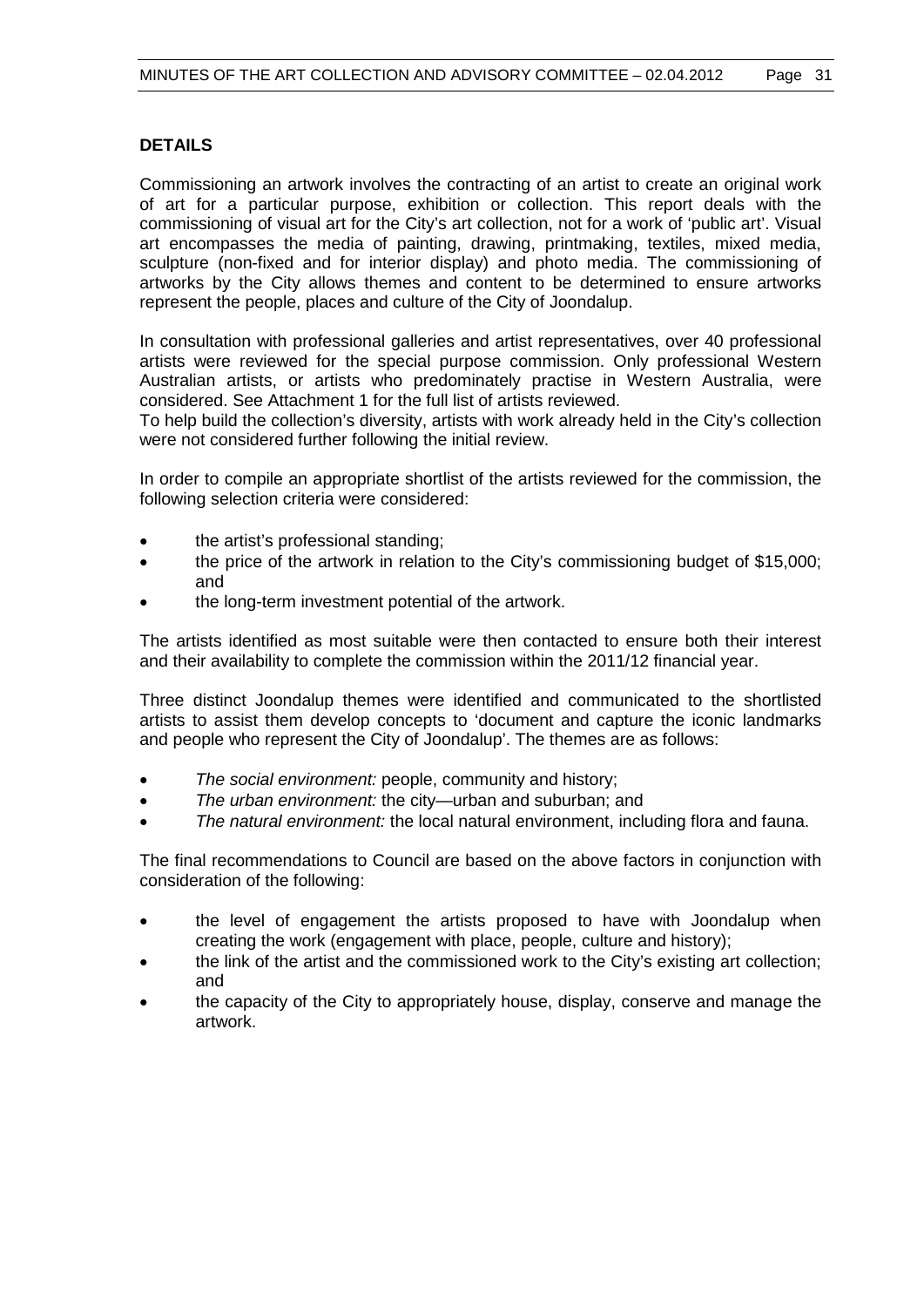# **DETAILS**

Commissioning an artwork involves the contracting of an artist to create an original work of art for a particular purpose, exhibition or collection. This report deals with the commissioning of visual art for the City's art collection, not for a work of 'public art'. Visual art encompasses the media of painting, drawing, printmaking, textiles, mixed media, sculpture (non-fixed and for interior display) and photo media. The commissioning of artworks by the City allows themes and content to be determined to ensure artworks represent the people, places and culture of the City of Joondalup.

In consultation with professional galleries and artist representatives, over 40 professional artists were reviewed for the special purpose commission. Only professional Western Australian artists, or artists who predominately practise in Western Australia, were considered. See Attachment 1 for the full list of artists reviewed.

To help build the collection's diversity, artists with work already held in the City's collection were not considered further following the initial review.

In order to compile an appropriate shortlist of the artists reviewed for the commission, the following selection criteria were considered:

- the artist's professional standing;
- the price of the artwork in relation to the City's commissioning budget of \$15,000; and
- the long-term investment potential of the artwork.

The artists identified as most suitable were then contacted to ensure both their interest and their availability to complete the commission within the 2011/12 financial year.

Three distinct Joondalup themes were identified and communicated to the shortlisted artists to assist them develop concepts to 'document and capture the iconic landmarks and people who represent the City of Joondalup'. The themes are as follows:

- *The social environment:* people, community and history;
- *The urban environment:* the city—urban and suburban; and
- *The natural environment:* the local natural environment, including flora and fauna.

The final recommendations to Council are based on the above factors in conjunction with consideration of the following:

- the level of engagement the artists proposed to have with Joondalup when creating the work (engagement with place, people, culture and history);
- the link of the artist and the commissioned work to the City's existing art collection; and
- the capacity of the City to appropriately house, display, conserve and manage the artwork.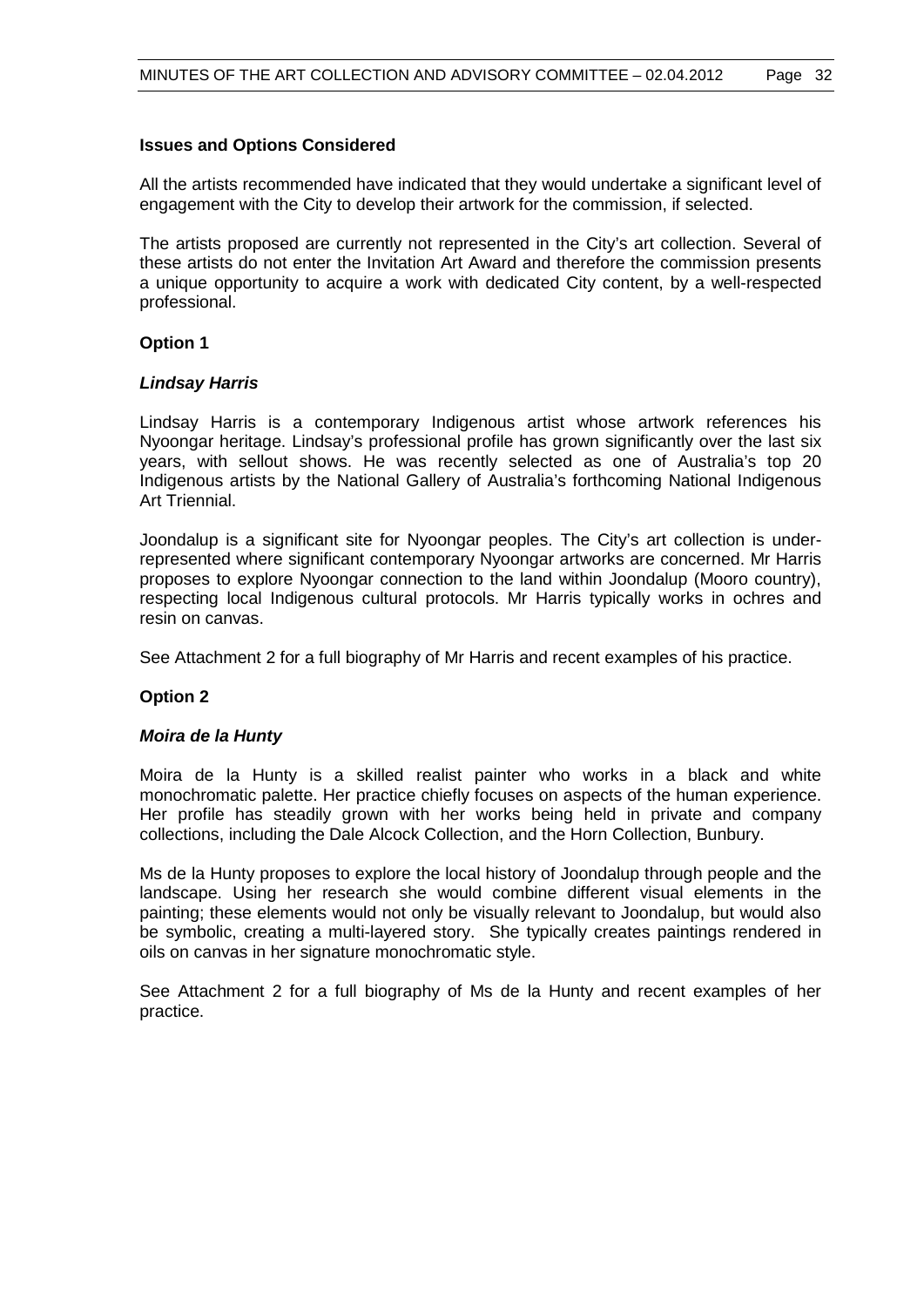### **Issues and Options Considered**

All the artists recommended have indicated that they would undertake a significant level of engagement with the City to develop their artwork for the commission, if selected.

The artists proposed are currently not represented in the City's art collection. Several of these artists do not enter the Invitation Art Award and therefore the commission presents a unique opportunity to acquire a work with dedicated City content, by a well-respected professional.

# **Option 1**

# *Lindsay Harris*

Lindsay Harris is a contemporary Indigenous artist whose artwork references his Nyoongar heritage. Lindsay's professional profile has grown significantly over the last six years, with sellout shows. He was recently selected as one of Australia's top 20 Indigenous artists by the National Gallery of Australia's forthcoming National Indigenous Art Triennial.

Joondalup is a significant site for Nyoongar peoples. The City's art collection is underrepresented where significant contemporary Nyoongar artworks are concerned. Mr Harris proposes to explore Nyoongar connection to the land within Joondalup (Mooro country), respecting local Indigenous cultural protocols. Mr Harris typically works in ochres and resin on canvas.

See Attachment 2 for a full biography of Mr Harris and recent examples of his practice.

# **Option 2**

#### *Moira de la Hunty*

Moira de la Hunty is a skilled realist painter who works in a black and white monochromatic palette. Her practice chiefly focuses on aspects of the human experience. Her profile has steadily grown with her works being held in private and company collections, including the Dale Alcock Collection, and the Horn Collection, Bunbury.

Ms de la Hunty proposes to explore the local history of Joondalup through people and the landscape. Using her research she would combine different visual elements in the painting; these elements would not only be visually relevant to Joondalup, but would also be symbolic, creating a multi-layered story. She typically creates paintings rendered in oils on canvas in her signature monochromatic style.

See Attachment 2 for a full biography of Ms de la Hunty and recent examples of her practice.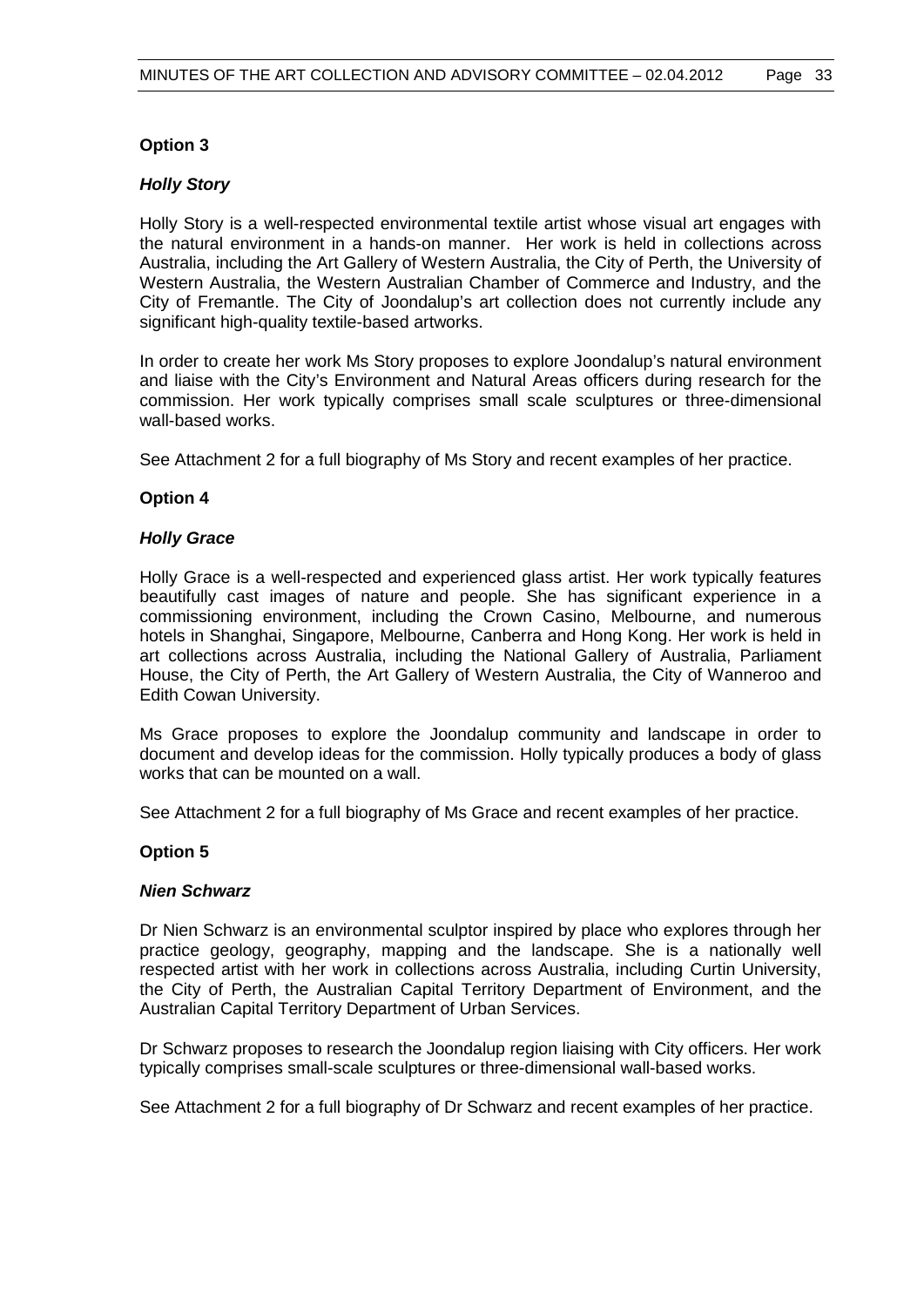# **Option 3**

# *Holly Story*

Holly Story is a well-respected environmental textile artist whose visual art engages with the natural environment in a hands-on manner. Her work is held in collections across Australia, including the Art Gallery of Western Australia, the City of Perth, the University of Western Australia, the Western Australian Chamber of Commerce and Industry, and the City of Fremantle. The City of Joondalup's art collection does not currently include any significant high-quality textile-based artworks.

In order to create her work Ms Story proposes to explore Joondalup's natural environment and liaise with the City's Environment and Natural Areas officers during research for the commission. Her work typically comprises small scale sculptures or three-dimensional wall-based works.

See Attachment 2 for a full biography of Ms Story and recent examples of her practice.

# **Option 4**

# *Holly Grace*

Holly Grace is a well-respected and experienced glass artist. Her work typically features beautifully cast images of nature and people. She has significant experience in a commissioning environment, including the Crown Casino, Melbourne, and numerous hotels in Shanghai, Singapore, Melbourne, Canberra and Hong Kong. Her work is held in art collections across Australia, including the National Gallery of Australia, Parliament House, the City of Perth, the Art Gallery of Western Australia, the City of Wanneroo and Edith Cowan University.

Ms Grace proposes to explore the Joondalup community and landscape in order to document and develop ideas for the commission. Holly typically produces a body of glass works that can be mounted on a wall.

See Attachment 2 for a full biography of Ms Grace and recent examples of her practice.

#### **Option 5**

#### *Nien Schwarz*

Dr Nien Schwarz is an environmental sculptor inspired by place who explores through her practice geology, geography, mapping and the landscape. She is a nationally well respected artist with her work in collections across Australia, including Curtin University, the City of Perth, the Australian Capital Territory Department of Environment, and the Australian Capital Territory Department of Urban Services.

Dr Schwarz proposes to research the Joondalup region liaising with City officers. Her work typically comprises small-scale sculptures or three-dimensional wall-based works.

See Attachment 2 for a full biography of Dr Schwarz and recent examples of her practice.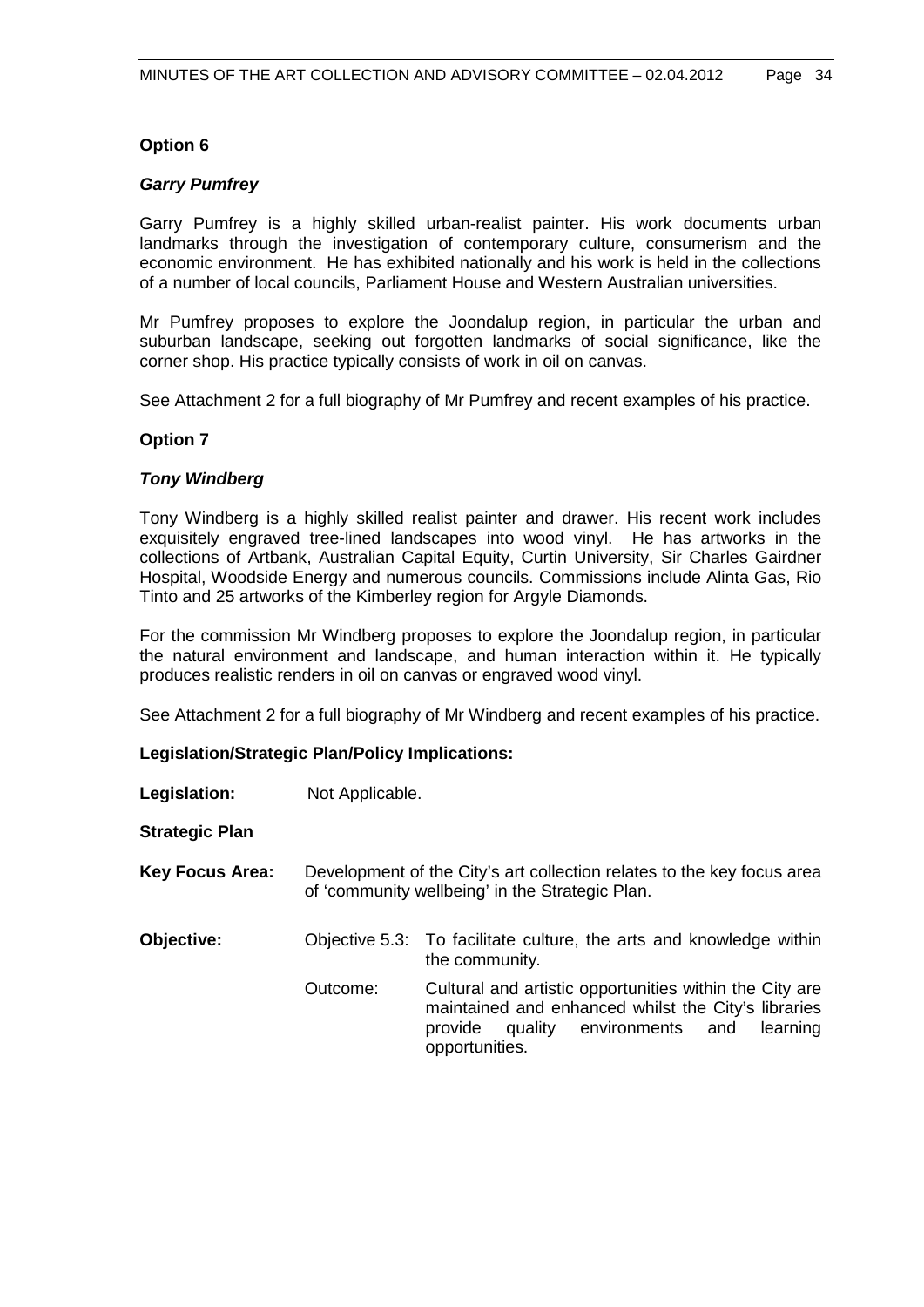# **Option 6**

## *Garry Pumfrey*

Garry Pumfrey is a highly skilled urban-realist painter. His work documents urban landmarks through the investigation of contemporary culture, consumerism and the economic environment. He has exhibited nationally and his work is held in the collections of a number of local councils, Parliament House and Western Australian universities.

Mr Pumfrey proposes to explore the Joondalup region, in particular the urban and suburban landscape, seeking out forgotten landmarks of social significance, like the corner shop. His practice typically consists of work in oil on canvas.

See Attachment 2 for a full biography of Mr Pumfrey and recent examples of his practice.

# **Option 7**

# *Tony Windberg*

Tony Windberg is a highly skilled realist painter and drawer. His recent work includes exquisitely engraved tree-lined landscapes into wood vinyl. He has artworks in the collections of Artbank, Australian Capital Equity, Curtin University, Sir Charles Gairdner Hospital, Woodside Energy and numerous councils. Commissions include Alinta Gas, Rio Tinto and 25 artworks of the Kimberley region for Argyle Diamonds.

For the commission Mr Windberg proposes to explore the Joondalup region, in particular the natural environment and landscape, and human interaction within it. He typically produces realistic renders in oil on canvas or engraved wood vinyl.

See Attachment 2 for a full biography of Mr Windberg and recent examples of his practice.

#### **Legislation/Strategic Plan/Policy Implications:**

| Legislation:           | Not Applicable. |                                                                                                                                                                                     |
|------------------------|-----------------|-------------------------------------------------------------------------------------------------------------------------------------------------------------------------------------|
| <b>Strategic Plan</b>  |                 |                                                                                                                                                                                     |
| <b>Key Focus Area:</b> |                 | Development of the City's art collection relates to the key focus area<br>of 'community wellbeing' in the Strategic Plan.                                                           |
| Objective:             |                 | Objective 5.3: To facilitate culture, the arts and knowledge within<br>the community.                                                                                               |
|                        | Outcome:        | Cultural and artistic opportunities within the City are<br>maintained and enhanced whilst the City's libraries<br>quality environments and<br>learning<br>provide<br>opportunities. |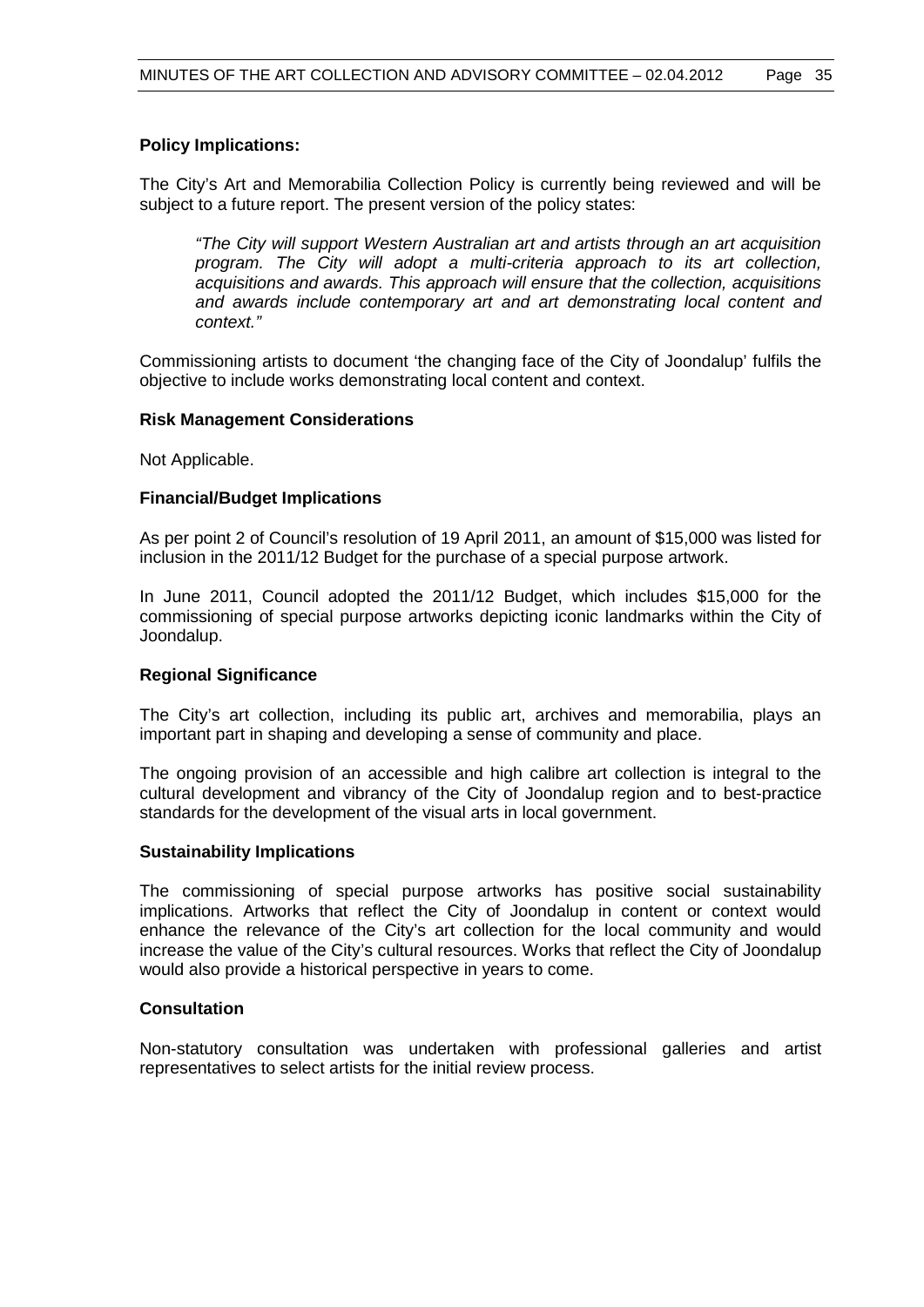# **Policy Implications:**

The City's Art and Memorabilia Collection Policy is currently being reviewed and will be subject to a future report. The present version of the policy states:

*"The City will support Western Australian art and artists through an art acquisition program. The City will adopt a multi-criteria approach to its art collection, acquisitions and awards. This approach will ensure that the collection, acquisitions and awards include contemporary art and art demonstrating local content and context."*

Commissioning artists to document 'the changing face of the City of Joondalup' fulfils the objective to include works demonstrating local content and context.

#### **Risk Management Considerations**

Not Applicable.

#### **Financial/Budget Implications**

As per point 2 of Council's resolution of 19 April 2011, an amount of \$15,000 was listed for inclusion in the 2011/12 Budget for the purchase of a special purpose artwork.

In June 2011, Council adopted the 2011/12 Budget, which includes \$15,000 for the commissioning of special purpose artworks depicting iconic landmarks within the City of Joondalup.

#### **Regional Significance**

The City's art collection, including its public art, archives and memorabilia, plays an important part in shaping and developing a sense of community and place.

The ongoing provision of an accessible and high calibre art collection is integral to the cultural development and vibrancy of the City of Joondalup region and to best-practice standards for the development of the visual arts in local government.

#### **Sustainability Implications**

The commissioning of special purpose artworks has positive social sustainability implications. Artworks that reflect the City of Joondalup in content or context would enhance the relevance of the City's art collection for the local community and would increase the value of the City's cultural resources. Works that reflect the City of Joondalup would also provide a historical perspective in years to come.

### **Consultation**

Non-statutory consultation was undertaken with professional galleries and artist representatives to select artists for the initial review process.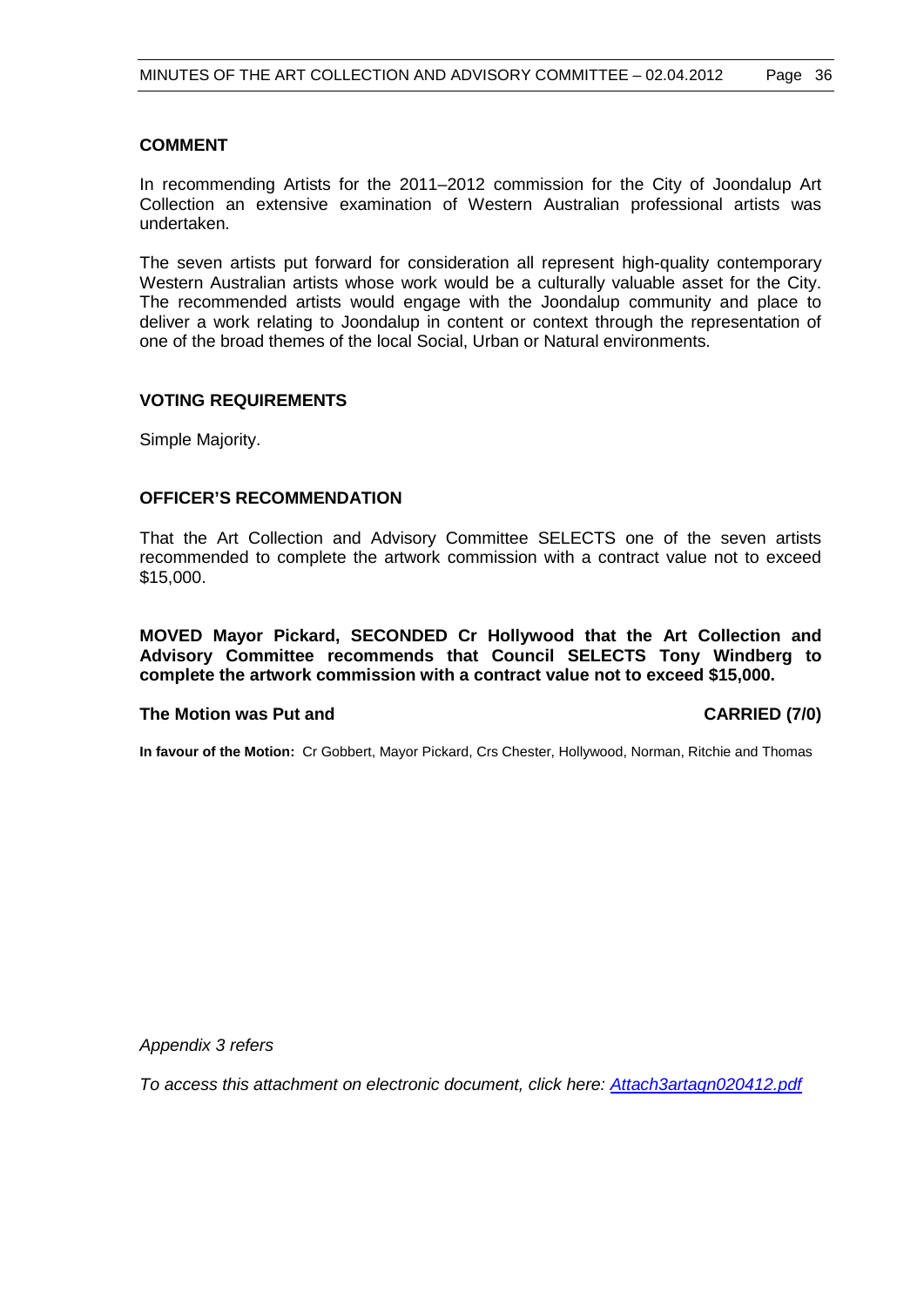# **COMMENT**

In recommending Artists for the 2011–2012 commission for the City of Joondalup Art Collection an extensive examination of Western Australian professional artists was undertaken.

The seven artists put forward for consideration all represent high-quality contemporary Western Australian artists whose work would be a culturally valuable asset for the City. The recommended artists would engage with the Joondalup community and place to deliver a work relating to Joondalup in content or context through the representation of one of the broad themes of the local Social, Urban or Natural environments.

# **VOTING REQUIREMENTS**

Simple Majority.

# **OFFICER'S RECOMMENDATION**

That the Art Collection and Advisory Committee SELECTS one of the seven artists recommended to complete the artwork commission with a contract value not to exceed \$15,000.

**MOVED Mayor Pickard, SECONDED Cr Hollywood that the Art Collection and Advisory Committee recommends that Council SELECTS Tony Windberg to complete the artwork commission with a contract value not to exceed \$15,000.**

#### **The Motion was Put and CARRIED (7/0)**

**In favour of the Motion:** Cr Gobbert, Mayor Pickard, Crs Chester, Hollywood, Norman, Ritchie and Thomas

*Appendix 3 refers*

*To access this attachment on electronic document, click here:<Attach3artagn020412.pdf>*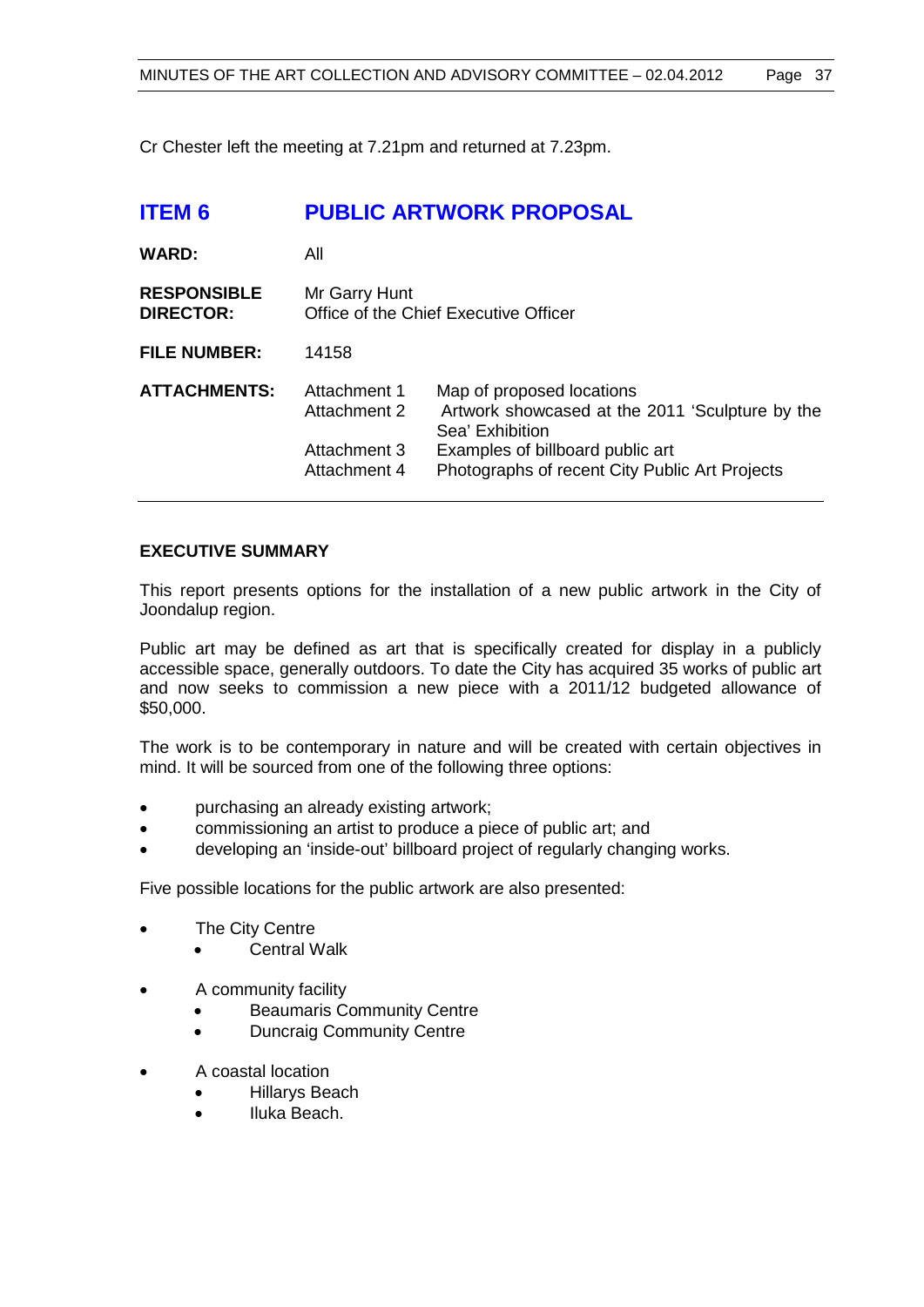Cr Chester left the meeting at 7.21pm and returned at 7.23pm.

| <b>ITEM 6</b>                          | <b>PUBLIC ARTWORK PROPOSAL</b>                               |                                                                                                                                                                                       |  |
|----------------------------------------|--------------------------------------------------------------|---------------------------------------------------------------------------------------------------------------------------------------------------------------------------------------|--|
| <b>WARD:</b>                           | All                                                          |                                                                                                                                                                                       |  |
| <b>RESPONSIBLE</b><br><b>DIRECTOR:</b> | Mr Garry Hunt                                                | Office of the Chief Executive Officer                                                                                                                                                 |  |
| <b>FILE NUMBER:</b>                    | 14158                                                        |                                                                                                                                                                                       |  |
| <b>ATTACHMENTS:</b>                    | Attachment 1<br>Attachment 2<br>Attachment 3<br>Attachment 4 | Map of proposed locations<br>Artwork showcased at the 2011 'Sculpture by the<br>Sea' Exhibition<br>Examples of billboard public art<br>Photographs of recent City Public Art Projects |  |

# **EXECUTIVE SUMMARY**

This report presents options for the installation of a new public artwork in the City of Joondalup region.

Public art may be defined as art that is specifically created for display in a publicly accessible space, generally outdoors. To date the City has acquired 35 works of public art and now seeks to commission a new piece with a 2011/12 budgeted allowance of \$50,000.

The work is to be contemporary in nature and will be created with certain objectives in mind. It will be sourced from one of the following three options:

- purchasing an already existing artwork;
- commissioning an artist to produce a piece of public art; and
- developing an 'inside-out' billboard project of regularly changing works.

Five possible locations for the public artwork are also presented:

- **The City Centre** 
	- Central Walk
- A community facility
	- Beaumaris Community Centre
	- **Duncraig Community Centre**
- A coastal location
	- Hillarys Beach
	- Iluka Beach.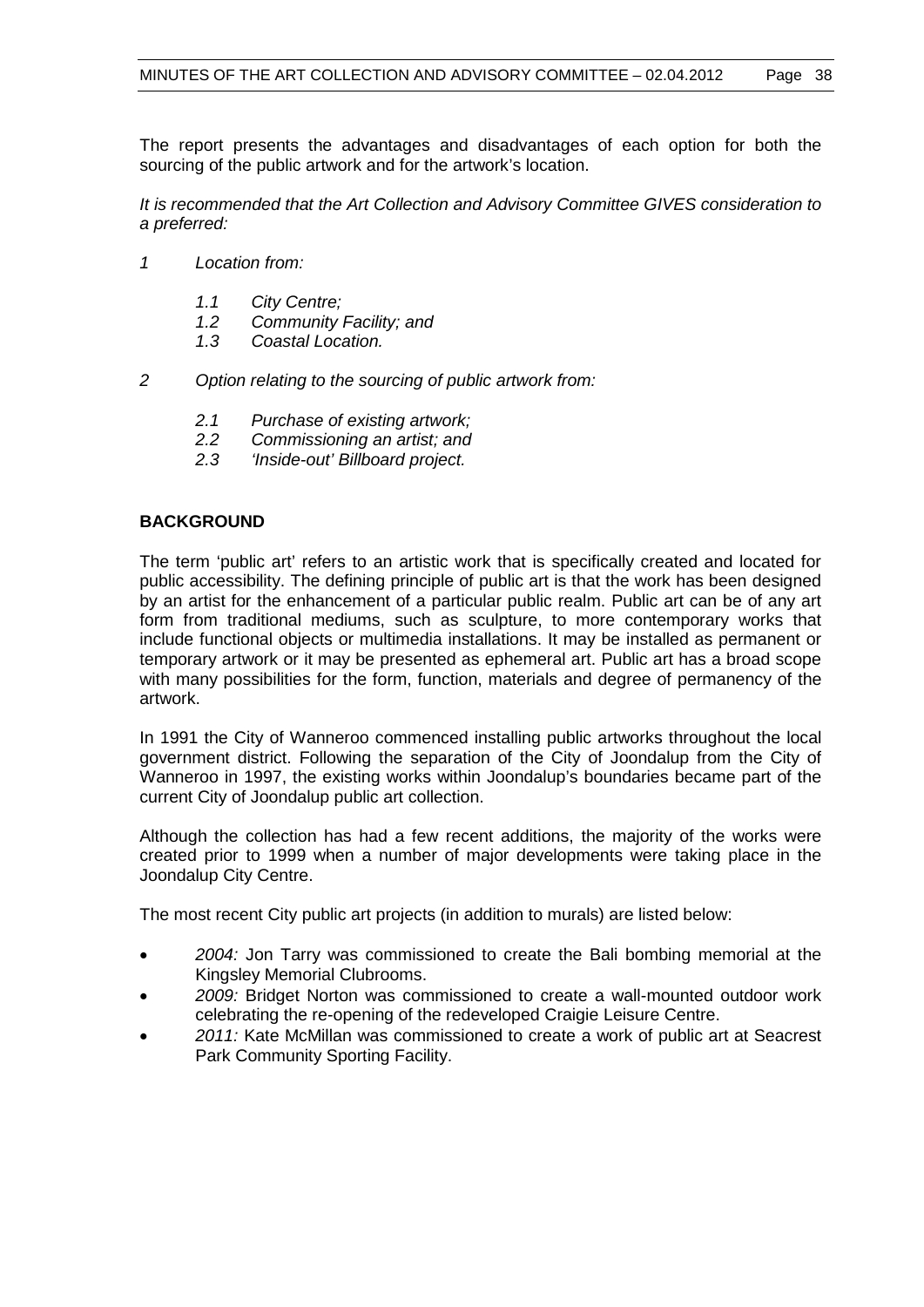The report presents the advantages and disadvantages of each option for both the sourcing of the public artwork and for the artwork's location.

*It is recommended that the Art Collection and Advisory Committee GIVES consideration to a preferred:*

- *1 Location from:* 
	- *1.1 City Centre;*
	- *1.2 Community Facility; and*
	- *1.3 Coastal Location.*
- *2 Option relating to the sourcing of public artwork from:*
	- *2.1 Purchase of existing artwork;*
	- *2.2 Commissioning an artist; and*
	- *2.3 'Inside-out' Billboard project.*

# **BACKGROUND**

The term 'public art' refers to an artistic work that is specifically created and located for public accessibility. The defining principle of public art is that the work has been designed by an artist for the enhancement of a particular public realm. Public art can be of any art form from traditional mediums, such as sculpture, to more contemporary works that include functional objects or multimedia installations. It may be installed as permanent or temporary artwork or it may be presented as ephemeral art. Public art has a broad scope with many possibilities for the form, function, materials and degree of permanency of the artwork.

In 1991 the City of Wanneroo commenced installing public artworks throughout the local government district. Following the separation of the City of Joondalup from the City of Wanneroo in 1997, the existing works within Joondalup's boundaries became part of the current City of Joondalup public art collection.

Although the collection has had a few recent additions, the majority of the works were created prior to 1999 when a number of major developments were taking place in the Joondalup City Centre.

The most recent City public art projects (in addition to murals) are listed below:

- *2004:* Jon Tarry was commissioned to create the Bali bombing memorial at the Kingsley Memorial Clubrooms.
- *2009:* Bridget Norton was commissioned to create a wall-mounted outdoor work celebrating the re-opening of the redeveloped Craigie Leisure Centre.
- *2011:* Kate McMillan was commissioned to create a work of public art at Seacrest Park Community Sporting Facility.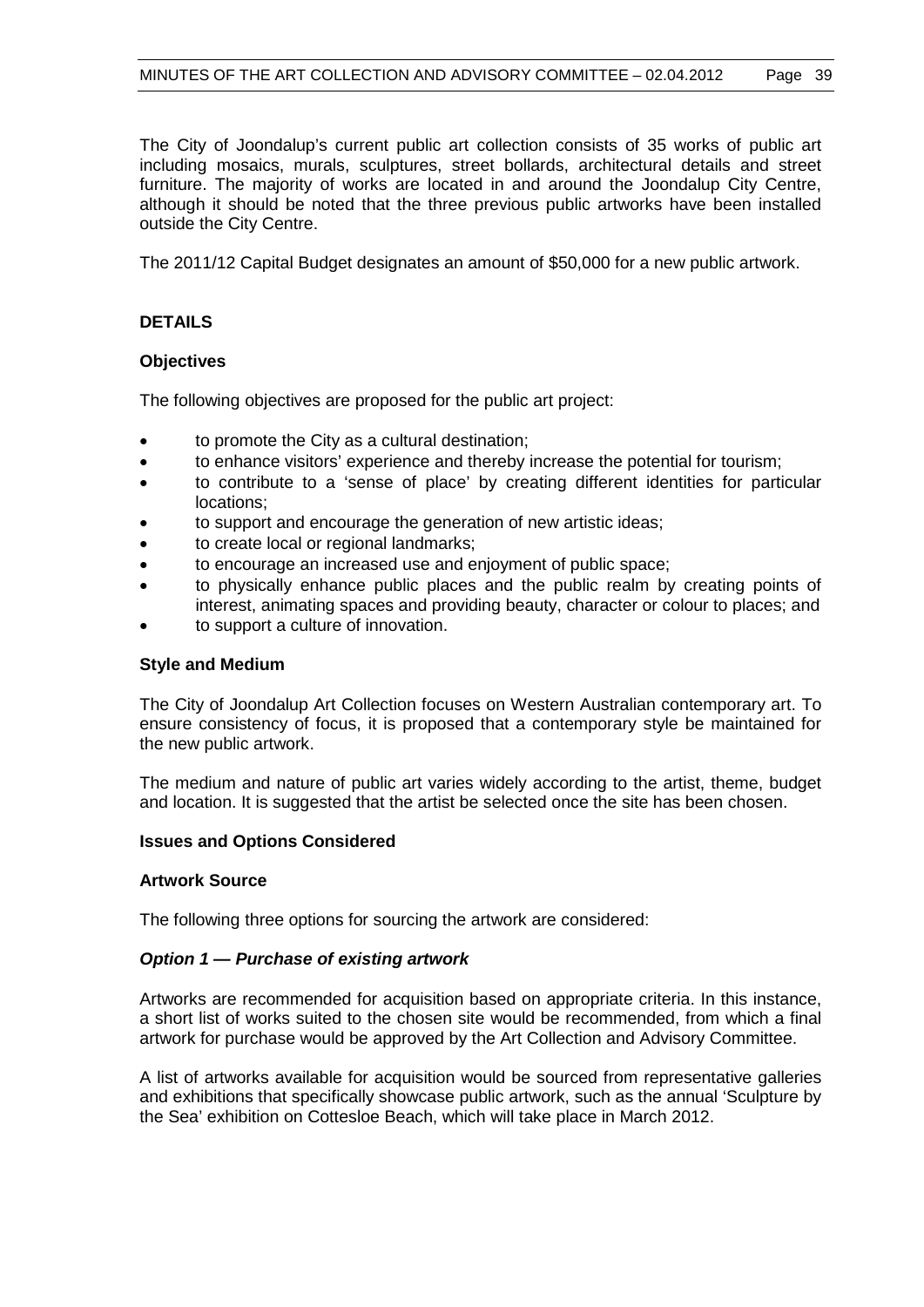The City of Joondalup's current public art collection consists of 35 works of public art including mosaics, murals, sculptures, street bollards, architectural details and street furniture. The majority of works are located in and around the Joondalup City Centre, although it should be noted that the three previous public artworks have been installed outside the City Centre.

The 2011/12 Capital Budget designates an amount of \$50,000 for a new public artwork.

# **DETAILS**

#### **Objectives**

The following objectives are proposed for the public art project:

- to promote the City as a cultural destination;
- to enhance visitors' experience and thereby increase the potential for tourism;
- to contribute to a 'sense of place' by creating different identities for particular locations;
- to support and encourage the generation of new artistic ideas;
- to create local or regional landmarks:
- to encourage an increased use and enjoyment of public space;
- to physically enhance public places and the public realm by creating points of interest, animating spaces and providing beauty, character or colour to places; and
- to support a culture of innovation.

#### **Style and Medium**

The City of Joondalup Art Collection focuses on Western Australian contemporary art. To ensure consistency of focus, it is proposed that a contemporary style be maintained for the new public artwork.

The medium and nature of public art varies widely according to the artist, theme, budget and location. It is suggested that the artist be selected once the site has been chosen.

#### **Issues and Options Considered**

#### **Artwork Source**

The following three options for sourcing the artwork are considered:

#### *Option 1 — Purchase of existing artwork*

Artworks are recommended for acquisition based on appropriate criteria. In this instance, a short list of works suited to the chosen site would be recommended, from which a final artwork for purchase would be approved by the Art Collection and Advisory Committee.

A list of artworks available for acquisition would be sourced from representative galleries and exhibitions that specifically showcase public artwork, such as the annual 'Sculpture by the Sea' exhibition on Cottesloe Beach, which will take place in March 2012.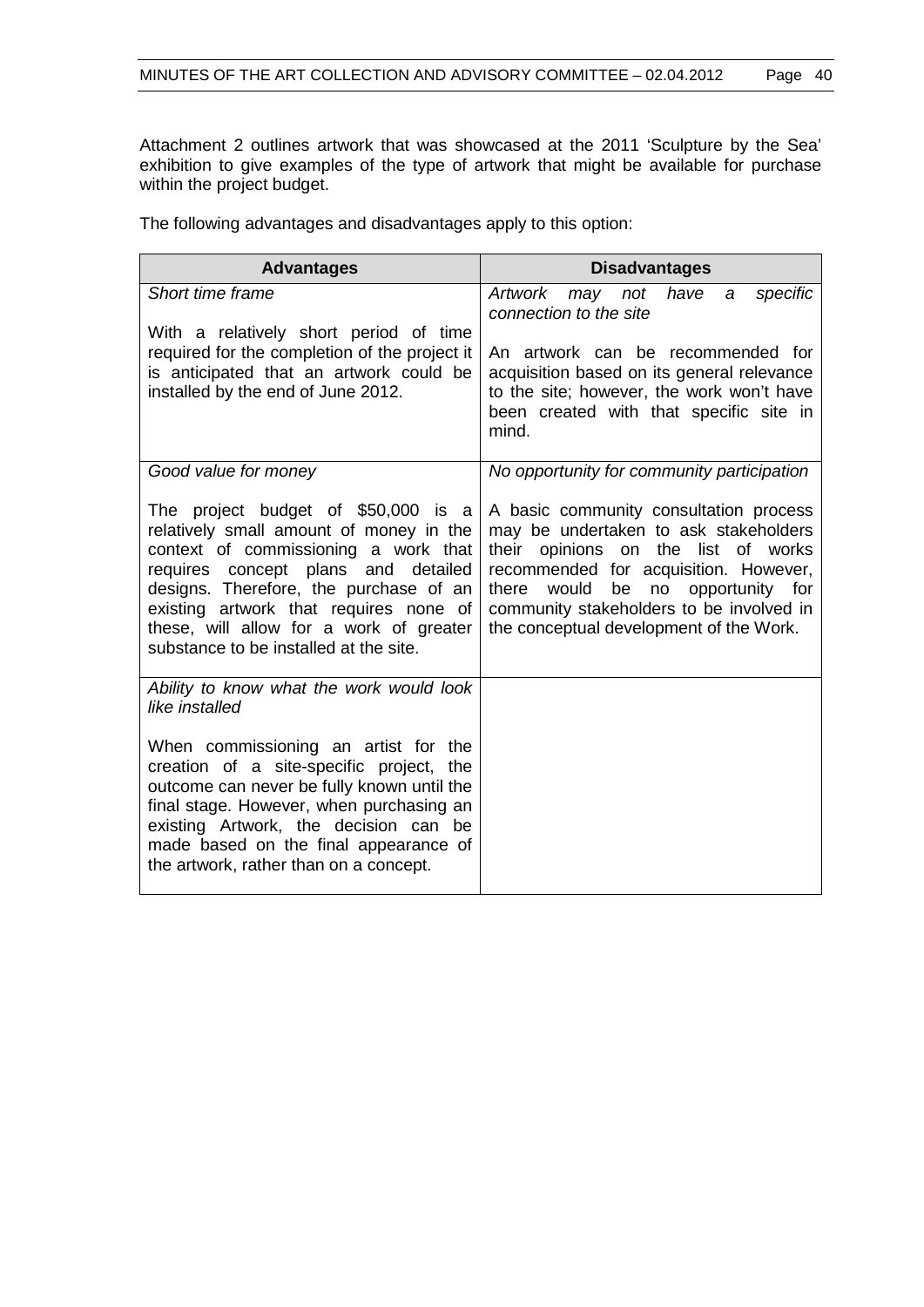Attachment 2 outlines artwork that was showcased at the 2011 'Sculpture by the Sea' exhibition to give examples of the type of artwork that might be available for purchase within the project budget.

The following advantages and disadvantages apply to this option:

| <b>Advantages</b>                                                                                                                                                                                                                                                                                                                      | <b>Disadvantages</b>                                                                                                                                                                                                                                                                                          |
|----------------------------------------------------------------------------------------------------------------------------------------------------------------------------------------------------------------------------------------------------------------------------------------------------------------------------------------|---------------------------------------------------------------------------------------------------------------------------------------------------------------------------------------------------------------------------------------------------------------------------------------------------------------|
| Short time frame<br>With a relatively short period of time                                                                                                                                                                                                                                                                             | <b>Artwork</b><br>specific<br>may not<br>have<br>a<br>connection to the site                                                                                                                                                                                                                                  |
| required for the completion of the project it<br>is anticipated that an artwork could be<br>installed by the end of June 2012.                                                                                                                                                                                                         | An artwork can be recommended for<br>acquisition based on its general relevance<br>to the site; however, the work won't have<br>been created with that specific site in<br>mind.                                                                                                                              |
| Good value for money                                                                                                                                                                                                                                                                                                                   | No opportunity for community participation                                                                                                                                                                                                                                                                    |
| The project budget of \$50,000 is a<br>relatively small amount of money in the<br>context of commissioning a work that<br>requires concept plans and detailed<br>designs. Therefore, the purchase of an<br>existing artwork that requires none of<br>these, will allow for a work of greater<br>substance to be installed at the site. | A basic community consultation process<br>may be undertaken to ask stakeholders<br>their<br>opinions on<br>the list of works<br>recommended for acquisition. However,<br>would<br>be<br>no<br>opportunity for<br>there<br>community stakeholders to be involved in<br>the conceptual development of the Work. |
| Ability to know what the work would look<br>like installed                                                                                                                                                                                                                                                                             |                                                                                                                                                                                                                                                                                                               |
| When commissioning an artist for the<br>creation of a site-specific project, the<br>outcome can never be fully known until the<br>final stage. However, when purchasing an<br>existing Artwork, the decision can be<br>made based on the final appearance of<br>the artwork, rather than on a concept.                                 |                                                                                                                                                                                                                                                                                                               |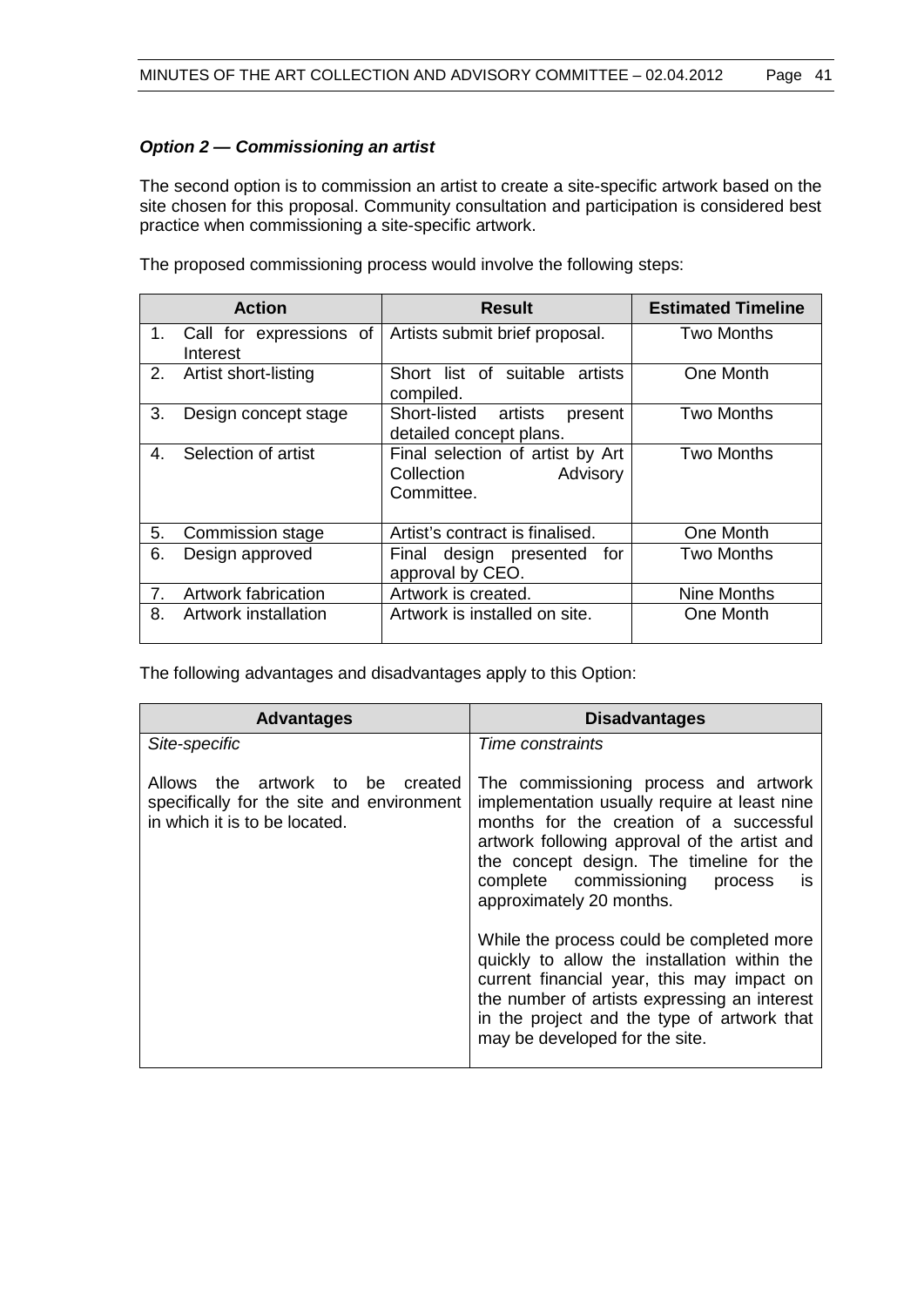# *Option 2 — Commissioning an artist*

The second option is to commission an artist to create a site-specific artwork based on the site chosen for this proposal. Community consultation and participation is considered best practice when commissioning a site-specific artwork.

|         | <b>Action</b>                       | <b>Result</b>                                                            | <b>Estimated Timeline</b> |
|---------|-------------------------------------|--------------------------------------------------------------------------|---------------------------|
| $1_{-}$ | Call for expressions of<br>Interest | Artists submit brief proposal.                                           | Two Months                |
| 2.      | Artist short-listing                | Short list of suitable artists<br>compiled.                              | One Month                 |
| 3.      | Design concept stage                | Short-listed artists<br>present<br>detailed concept plans.               | <b>Two Months</b>         |
| 4.      | Selection of artist                 | Final selection of artist by Art<br>Collection<br>Advisory<br>Committee. | <b>Two Months</b>         |
| 5.      | Commission stage                    | Artist's contract is finalised.                                          | One Month                 |
| 6.      | Design approved                     | Final design presented<br>for<br>approval by CEO.                        | <b>Two Months</b>         |
| 7.      | Artwork fabrication                 | Artwork is created.                                                      | Nine Months               |
| 8.      | Artwork installation                | Artwork is installed on site.                                            | One Month                 |

The proposed commissioning process would involve the following steps:

The following advantages and disadvantages apply to this Option:

| <b>Advantages</b>                                                                                              | <b>Disadvantages</b>                                                                                                                                                                                                                                                                                       |
|----------------------------------------------------------------------------------------------------------------|------------------------------------------------------------------------------------------------------------------------------------------------------------------------------------------------------------------------------------------------------------------------------------------------------------|
| Site-specific                                                                                                  | Time constraints                                                                                                                                                                                                                                                                                           |
| Allows the artwork to be created<br>specifically for the site and environment<br>in which it is to be located. | The commissioning process and artwork<br>implementation usually require at least nine<br>months for the creation of a successful<br>artwork following approval of the artist and<br>the concept design. The timeline for the<br>complete commissioning<br>process<br><b>IS</b><br>approximately 20 months. |
|                                                                                                                | While the process could be completed more<br>quickly to allow the installation within the<br>current financial year, this may impact on<br>the number of artists expressing an interest<br>in the project and the type of artwork that<br>may be developed for the site.                                   |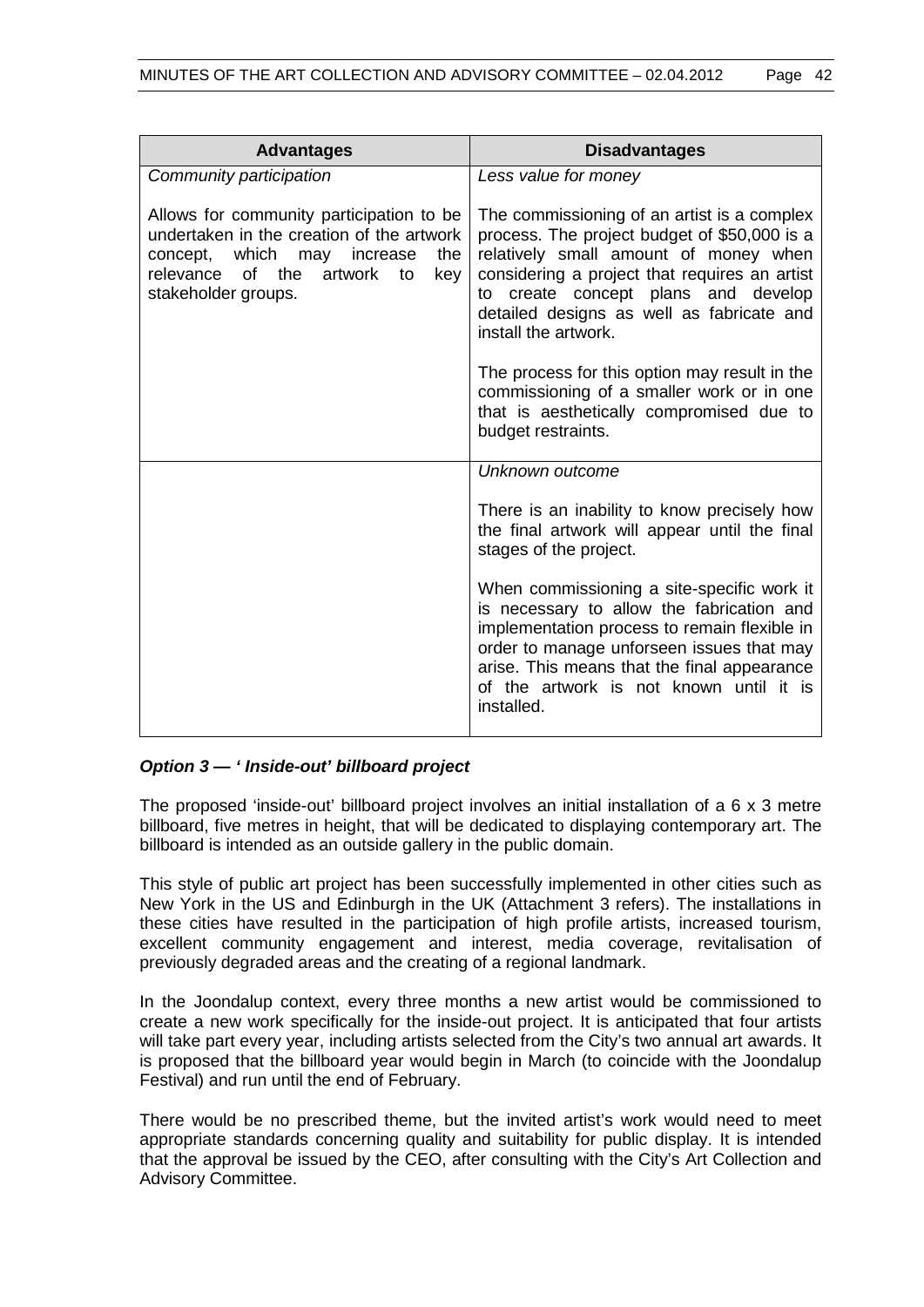| <b>Advantages</b>                                                                                                                                                                              | <b>Disadvantages</b>                                                                                                                                                                                                                                                                                 |
|------------------------------------------------------------------------------------------------------------------------------------------------------------------------------------------------|------------------------------------------------------------------------------------------------------------------------------------------------------------------------------------------------------------------------------------------------------------------------------------------------------|
| Community participation                                                                                                                                                                        | Less value for money                                                                                                                                                                                                                                                                                 |
| Allows for community participation to be<br>undertaken in the creation of the artwork<br>concept, which may increase<br>the<br>relevance of the<br>artwork<br>key<br>to<br>stakeholder groups. | The commissioning of an artist is a complex<br>process. The project budget of \$50,000 is a<br>relatively small amount of money when<br>considering a project that requires an artist<br>create concept plans and develop<br>to<br>detailed designs as well as fabricate and<br>install the artwork. |
|                                                                                                                                                                                                | The process for this option may result in the<br>commissioning of a smaller work or in one<br>that is aesthetically compromised due to<br>budget restraints.                                                                                                                                         |
|                                                                                                                                                                                                | Unknown outcome                                                                                                                                                                                                                                                                                      |
|                                                                                                                                                                                                | There is an inability to know precisely how<br>the final artwork will appear until the final<br>stages of the project.                                                                                                                                                                               |
|                                                                                                                                                                                                | When commissioning a site-specific work it<br>is necessary to allow the fabrication and<br>implementation process to remain flexible in<br>order to manage unforseen issues that may<br>arise. This means that the final appearance<br>of the artwork is not known until it is<br>installed.         |

# *Option 3 — ' Inside-out' billboard project*

The proposed 'inside-out' billboard project involves an initial installation of a 6 x 3 metre billboard, five metres in height, that will be dedicated to displaying contemporary art. The billboard is intended as an outside gallery in the public domain.

This style of public art project has been successfully implemented in other cities such as New York in the US and Edinburgh in the UK (Attachment 3 refers). The installations in these cities have resulted in the participation of high profile artists, increased tourism, excellent community engagement and interest, media coverage, revitalisation of previously degraded areas and the creating of a regional landmark.

In the Joondalup context, every three months a new artist would be commissioned to create a new work specifically for the inside-out project. It is anticipated that four artists will take part every year, including artists selected from the City's two annual art awards. It is proposed that the billboard year would begin in March (to coincide with the Joondalup Festival) and run until the end of February.

There would be no prescribed theme, but the invited artist's work would need to meet appropriate standards concerning quality and suitability for public display. It is intended that the approval be issued by the CEO, after consulting with the City's Art Collection and Advisory Committee.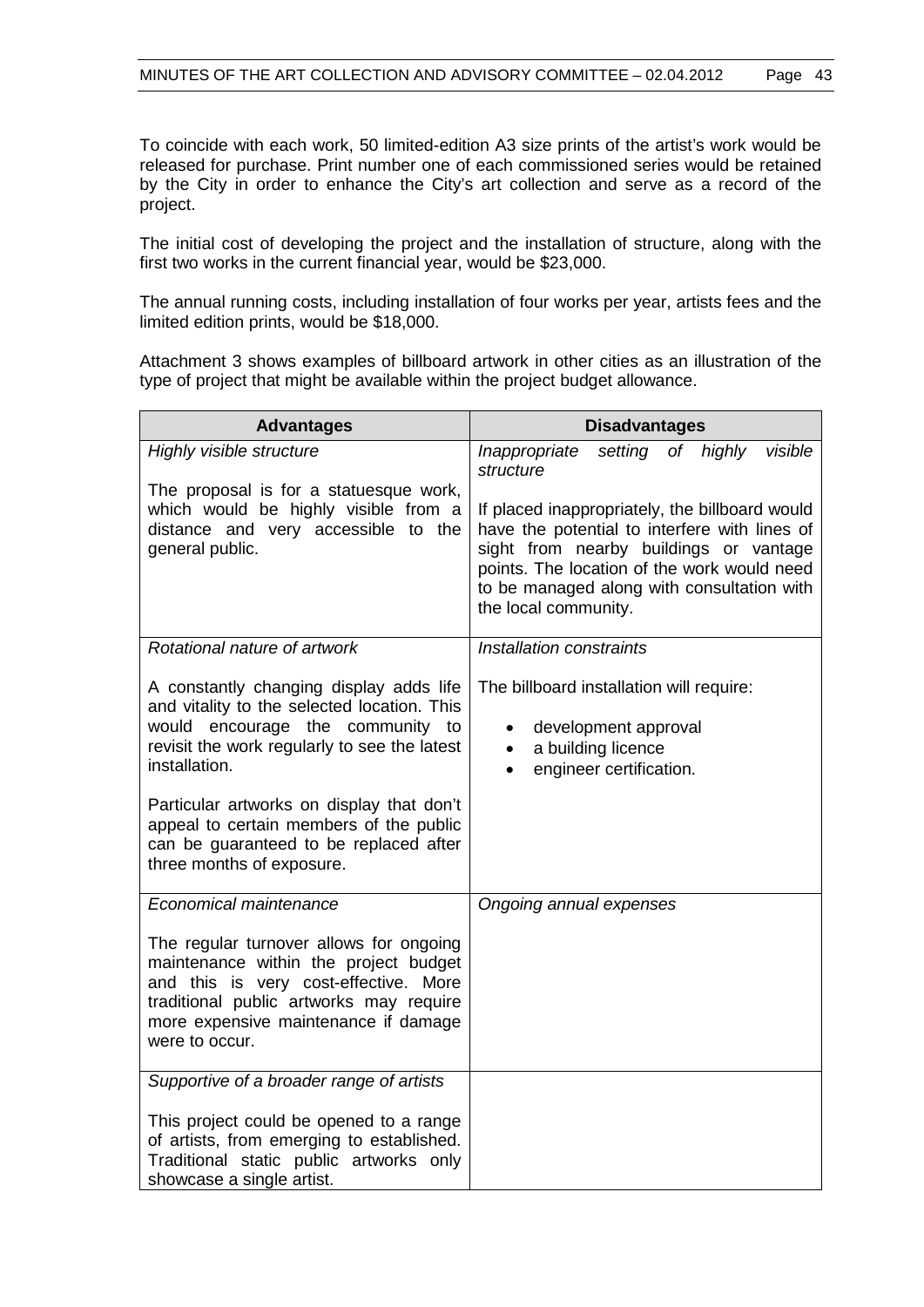To coincide with each work, 50 limited-edition A3 size prints of the artist's work would be released for purchase. Print number one of each commissioned series would be retained by the City in order to enhance the City's art collection and serve as a record of the project.

The initial cost of developing the project and the installation of structure, along with the first two works in the current financial year, would be \$23,000.

The annual running costs, including installation of four works per year, artists fees and the limited edition prints, would be \$18,000.

Attachment 3 shows examples of billboard artwork in other cities as an illustration of the type of project that might be available within the project budget allowance.

| <b>Advantages</b>                                                                                                                                                                                                                                                                                                                                          | <b>Disadvantages</b>                                                                                                                                                                                                                                           |  |  |
|------------------------------------------------------------------------------------------------------------------------------------------------------------------------------------------------------------------------------------------------------------------------------------------------------------------------------------------------------------|----------------------------------------------------------------------------------------------------------------------------------------------------------------------------------------------------------------------------------------------------------------|--|--|
| Highly visible structure                                                                                                                                                                                                                                                                                                                                   | Inappropriate<br>of highly<br>visible<br>setting<br>structure                                                                                                                                                                                                  |  |  |
| The proposal is for a statuesque work,<br>which would be highly visible from a<br>distance and very accessible to the<br>general public.                                                                                                                                                                                                                   | If placed inappropriately, the billboard would<br>have the potential to interfere with lines of<br>sight from nearby buildings or vantage<br>points. The location of the work would need<br>to be managed along with consultation with<br>the local community. |  |  |
| Rotational nature of artwork                                                                                                                                                                                                                                                                                                                               | Installation constraints                                                                                                                                                                                                                                       |  |  |
| A constantly changing display adds life<br>and vitality to the selected location. This<br>would encourage the community to<br>revisit the work regularly to see the latest<br>installation.<br>Particular artworks on display that don't<br>appeal to certain members of the public<br>can be guaranteed to be replaced after<br>three months of exposure. | The billboard installation will require:<br>development approval<br>$\bullet$<br>a building licence<br>$\bullet$<br>engineer certification.<br>$\bullet$                                                                                                       |  |  |
| Economical maintenance                                                                                                                                                                                                                                                                                                                                     | Ongoing annual expenses                                                                                                                                                                                                                                        |  |  |
| The regular turnover allows for ongoing<br>maintenance within the project budget<br>and this is very cost-effective. More<br>traditional public artworks may require<br>more expensive maintenance if damage<br>were to occur.                                                                                                                             |                                                                                                                                                                                                                                                                |  |  |
| Supportive of a broader range of artists                                                                                                                                                                                                                                                                                                                   |                                                                                                                                                                                                                                                                |  |  |
| This project could be opened to a range<br>of artists, from emerging to established.<br>Traditional static public artworks only<br>showcase a single artist.                                                                                                                                                                                               |                                                                                                                                                                                                                                                                |  |  |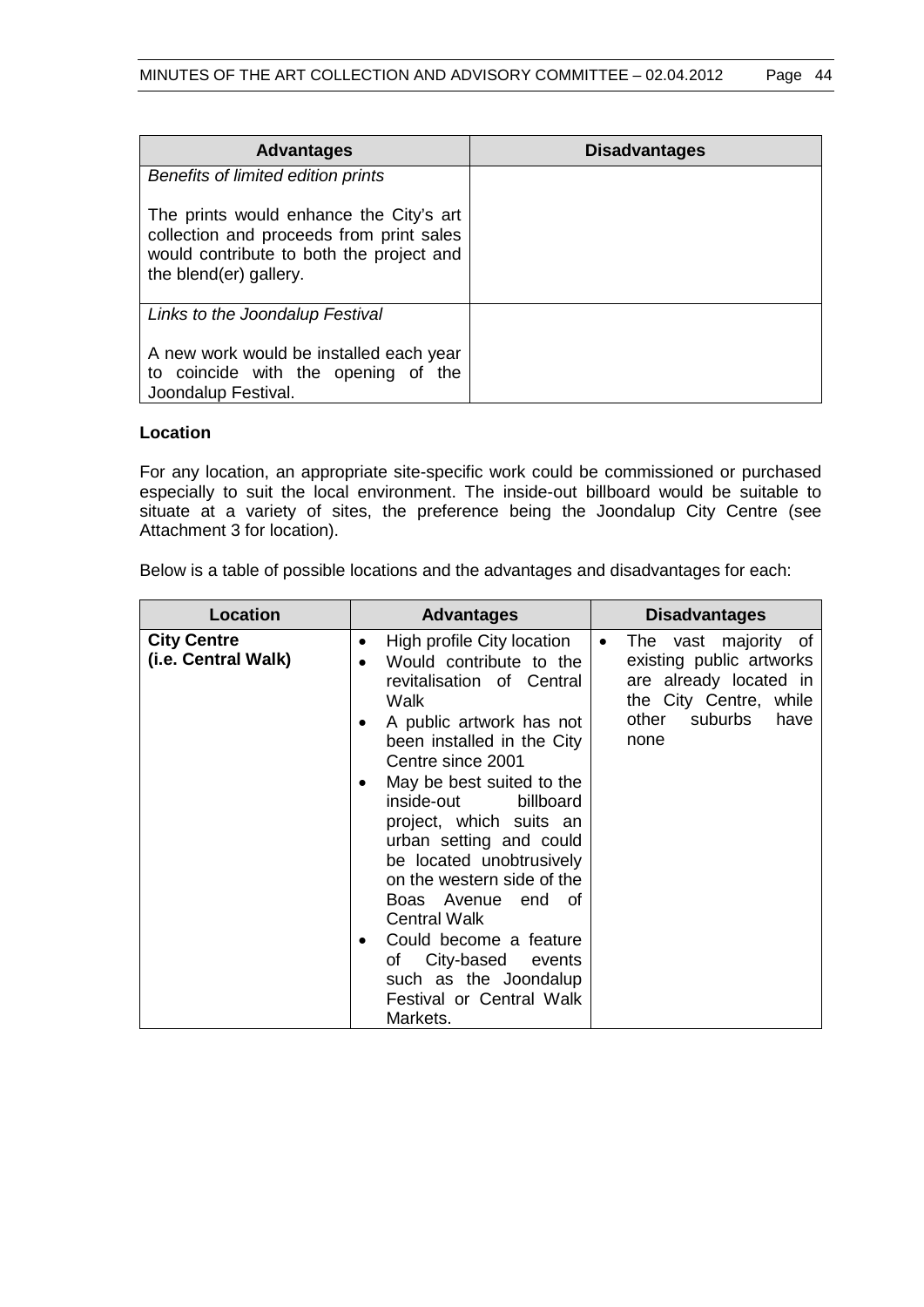| <b>Advantages</b>                                                                                                                                         | <b>Disadvantages</b> |
|-----------------------------------------------------------------------------------------------------------------------------------------------------------|----------------------|
| Benefits of limited edition prints                                                                                                                        |                      |
| The prints would enhance the City's art<br>collection and proceeds from print sales<br>would contribute to both the project and<br>the blend(er) gallery. |                      |
| Links to the Joondalup Festival                                                                                                                           |                      |
| A new work would be installed each year<br>to coincide with the opening of the<br>Joondalup Festival.                                                     |                      |

# **Location**

For any location, an appropriate site-specific work could be commissioned or purchased especially to suit the local environment. The inside-out billboard would be suitable to situate at a variety of sites, the preference being the Joondalup City Centre (see Attachment 3 for location).

Below is a table of possible locations and the advantages and disadvantages for each:

| <b>Location</b>                           | <b>Advantages</b>                                                                                                                                                                                                                                                                                                                                                                                                                                                                                                                   | <b>Disadvantages</b>                                                                                                                               |
|-------------------------------------------|-------------------------------------------------------------------------------------------------------------------------------------------------------------------------------------------------------------------------------------------------------------------------------------------------------------------------------------------------------------------------------------------------------------------------------------------------------------------------------------------------------------------------------------|----------------------------------------------------------------------------------------------------------------------------------------------------|
| <b>City Centre</b><br>(i.e. Central Walk) | High profile City location<br>٠<br>Would contribute to the<br>$\bullet$<br>revitalisation of Central<br>Walk<br>A public artwork has not<br>been installed in the City<br>Centre since 2001<br>May be best suited to the<br>billboard<br>inside-out<br>project, which suits an<br>urban setting and could<br>be located unobtrusively<br>on the western side of the<br>Boas Avenue end of<br><b>Central Walk</b><br>Could become a feature<br>of City-based events<br>such as the Joondalup<br>Festival or Central Walk<br>Markets. | The vast majority of<br>$\bullet$<br>existing public artworks<br>are already located in<br>the City Centre, while<br>other suburbs<br>have<br>none |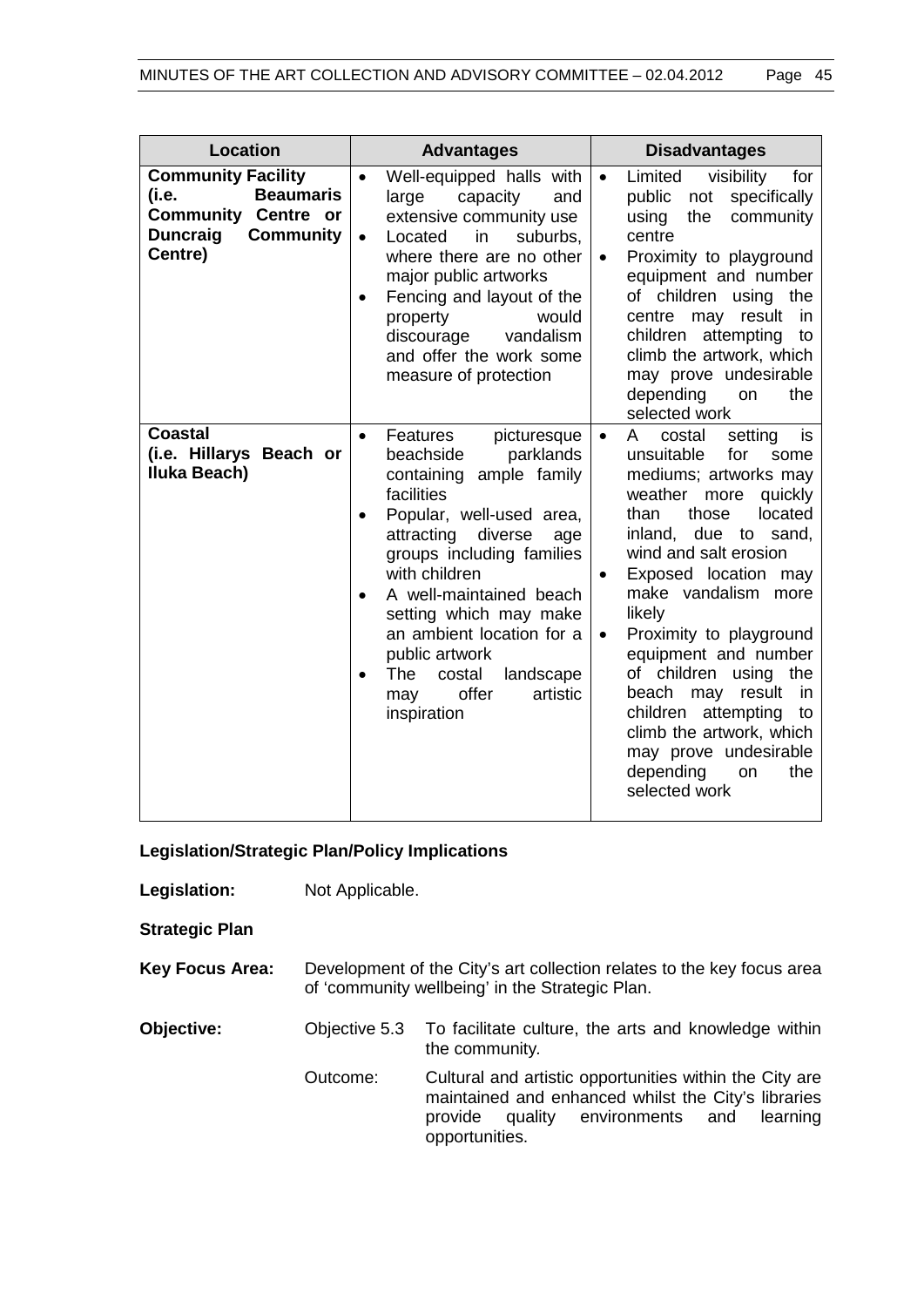| <b>Location</b>                                                                                                                        | <b>Advantages</b>                                                                                                                                                                                                                                                                                                                                                                                                   | <b>Disadvantages</b>                                                                                                                                                                                                                                                                                                                                                                                                                                                                                                                    |
|----------------------------------------------------------------------------------------------------------------------------------------|---------------------------------------------------------------------------------------------------------------------------------------------------------------------------------------------------------------------------------------------------------------------------------------------------------------------------------------------------------------------------------------------------------------------|-----------------------------------------------------------------------------------------------------------------------------------------------------------------------------------------------------------------------------------------------------------------------------------------------------------------------------------------------------------------------------------------------------------------------------------------------------------------------------------------------------------------------------------------|
| <b>Community Facility</b><br><b>Beaumaris</b><br>(i.e.<br><b>Community Centre or</b><br><b>Duncraig</b><br><b>Community</b><br>Centre) | Well-equipped halls with<br>$\bullet$<br>large<br>capacity<br>and<br>extensive community use<br>in<br>suburbs,<br>Located<br>$\bullet$<br>where there are no other<br>major public artworks<br>Fencing and layout of the<br>would<br>property<br>discourage<br>vandalism<br>and offer the work some<br>measure of protection                                                                                        | Limited<br>visibility<br>for<br>$\bullet$<br>public<br>specifically<br>not<br>the<br>community<br>using<br>centre<br>Proximity to playground<br>$\bullet$<br>equipment and number<br>of children using the<br>result<br>centre<br>in.<br>may<br>attempting<br>children<br>to<br>climb the artwork, which<br>may prove undesirable<br>depending<br>the<br>on<br>selected work                                                                                                                                                            |
| <b>Coastal</b><br>(i.e. Hillarys Beach or<br>Iluka Beach)                                                                              | Features<br>picturesque<br>$\bullet$<br>parklands<br>beachside<br>ample family<br>containing<br>facilities<br>Popular, well-used area,<br>٠<br>diverse<br>attracting<br>age<br>groups including families<br>with children<br>A well-maintained beach<br>setting which may make<br>an ambient location for a<br>public artwork<br>The<br>landscape<br>costal<br>$\bullet$<br>offer<br>artistic<br>may<br>inspiration | setting<br>is<br>costal<br>A<br>$\bullet$<br>unsuitable<br>for<br>some<br>mediums; artworks may<br>weather<br>quickly<br>more<br>those<br>located<br>than<br>inland, due to sand,<br>wind and salt erosion<br>Exposed location may<br>٠<br>make vandalism<br>more<br>likely<br>Proximity to playground<br>$\bullet$<br>equipment and number<br>of children<br>the<br>using<br>beach<br>result<br>may<br>in<br>children attempting<br>to<br>climb the artwork, which<br>may prove undesirable<br>depending<br>the<br>on<br>selected work |

**Legislation/Strategic Plan/Policy Implications**

**Legislation:** Not Applicable.

**Strategic Plan**

**Key Focus Area:** Development of the City's art collection relates to the key focus area of 'community wellbeing' in the Strategic Plan.

**Objective:** Objective 5.3 To facilitate culture, the arts and knowledge within the community*.*

> Outcome: Cultural and artistic opportunities within the City are maintained and enhanced whilst the City's libraries provide quality environments and learning opportunities.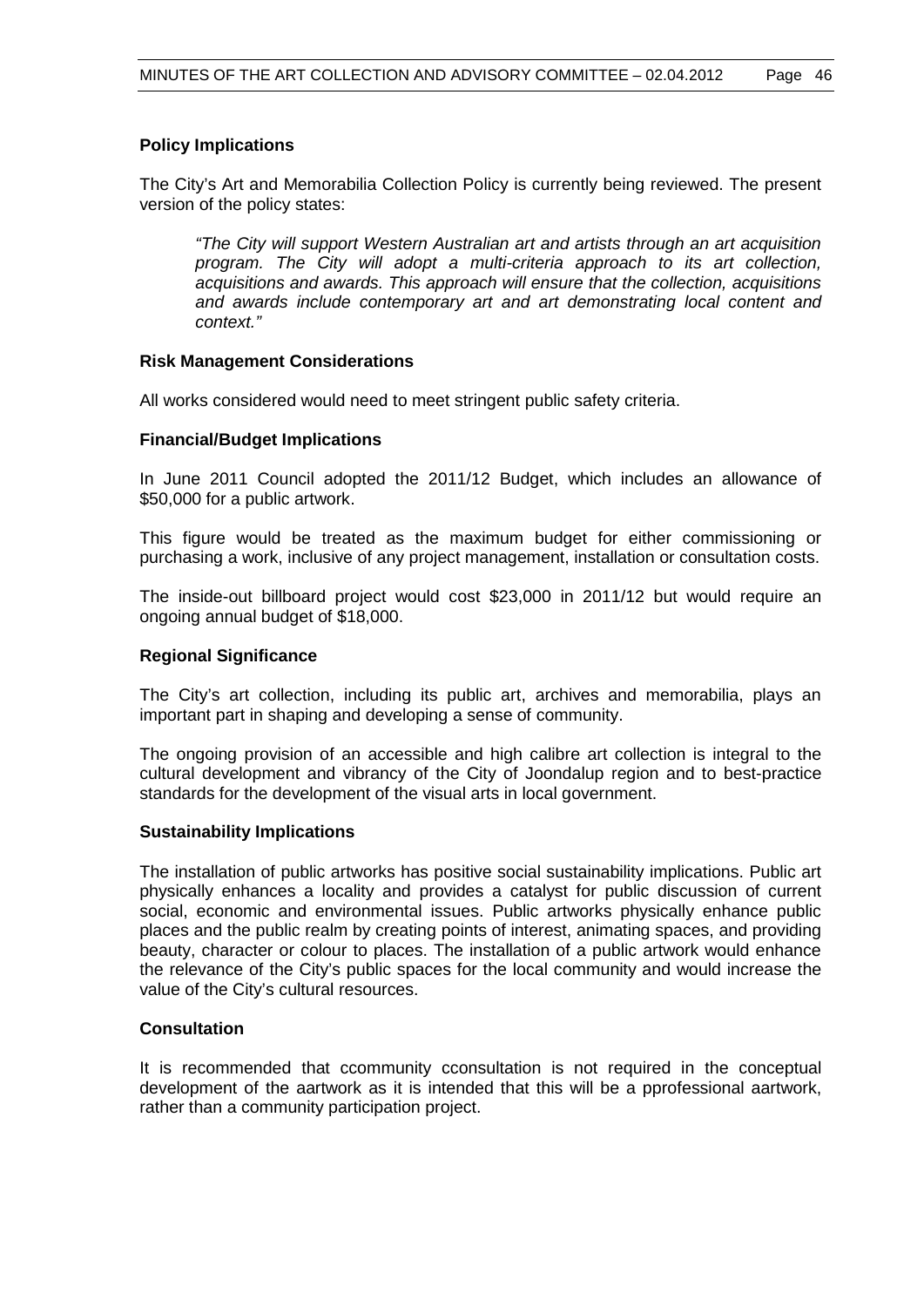# **Policy Implications**

The City's Art and Memorabilia Collection Policy is currently being reviewed. The present version of the policy states:

*"The City will support Western Australian art and artists through an art acquisition program. The City will adopt a multi-criteria approach to its art collection, acquisitions and awards. This approach will ensure that the collection, acquisitions and awards include contemporary art and art demonstrating local content and context."*

#### **Risk Management Considerations**

All works considered would need to meet stringent public safety criteria.

#### **Financial/Budget Implications**

In June 2011 Council adopted the 2011/12 Budget, which includes an allowance of \$50,000 for a public artwork.

This figure would be treated as the maximum budget for either commissioning or purchasing a work, inclusive of any project management, installation or consultation costs.

The inside-out billboard project would cost \$23,000 in 2011/12 but would require an ongoing annual budget of \$18,000.

#### **Regional Significance**

The City's art collection, including its public art, archives and memorabilia, plays an important part in shaping and developing a sense of community.

The ongoing provision of an accessible and high calibre art collection is integral to the cultural development and vibrancy of the City of Joondalup region and to best-practice standards for the development of the visual arts in local government.

#### **Sustainability Implications**

The installation of public artworks has positive social sustainability implications. Public art physically enhances a locality and provides a catalyst for public discussion of current social, economic and environmental issues. Public artworks physically enhance public places and the public realm by creating points of interest, animating spaces, and providing beauty, character or colour to places. The installation of a public artwork would enhance the relevance of the City's public spaces for the local community and would increase the value of the City's cultural resources.

### **Consultation**

It is recommended that ccommunity cconsultation is not required in the conceptual development of the aartwork as it is intended that this will be a pprofessional aartwork, rather than a community participation project.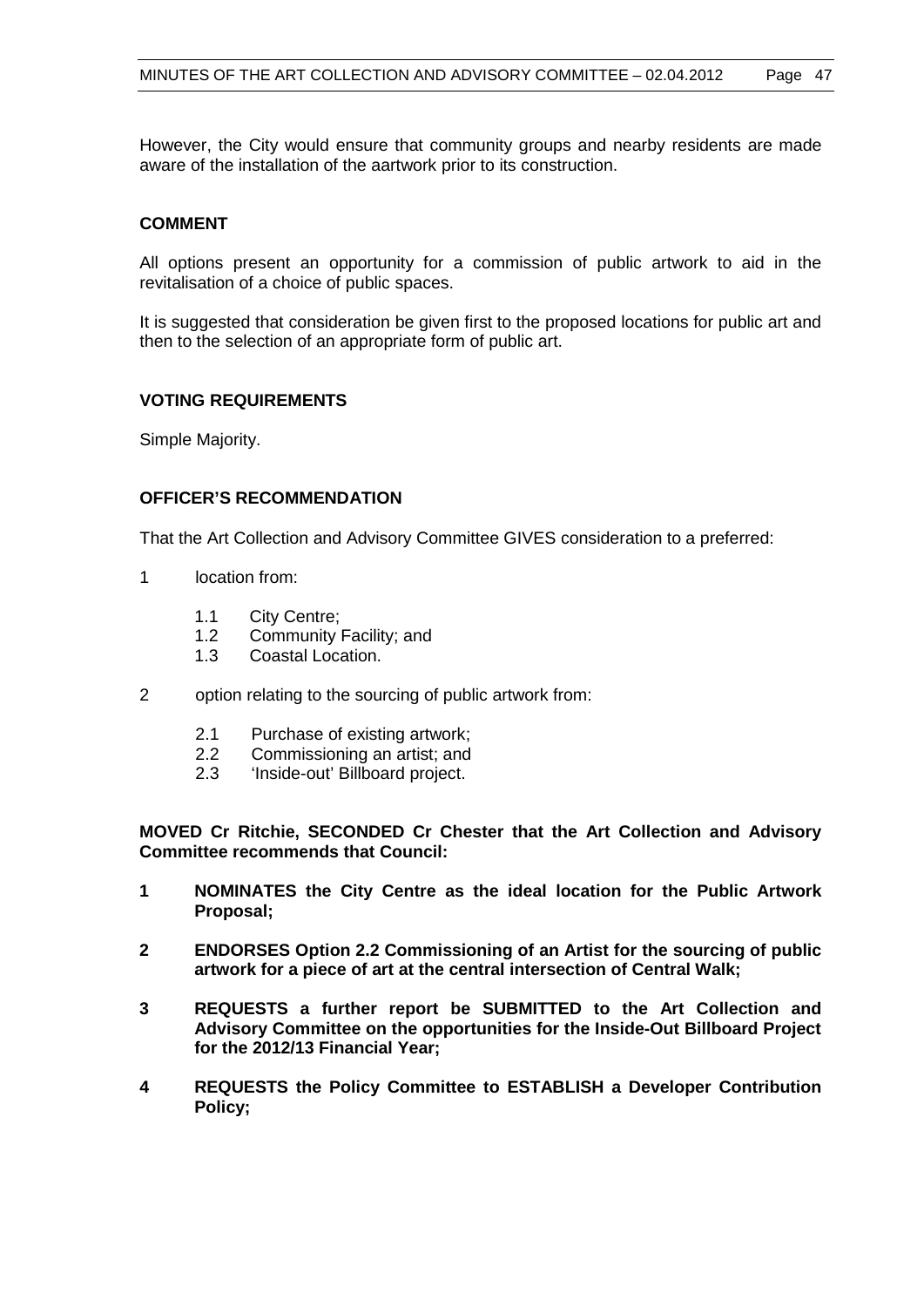However, the City would ensure that community groups and nearby residents are made aware of the installation of the aartwork prior to its construction.

#### **COMMENT**

All options present an opportunity for a commission of public artwork to aid in the revitalisation of a choice of public spaces.

It is suggested that consideration be given first to the proposed locations for public art and then to the selection of an appropriate form of public art.

## **VOTING REQUIREMENTS**

Simple Majority.

#### **OFFICER'S RECOMMENDATION**

That the Art Collection and Advisory Committee GIVES consideration to a preferred:

- 1 location from:
	- 1.1 City Centre;
	- 1.2 Community Facility; and
	- 1.3 Coastal Location.
- 2 option relating to the sourcing of public artwork from:
	- 2.1 Purchase of existing artwork;
	- 2.2 Commissioning an artist; and
	- 2.3 'Inside-out' Billboard project.

**MOVED Cr Ritchie, SECONDED Cr Chester that the Art Collection and Advisory Committee recommends that Council:**

- **1 NOMINATES the City Centre as the ideal location for the Public Artwork Proposal;**
- **2 ENDORSES Option 2.2 Commissioning of an Artist for the sourcing of public artwork for a piece of art at the central intersection of Central Walk;**
- **3 REQUESTS a further report be SUBMITTED to the Art Collection and Advisory Committee on the opportunities for the Inside-Out Billboard Project for the 2012/13 Financial Year;**
- **4 REQUESTS the Policy Committee to ESTABLISH a Developer Contribution Policy;**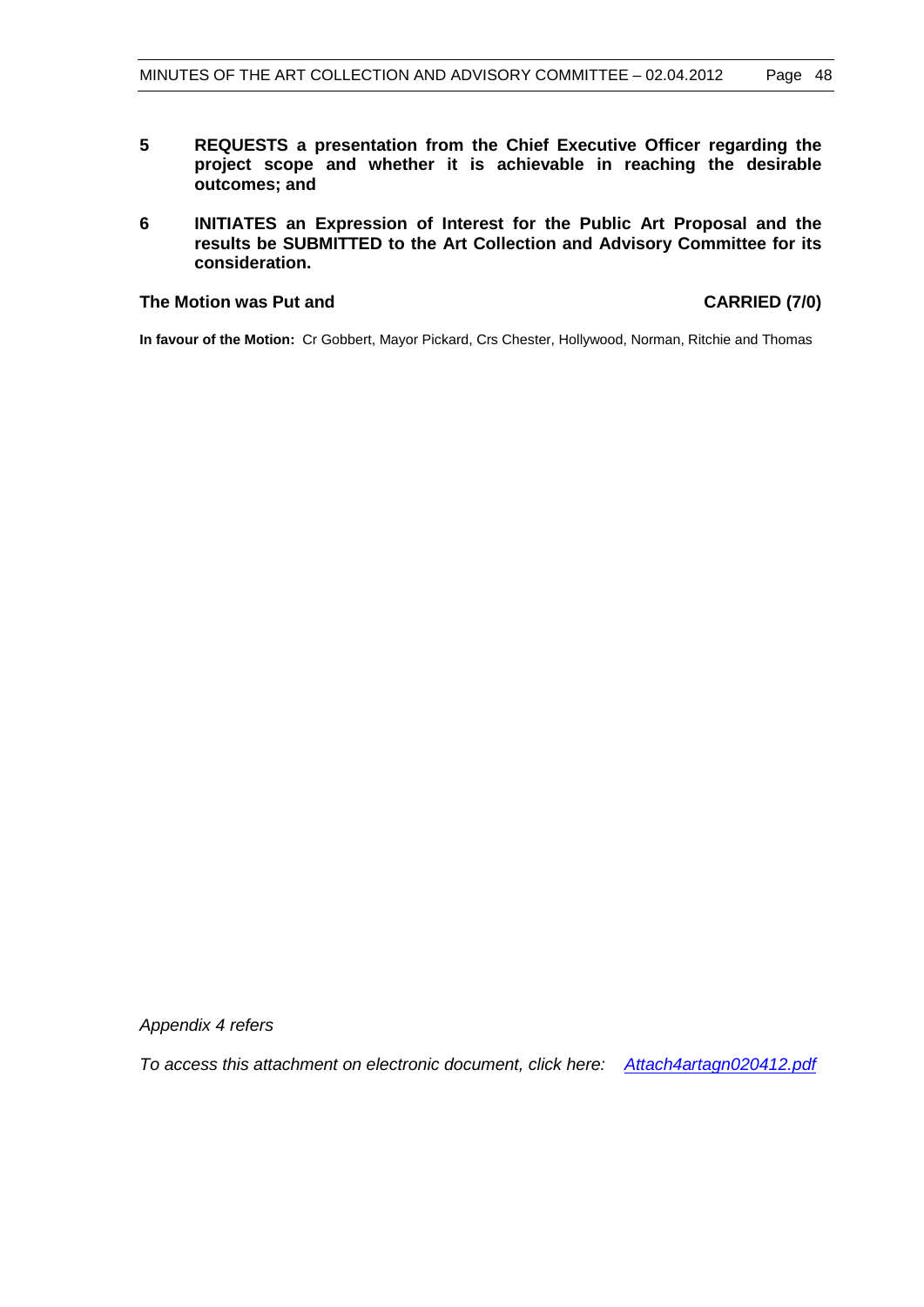- **5 REQUESTS a presentation from the Chief Executive Officer regarding the project scope and whether it is achievable in reaching the desirable outcomes; and**
- **6 INITIATES an Expression of Interest for the Public Art Proposal and the results be SUBMITTED to the Art Collection and Advisory Committee for its consideration.**

#### **The Motion was Put and CARRIED (7/0)**

**In favour of the Motion:** Cr Gobbert, Mayor Pickard, Crs Chester, Hollywood, Norman, Ritchie and Thomas

*Appendix 4 refers*

*To access this attachment on electronic document, click here: <Attach4artagn020412.pdf>*